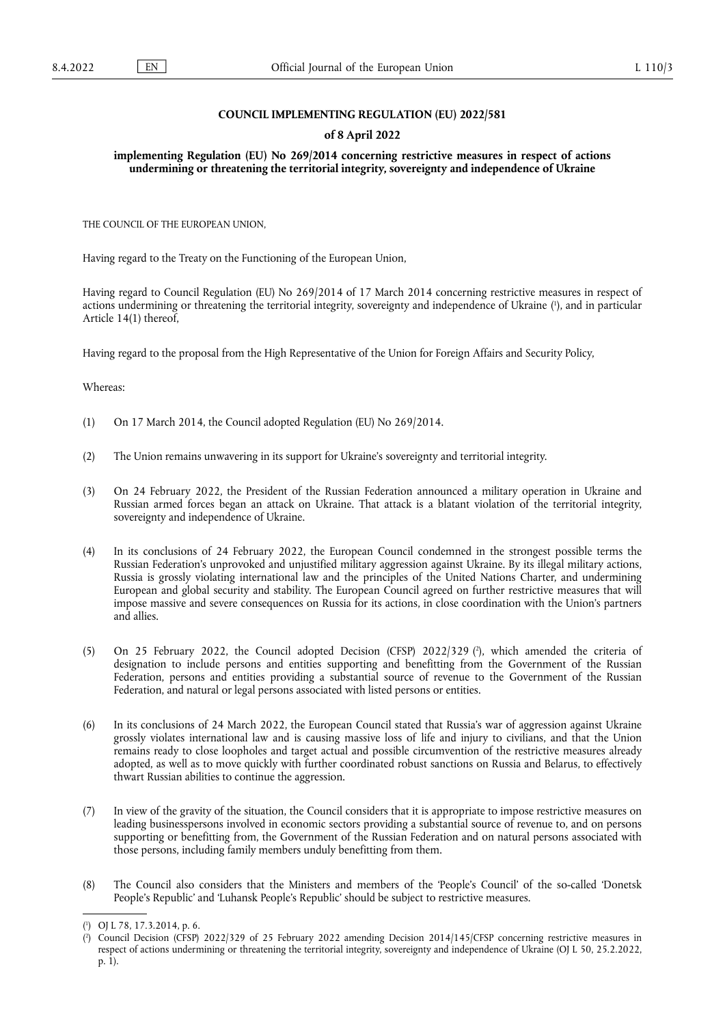### **COUNCIL IMPLEMENTING REGULATION (EU) 2022/581**

### **of 8 April 2022**

**implementing Regulation (EU) No 269/2014 concerning restrictive measures in respect of actions undermining or threatening the territorial integrity, sovereignty and independence of Ukraine** 

THE COUNCIL OF THE EUROPEAN UNION,

Having regard to the Treaty on the Functioning of the European Union,

<span id="page-0-2"></span>Having regard to Council Regulation (EU) No 269/2014 of 17 March 2014 concerning restrictive measures in respect of actions undermining or threatening the territorial integrity, sovereignty and independence of Ukraine ( 1 [\),](#page-0-0) and in particular Article 14(1) thereof,

Having regard to the proposal from the High Representative of the Union for Foreign Affairs and Security Policy,

### Whereas:

- (1) On 17 March 2014, the Council adopted Regulation (EU) No 269/2014.
- (2) The Union remains unwavering in its support for Ukraine's sovereignty and territorial integrity.
- (3) On 24 February 2022, the President of the Russian Federation announced a military operation in Ukraine and Russian armed forces began an attack on Ukraine. That attack is a blatant violation of the territorial integrity, sovereignty and independence of Ukraine.
- (4) In its conclusions of 24 February 2022, the European Council condemned in the strongest possible terms the Russian Federation's unprovoked and unjustified military aggression against Ukraine. By its illegal military actions, Russia is grossly violating international law and the principles of the United Nations Charter, and undermining European and global security and stability. The European Council agreed on further restrictive measures that will impose massive and severe consequences on Russia for its actions, in close coordination with the Union's partners and allies.
- <span id="page-0-3"></span>(5) On 25 February 2022, the Council adopted Decision (CFSP) 2022/329 ( 2 [\),](#page-0-1) which amended the criteria of designation to include persons and entities supporting and benefitting from the Government of the Russian Federation, persons and entities providing a substantial source of revenue to the Government of the Russian Federation, and natural or legal persons associated with listed persons or entities.
- (6) In its conclusions of 24 March 2022, the European Council stated that Russia's war of aggression against Ukraine grossly violates international law and is causing massive loss of life and injury to civilians, and that the Union remains ready to close loopholes and target actual and possible circumvention of the restrictive measures already adopted, as well as to move quickly with further coordinated robust sanctions on Russia and Belarus, to effectively thwart Russian abilities to continue the aggression.
- (7) In view of the gravity of the situation, the Council considers that it is appropriate to impose restrictive measures on leading businesspersons involved in economic sectors providing a substantial source of revenue to, and on persons supporting or benefitting from, the Government of the Russian Federation and on natural persons associated with those persons, including family members unduly benefitting from them.
- (8) The Council also considers that the Ministers and members of the 'People's Council' of the so-called 'Donetsk People's Republic' and 'Luhansk People's Republic' should be subject to restrictive measures.

<span id="page-0-0"></span>[<sup>\(</sup>](#page-0-2) 1 ) OJ L 78, 17.3.2014, p. 6.

<span id="page-0-1"></span>[<sup>\(</sup>](#page-0-3) 2 ) Council Decision (CFSP) 2022/329 of 25 February 2022 amending Decision 2014/145/CFSP concerning restrictive measures in respect of actions undermining or threatening the territorial integrity, sovereignty and independence of Ukraine (OJ L 50, 25.2.2022, p. 1).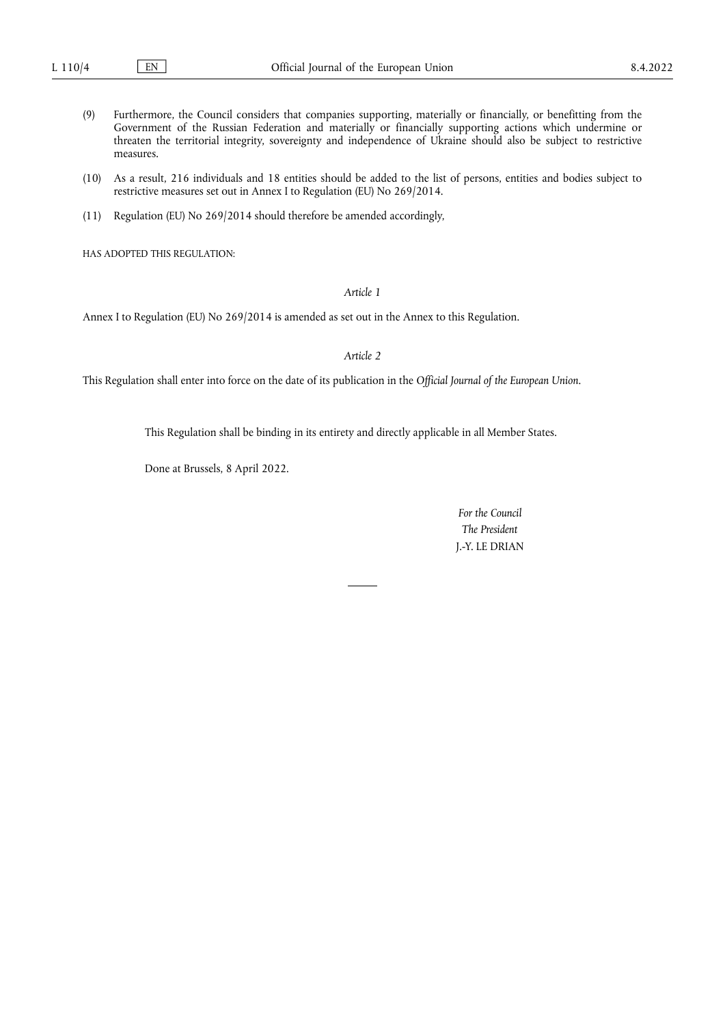- (9) Furthermore, the Council considers that companies supporting, materially or financially, or benefitting from the Government of the Russian Federation and materially or financially supporting actions which undermine or threaten the territorial integrity, sovereignty and independence of Ukraine should also be subject to restrictive measures.
- (10) As a result, 216 individuals and 18 entities should be added to the list of persons, entities and bodies subject to restrictive measures set out in Annex I to Regulation (EU) No 269/2014.
- (11) Regulation (EU) No 269/2014 should therefore be amended accordingly,

HAS ADOPTED THIS REGULATION:

*Article 1*

Annex I to Regulation (EU) No 269/2014 is amended as set out in the Annex to this Regulation.

*Article 2*

This Regulation shall enter into force on the date of its publication in the *Official Journal of the European Union*.

This Regulation shall be binding in its entirety and directly applicable in all Member States.

Done at Brussels, 8 April 2022.

*For the Council The President* J.-Y. LE DRIAN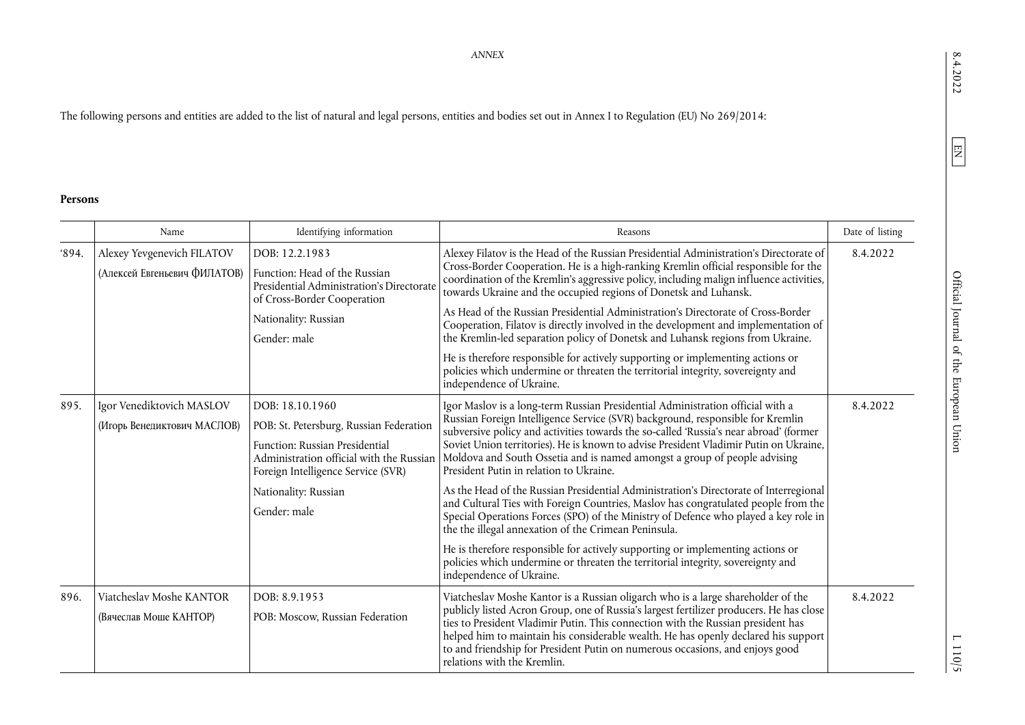# The following persons and entities are added to the list of natural and legal persons, entities and bodies set out in Annex I to Regulation (EU) No 269/2014:

#### **Persons**

|      | Name                                                       | Identifying information                                                                                                                                                                                                | Reasons                                                                                                                                                                                                                                                                                                                                                                                                                                                                                                                                                                                                                                                                                                                                                                                                                                                                                                                                                                                                   | Date of listing |
|------|------------------------------------------------------------|------------------------------------------------------------------------------------------------------------------------------------------------------------------------------------------------------------------------|-----------------------------------------------------------------------------------------------------------------------------------------------------------------------------------------------------------------------------------------------------------------------------------------------------------------------------------------------------------------------------------------------------------------------------------------------------------------------------------------------------------------------------------------------------------------------------------------------------------------------------------------------------------------------------------------------------------------------------------------------------------------------------------------------------------------------------------------------------------------------------------------------------------------------------------------------------------------------------------------------------------|-----------------|
| 894. | Alexey Yevgenevich FILATOV<br>(Алексей Евгеньевич ФИЛАТОВ) | DOB: 12.2.1983<br>Function: Head of the Russian<br>Presidential Administration's Directorate<br>of Cross-Border Cooperation<br>Nationality: Russian<br>Gender: male                                                    | Alexey Filatov is the Head of the Russian Presidential Administration's Directorate of<br>Cross-Border Cooperation. He is a high-ranking Kremlin official responsible for the<br>coordination of the Kremlin's aggressive policy, including malign influence activities,<br>towards Ukraine and the occupied regions of Donetsk and Luhansk.<br>As Head of the Russian Presidential Administration's Directorate of Cross-Border<br>Cooperation, Filatov is directly involved in the development and implementation of<br>the Kremlin-led separation policy of Donetsk and Luhansk regions from Ukraine.<br>He is therefore responsible for actively supporting or implementing actions or<br>policies which undermine or threaten the territorial integrity, sovereignty and<br>independence of Ukraine.                                                                                                                                                                                                 | 8.4.2022        |
| 895. | Igor Venediktovich MASLOV<br>(Игорь Венедиктович МАСЛОВ)   | DOB: 18.10.1960<br>POB: St. Petersburg, Russian Federation<br>Function: Russian Presidential<br>Administration official with the Russian<br>Foreign Intelligence Service (SVR)<br>Nationality: Russian<br>Gender: male | Igor Maslov is a long-term Russian Presidential Administration official with a<br>Russian Foreign Intelligence Service (SVR) background, responsible for Kremlin<br>subversive policy and activities towards the so-called 'Russia's near abroad' (former<br>Soviet Union territories). He is known to advise President Vladimir Putin on Ukraine,<br>Moldova and South Ossetia and is named amongst a group of people advising<br>President Putin in relation to Ukraine.<br>As the Head of the Russian Presidential Administration's Directorate of Interregional<br>and Cultural Ties with Foreign Countries, Maslov has congratulated people from the<br>Special Operations Forces (SPO) of the Ministry of Defence who played a key role in<br>the the illegal annexation of the Crimean Peninsula.<br>He is therefore responsible for actively supporting or implementing actions or<br>policies which undermine or threaten the territorial integrity, sovereignty and<br>independence of Ukraine. | 8.4.2022        |
| 896. | Viatcheslav Moshe KANTOR<br>(Вячеслав Моше КАНТОР)         | DOB: 8.9.1953<br>POB: Moscow, Russian Federation                                                                                                                                                                       | Viatcheslav Moshe Kantor is a Russian oligarch who is a large shareholder of the<br>publicly listed Acron Group, one of Russia's largest fertilizer producers. He has close<br>ties to President Vladimir Putin. This connection with the Russian president has<br>helped him to maintain his considerable wealth. He has openly declared his support<br>to and friendship for President Putin on numerous occasions, and enjoys good<br>relations with the Kremlin.                                                                                                                                                                                                                                                                                                                                                                                                                                                                                                                                      | 8.4.2022        |

*ANNEX*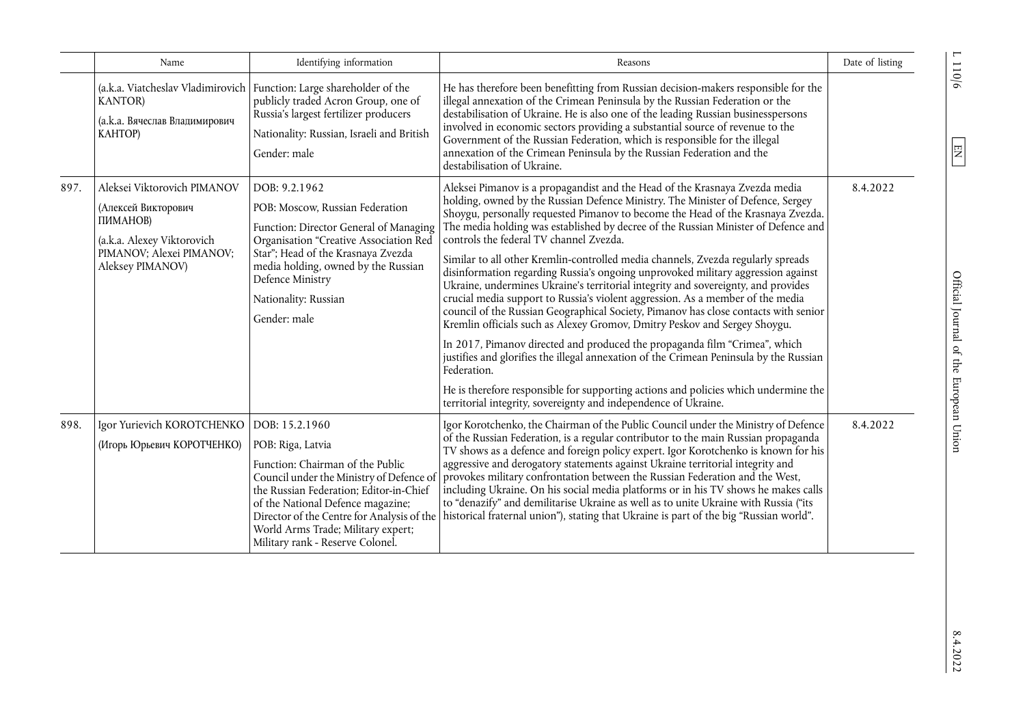|      | Name                                                                                                                                         | Identifying information                                                                                                                                                                                                                                                                                                     | Reasons                                                                                                                                                                                                                                                                                                                                                                                                                                                                                                                                                                                                                                                                                                                                                                                                                                                                                                                                                                                                                                                                                                                                                                                                                                                | Date of listing |
|------|----------------------------------------------------------------------------------------------------------------------------------------------|-----------------------------------------------------------------------------------------------------------------------------------------------------------------------------------------------------------------------------------------------------------------------------------------------------------------------------|--------------------------------------------------------------------------------------------------------------------------------------------------------------------------------------------------------------------------------------------------------------------------------------------------------------------------------------------------------------------------------------------------------------------------------------------------------------------------------------------------------------------------------------------------------------------------------------------------------------------------------------------------------------------------------------------------------------------------------------------------------------------------------------------------------------------------------------------------------------------------------------------------------------------------------------------------------------------------------------------------------------------------------------------------------------------------------------------------------------------------------------------------------------------------------------------------------------------------------------------------------|-----------------|
|      | <b>KANTOR</b> )<br>(а.к.а. Вячеслав Владимирович<br><b>KAHTOP)</b>                                                                           | (a.k.a. Viatcheslav Vladimirovich   Function: Large shareholder of the<br>publicly traded Acron Group, one of<br>Russia's largest fertilizer producers<br>Nationality: Russian, Israeli and British<br>Gender: male                                                                                                         | He has therefore been benefitting from Russian decision-makers responsible for the<br>illegal annexation of the Crimean Peninsula by the Russian Federation or the<br>destabilisation of Ukraine. He is also one of the leading Russian businesspersons<br>involved in economic sectors providing a substantial source of revenue to the<br>Government of the Russian Federation, which is responsible for the illegal<br>annexation of the Crimean Peninsula by the Russian Federation and the<br>destabilisation of Ukraine.                                                                                                                                                                                                                                                                                                                                                                                                                                                                                                                                                                                                                                                                                                                         |                 |
| 897. | Aleksei Viktorovich PIMANOV<br>(Алексей Викторович<br>ПИМАНОВ)<br>(a.k.a. Alexey Viktorovich<br>PIMANOV; Alexei PIMANOV;<br>Aleksey PIMANOV) | DOB: 9.2.1962<br>POB: Moscow, Russian Federation<br>Function: Director General of Managing<br>Organisation "Creative Association Red<br>Star"; Head of the Krasnaya Zvezda<br>media holding, owned by the Russian<br>Defence Ministry<br>Nationality: Russian<br>Gender: male                                               | Aleksei Pimanov is a propagandist and the Head of the Krasnaya Zvezda media<br>holding, owned by the Russian Defence Ministry. The Minister of Defence, Sergey<br>Shoygu, personally requested Pimanov to become the Head of the Krasnaya Zvezda.<br>The media holding was established by decree of the Russian Minister of Defence and<br>controls the federal TV channel Zvezda.<br>Similar to all other Kremlin-controlled media channels, Zvezda regularly spreads<br>disinformation regarding Russia's ongoing unprovoked military aggression against<br>Ukraine, undermines Ukraine's territorial integrity and sovereignty, and provides<br>crucial media support to Russia's violent aggression. As a member of the media<br>council of the Russian Geographical Society, Pimanov has close contacts with senior<br>Kremlin officials such as Alexey Gromov, Dmitry Peskov and Sergey Shoygu.<br>In 2017, Pimanov directed and produced the propaganda film "Crimea", which<br>justifies and glorifies the illegal annexation of the Crimean Peninsula by the Russian<br>Federation.<br>He is therefore responsible for supporting actions and policies which undermine the<br>territorial integrity, sovereignty and independence of Ukraine. | 8.4.2022        |
| 898. | Igor Yurievich KOROTCHENKO<br>(Игорь Юрьевич КОРОТЧЕНКО)                                                                                     | DOB: 15.2.1960<br>POB: Riga, Latvia<br>Function: Chairman of the Public<br>Council under the Ministry of Defence of<br>the Russian Federation; Editor-in-Chief<br>of the National Defence magazine;<br>Director of the Centre for Analysis of the<br>World Arms Trade; Military expert;<br>Military rank - Reserve Colonel. | Igor Korotchenko, the Chairman of the Public Council under the Ministry of Defence<br>of the Russian Federation, is a regular contributor to the main Russian propaganda<br>TV shows as a defence and foreign policy expert. Igor Korotchenko is known for his<br>aggressive and derogatory statements against Ukraine territorial integrity and<br>provokes military confrontation between the Russian Federation and the West,<br>including Ukraine. On his social media platforms or in his TV shows he makes calls<br>to "denazify" and demilitarise Ukraine as well as to unite Ukraine with Russia ("its<br>historical fraternal union"), stating that Ukraine is part of the big "Russian world".                                                                                                                                                                                                                                                                                                                                                                                                                                                                                                                                               | 8.4.2022        |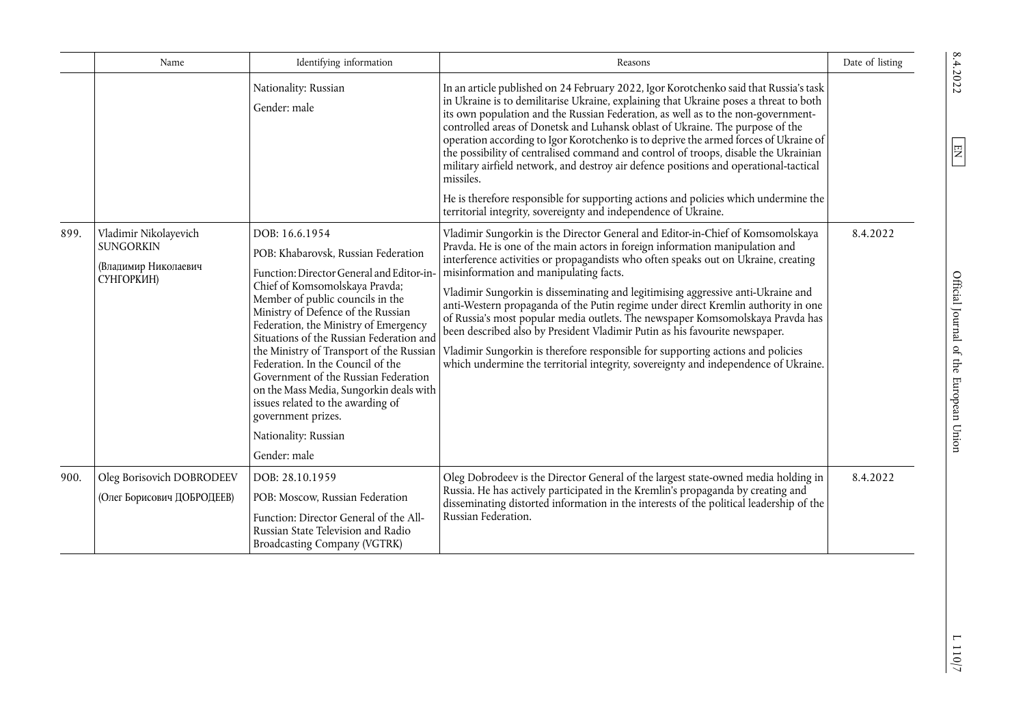|      | Name                                                                            | Identifying information                                                                                                                                                                                                                                                                                                                                                                                                                                                               | Reasons                                                                                                                                                                                                                                                                                                                                                                                                                                                                                                                                                                                                                                                                                                                                                                                                                                                        | Date of listing |
|------|---------------------------------------------------------------------------------|---------------------------------------------------------------------------------------------------------------------------------------------------------------------------------------------------------------------------------------------------------------------------------------------------------------------------------------------------------------------------------------------------------------------------------------------------------------------------------------|----------------------------------------------------------------------------------------------------------------------------------------------------------------------------------------------------------------------------------------------------------------------------------------------------------------------------------------------------------------------------------------------------------------------------------------------------------------------------------------------------------------------------------------------------------------------------------------------------------------------------------------------------------------------------------------------------------------------------------------------------------------------------------------------------------------------------------------------------------------|-----------------|
|      |                                                                                 | Nationality: Russian<br>Gender: male                                                                                                                                                                                                                                                                                                                                                                                                                                                  | In an article published on 24 February 2022, Igor Korotchenko said that Russia's task<br>in Ukraine is to demilitarise Ukraine, explaining that Ukraine poses a threat to both<br>its own population and the Russian Federation, as well as to the non-government-<br>controlled areas of Donetsk and Luhansk oblast of Ukraine. The purpose of the<br>operation according to Igor Korotchenko is to deprive the armed forces of Ukraine of<br>the possibility of centralised command and control of troops, disable the Ukrainian<br>military airfield network, and destroy air defence positions and operational-tactical<br>missiles.                                                                                                                                                                                                                       |                 |
|      |                                                                                 |                                                                                                                                                                                                                                                                                                                                                                                                                                                                                       | He is therefore responsible for supporting actions and policies which undermine the<br>territorial integrity, sovereignty and independence of Ukraine.                                                                                                                                                                                                                                                                                                                                                                                                                                                                                                                                                                                                                                                                                                         |                 |
| 899. | Vladimir Nikolayevich<br><b>SUNGORKIN</b><br>(Владимир Николаевич<br>СУНГОРКИН) | DOB: 16.6.1954<br>POB: Khabarovsk, Russian Federation<br>Function: Director General and Editor-in<br>Chief of Komsomolskaya Pravda;<br>Member of public councils in the<br>Ministry of Defence of the Russian<br>Federation, the Ministry of Emergency<br>Situations of the Russian Federation and<br>Federation. In the Council of the<br>Government of the Russian Federation<br>on the Mass Media, Sungorkin deals with<br>issues related to the awarding of<br>government prizes. | Vladimir Sungorkin is the Director General and Editor-in-Chief of Komsomolskaya<br>Pravda. He is one of the main actors in foreign information manipulation and<br>interference activities or propagandists who often speaks out on Ukraine, creating<br>misinformation and manipulating facts.<br>Vladimir Sungorkin is disseminating and legitimising aggressive anti-Ukraine and<br>anti-Western propaganda of the Putin regime under direct Kremlin authority in one<br>of Russia's most popular media outlets. The newspaper Komsomolskaya Pravda has<br>been described also by President Vladimir Putin as his favourite newspaper.<br>the Ministry of Transport of the Russian   Vladimir Sungorkin is therefore responsible for supporting actions and policies<br>which undermine the territorial integrity, sovereignty and independence of Ukraine. | 8.4.2022        |
|      |                                                                                 | Nationality: Russian                                                                                                                                                                                                                                                                                                                                                                                                                                                                  |                                                                                                                                                                                                                                                                                                                                                                                                                                                                                                                                                                                                                                                                                                                                                                                                                                                                |                 |
|      |                                                                                 | Gender: male                                                                                                                                                                                                                                                                                                                                                                                                                                                                          |                                                                                                                                                                                                                                                                                                                                                                                                                                                                                                                                                                                                                                                                                                                                                                                                                                                                |                 |
| 900. | Oleg Borisovich DOBRODEEV                                                       | DOB: 28.10.1959                                                                                                                                                                                                                                                                                                                                                                                                                                                                       | Oleg Dobrodeev is the Director General of the largest state-owned media holding in<br>Russia. He has actively participated in the Kremlin's propaganda by creating and                                                                                                                                                                                                                                                                                                                                                                                                                                                                                                                                                                                                                                                                                         | 8.4.2022        |
|      | (Олег Борисович ДОБРОДЕЕВ)                                                      | POB: Moscow, Russian Federation<br>Function: Director General of the All-<br>Russian State Television and Radio<br><b>Broadcasting Company (VGTRK)</b>                                                                                                                                                                                                                                                                                                                                | disseminating distorted information in the interests of the political leadership of the<br>Russian Federation.                                                                                                                                                                                                                                                                                                                                                                                                                                                                                                                                                                                                                                                                                                                                                 |                 |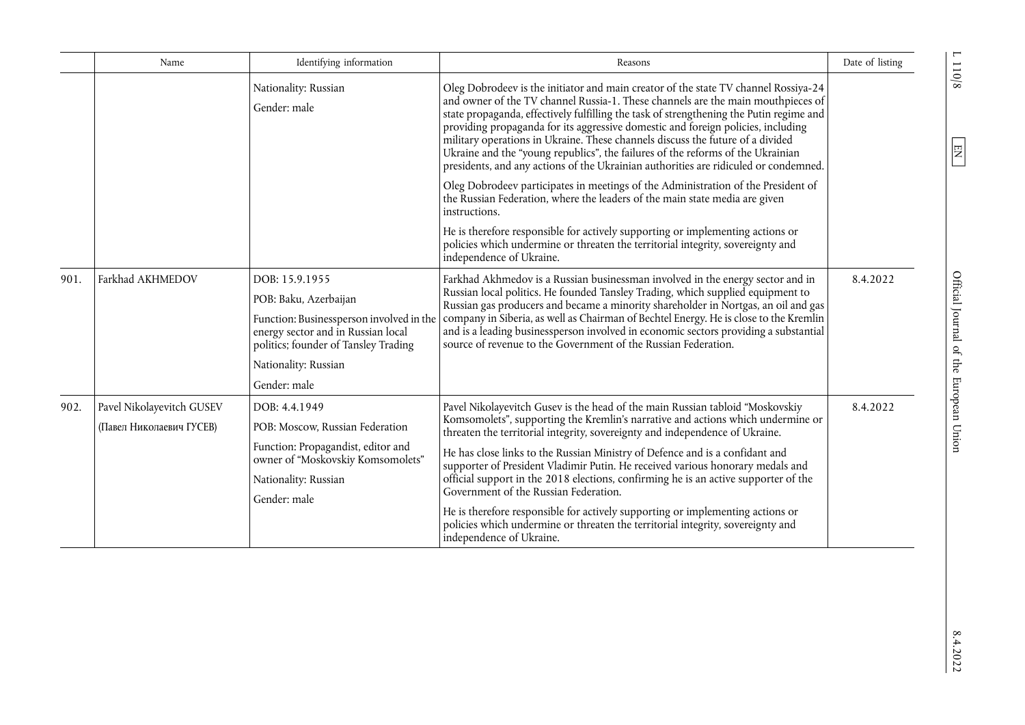|      | Name                                                                                                      | Identifying information                                                                                                                                                                                                                          | Reasons                                                                                                                                                                                                                                                                                                                                                                                                                                                                                                                                                                                                             | Date of listing |
|------|-----------------------------------------------------------------------------------------------------------|--------------------------------------------------------------------------------------------------------------------------------------------------------------------------------------------------------------------------------------------------|---------------------------------------------------------------------------------------------------------------------------------------------------------------------------------------------------------------------------------------------------------------------------------------------------------------------------------------------------------------------------------------------------------------------------------------------------------------------------------------------------------------------------------------------------------------------------------------------------------------------|-----------------|
|      |                                                                                                           | Nationality: Russian<br>Gender: male                                                                                                                                                                                                             | Oleg Dobrodeev is the initiator and main creator of the state TV channel Rossiya-24<br>and owner of the TV channel Russia-1. These channels are the main mouthpieces of<br>state propaganda, effectively fulfilling the task of strengthening the Putin regime and<br>providing propaganda for its aggressive domestic and foreign policies, including<br>military operations in Ukraine. These channels discuss the future of a divided<br>Ukraine and the "young republics", the failures of the reforms of the Ukrainian<br>presidents, and any actions of the Ukrainian authorities are ridiculed or condemned. |                 |
|      |                                                                                                           |                                                                                                                                                                                                                                                  | Oleg Dobrodeev participates in meetings of the Administration of the President of<br>the Russian Federation, where the leaders of the main state media are given<br>instructions.                                                                                                                                                                                                                                                                                                                                                                                                                                   |                 |
|      |                                                                                                           |                                                                                                                                                                                                                                                  | He is therefore responsible for actively supporting or implementing actions or<br>policies which undermine or threaten the territorial integrity, sovereignty and<br>independence of Ukraine.                                                                                                                                                                                                                                                                                                                                                                                                                       |                 |
| 901. | Farkhad AKHMEDOV                                                                                          | DOB: 15.9.1955<br>POB: Baku, Azerbaijan<br>Function: Businessperson involved in the<br>energy sector and in Russian local<br>politics; founder of Tansley Trading<br>Nationality: Russian                                                        | Farkhad Akhmedov is a Russian businessman involved in the energy sector and in<br>Russian local politics. He founded Tansley Trading, which supplied equipment to<br>Russian gas producers and became a minority shareholder in Nortgas, an oil and gas<br>company in Siberia, as well as Chairman of Bechtel Energy. He is close to the Kremlin<br>and is a leading businessperson involved in economic sectors providing a substantial<br>source of revenue to the Government of the Russian Federation.                                                                                                          | 8.4.2022        |
| 902. |                                                                                                           | Gender: male                                                                                                                                                                                                                                     |                                                                                                                                                                                                                                                                                                                                                                                                                                                                                                                                                                                                                     | 8.4.2022        |
|      | Pavel Nikolayevitch GUSEV<br>DOB: 4.4.1949<br>(Павел Николаевич ГУСЕВ)<br>POB: Moscow, Russian Federation | Pavel Nikolayevitch Gusev is the head of the main Russian tabloid "Moskovskiy<br>Komsomolets", supporting the Kremlin's narrative and actions which undermine or<br>threaten the territorial integrity, sovereignty and independence of Ukraine. |                                                                                                                                                                                                                                                                                                                                                                                                                                                                                                                                                                                                                     |                 |
|      |                                                                                                           | Function: Propagandist, editor and<br>owner of "Moskovskiy Komsomolets"<br>Nationality: Russian<br>Gender: male                                                                                                                                  | He has close links to the Russian Ministry of Defence and is a confidant and<br>supporter of President Vladimir Putin. He received various honorary medals and<br>official support in the 2018 elections, confirming he is an active supporter of the<br>Government of the Russian Federation.<br>He is therefore responsible for actively supporting or implementing actions or<br>policies which undermine or threaten the territorial integrity, sovereignty and<br>independence of Ukraine.                                                                                                                     |                 |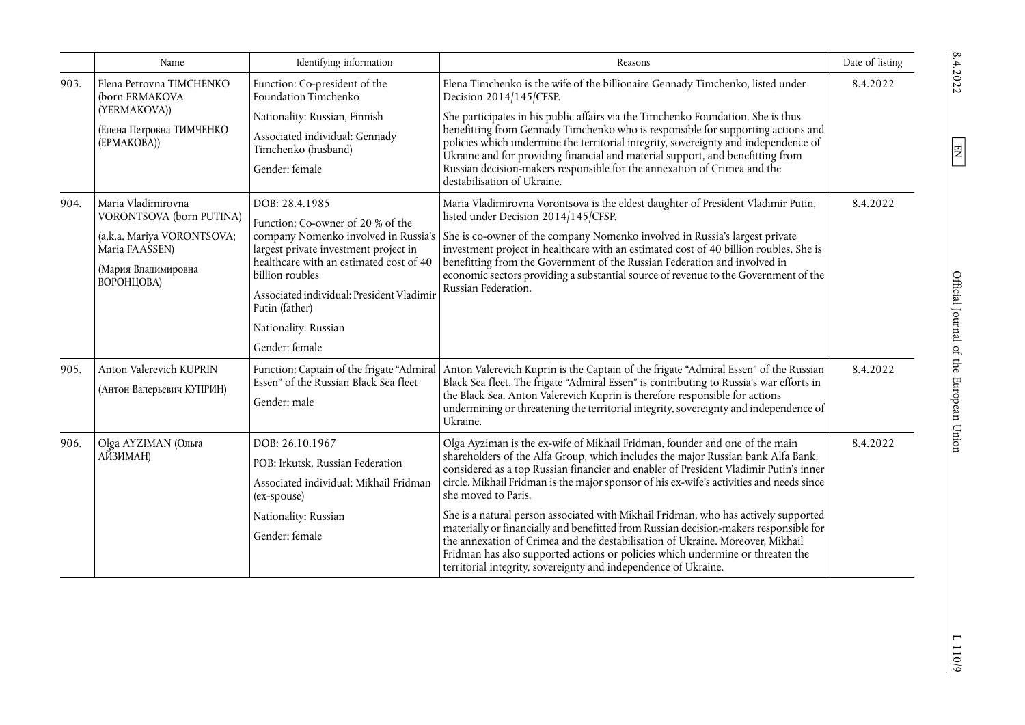|      | Name                                                                                                                                | Identifying information                                                                                                                                                                                                                                                                                     | Reasons                                                                                                                                                                                                                                                                                                                                                                                                                                                                                                                                                                                                                                                                                                                                                                                            | Date of listing |
|------|-------------------------------------------------------------------------------------------------------------------------------------|-------------------------------------------------------------------------------------------------------------------------------------------------------------------------------------------------------------------------------------------------------------------------------------------------------------|----------------------------------------------------------------------------------------------------------------------------------------------------------------------------------------------------------------------------------------------------------------------------------------------------------------------------------------------------------------------------------------------------------------------------------------------------------------------------------------------------------------------------------------------------------------------------------------------------------------------------------------------------------------------------------------------------------------------------------------------------------------------------------------------------|-----------------|
| 903. | Elena Petrovna TIMCHENKO<br>(born ERMAKOVA                                                                                          | Function: Co-president of the<br>Foundation Timchenko                                                                                                                                                                                                                                                       | Elena Timchenko is the wife of the billionaire Gennady Timchenko, listed under<br>Decision 2014/145/CFSP.                                                                                                                                                                                                                                                                                                                                                                                                                                                                                                                                                                                                                                                                                          | 8.4.2022        |
|      | (YERMAKOVA))<br>(Елена Петровна ТИМЧЕНКО<br>(EPMAKOBA))                                                                             | Nationality: Russian, Finnish<br>Associated individual: Gennady<br>Timchenko (husband)<br>Gender: female                                                                                                                                                                                                    | She participates in his public affairs via the Timchenko Foundation. She is thus<br>benefitting from Gennady Timchenko who is responsible for supporting actions and<br>policies which undermine the territorial integrity, sovereignty and independence of<br>Ukraine and for providing financial and material support, and benefitting from<br>Russian decision-makers responsible for the annexation of Crimea and the<br>destabilisation of Ukraine.                                                                                                                                                                                                                                                                                                                                           |                 |
| 904. | Maria Vladimirovna<br>VORONTSOVA (born PUTINA)<br>(a.k.a. Mariya VORONTSOVA;<br>Maria FAASSEN)<br>(Мария Владимировна<br>ВОРОНЦОВА) | DOB: 28.4.1985<br>Function: Co-owner of 20 % of the<br>company Nomenko involved in Russia's<br>largest private investment project in<br>healthcare with an estimated cost of 40<br>billion roubles<br>Associated individual: President Vladimir<br>Putin (father)<br>Nationality: Russian<br>Gender: female | Maria Vladimirovna Vorontsova is the eldest daughter of President Vladimir Putin,<br>listed under Decision 2014/145/CFSP.<br>She is co-owner of the company Nomenko involved in Russia's largest private<br>investment project in healthcare with an estimated cost of 40 billion roubles. She is<br>benefitting from the Government of the Russian Federation and involved in<br>economic sectors providing a substantial source of revenue to the Government of the<br>Russian Federation.                                                                                                                                                                                                                                                                                                       | 8.4.2022        |
| 905. | Anton Valerevich KUPRIN<br>(Антон Валерьевич КУПРИН)                                                                                | Function: Captain of the frigate "Admiral<br>Essen" of the Russian Black Sea fleet<br>Gender: male                                                                                                                                                                                                          | Anton Valerevich Kuprin is the Captain of the frigate "Admiral Essen" of the Russian<br>Black Sea fleet. The frigate "Admiral Essen" is contributing to Russia's war efforts in<br>the Black Sea. Anton Valerevich Kuprin is therefore responsible for actions<br>undermining or threatening the territorial integrity, sovereignty and independence of<br>Ukraine.                                                                                                                                                                                                                                                                                                                                                                                                                                | 8.4.2022        |
| 906. | Olga AYZIMAN (Ольга<br>АЙЗИМАН)                                                                                                     | DOB: 26.10.1967<br>POB: Irkutsk, Russian Federation<br>Associated individual: Mikhail Fridman<br>(ex-spouse)<br>Nationality: Russian<br>Gender: female                                                                                                                                                      | Olga Ayziman is the ex-wife of Mikhail Fridman, founder and one of the main<br>shareholders of the Alfa Group, which includes the major Russian bank Alfa Bank,<br>considered as a top Russian financier and enabler of President Vladimir Putin's inner<br>circle. Mikhail Fridman is the major sponsor of his ex-wife's activities and needs since<br>she moved to Paris.<br>She is a natural person associated with Mikhail Fridman, who has actively supported<br>materially or financially and benefitted from Russian decision-makers responsible for<br>the annexation of Crimea and the destabilisation of Ukraine. Moreover, Mikhail<br>Fridman has also supported actions or policies which undermine or threaten the<br>territorial integrity, sovereignty and independence of Ukraine. | 8.4.2022        |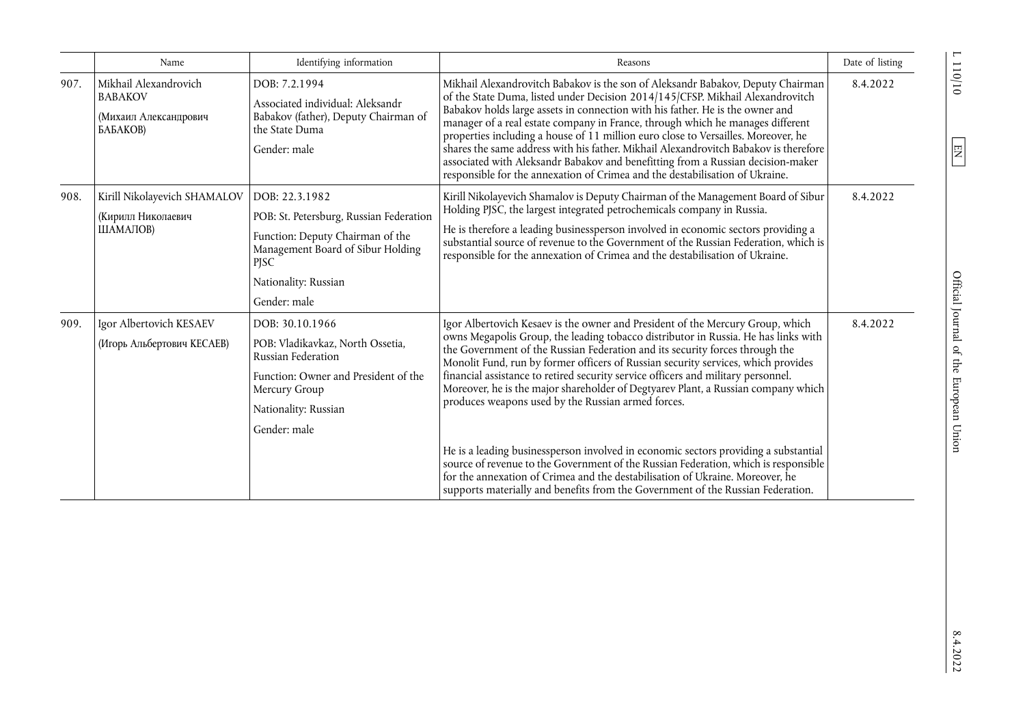|      | Name                                                                         | Identifying information                                                                                                                                                                   | Reasons                                                                                                                                                                                                                                                                                                                                                                                                                                                                                                                                                                                                                                                                                                                                                                                                                                                                                                                     | Date of listing |
|------|------------------------------------------------------------------------------|-------------------------------------------------------------------------------------------------------------------------------------------------------------------------------------------|-----------------------------------------------------------------------------------------------------------------------------------------------------------------------------------------------------------------------------------------------------------------------------------------------------------------------------------------------------------------------------------------------------------------------------------------------------------------------------------------------------------------------------------------------------------------------------------------------------------------------------------------------------------------------------------------------------------------------------------------------------------------------------------------------------------------------------------------------------------------------------------------------------------------------------|-----------------|
| 907. | Mikhail Alexandrovich<br><b>BABAKOV</b><br>(Михаил Александрович<br>БАБАКОВ) | DOB: 7.2.1994<br>Associated individual: Aleksandr<br>Babakov (father), Deputy Chairman of<br>the State Duma<br>Gender: male                                                               | Mikhail Alexandrovitch Babakov is the son of Aleksandr Babakov, Deputy Chairman<br>of the State Duma, listed under Decision 2014/145/CFSP. Mikhail Alexandrovitch<br>Babakov holds large assets in connection with his father. He is the owner and<br>manager of a real estate company in France, through which he manages different<br>properties including a house of 11 million euro close to Versailles. Moreover, he<br>shares the same address with his father. Mikhail Alexandrovitch Babakov is therefore<br>associated with Aleksandr Babakov and benefitting from a Russian decision-maker<br>responsible for the annexation of Crimea and the destabilisation of Ukraine.                                                                                                                                                                                                                                        | 8.4.2022        |
| 908. | Kirill Nikolayevich SHAMALOV<br>(Кирилл Николаевич<br>ШАМАЛОВ)               | DOB: 22.3.1982<br>POB: St. Petersburg, Russian Federation<br>Function: Deputy Chairman of the<br>Management Board of Sibur Holding<br><b>PJSC</b><br>Nationality: Russian<br>Gender: male | Kirill Nikolayevich Shamalov is Deputy Chairman of the Management Board of Sibur<br>Holding PJSC, the largest integrated petrochemicals company in Russia.<br>He is therefore a leading businessperson involved in economic sectors providing a<br>substantial source of revenue to the Government of the Russian Federation, which is<br>responsible for the annexation of Crimea and the destabilisation of Ukraine.                                                                                                                                                                                                                                                                                                                                                                                                                                                                                                      | 8.4.2022        |
| 909. | Igor Albertovich KESAEV<br>(Игорь Альбертович КЕСАЕВ)                        | DOB: 30.10.1966<br>POB: Vladikavkaz, North Ossetia,<br>Russian Federation<br>Function: Owner and President of the<br>Mercury Group<br>Nationality: Russian<br>Gender: male                | Igor Albertovich Kesaev is the owner and President of the Mercury Group, which<br>owns Megapolis Group, the leading tobacco distributor in Russia. He has links with<br>the Government of the Russian Federation and its security forces through the<br>Monolit Fund, run by former officers of Russian security services, which provides<br>financial assistance to retired security service officers and military personnel.<br>Moreover, he is the major shareholder of Degtyarev Plant, a Russian company which<br>produces weapons used by the Russian armed forces.<br>He is a leading businessperson involved in economic sectors providing a substantial<br>source of revenue to the Government of the Russian Federation, which is responsible<br>for the annexation of Crimea and the destabilisation of Ukraine. Moreover, he<br>supports materially and benefits from the Government of the Russian Federation. | 8.4.2022        |

 $\frac{110}{10}$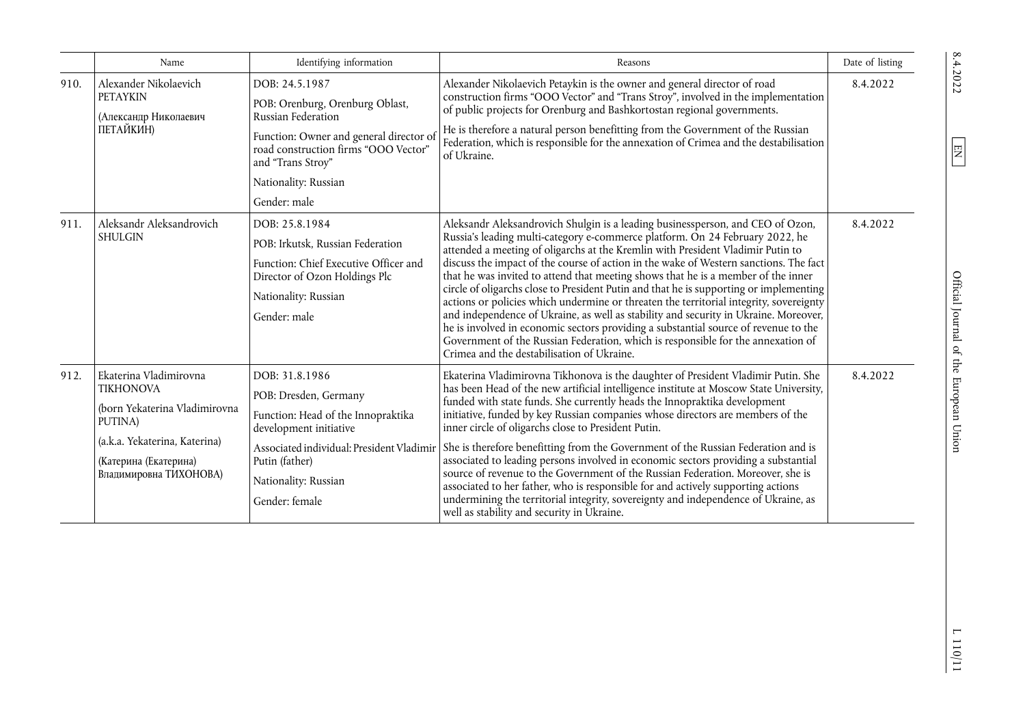|      | Name                                                                                                                                                                       | Identifying information                                                                                                                                                                                                 | Reasons                                                                                                                                                                                                                                                                                                                                                                                                                                                                                                                                                                                                                                                                                                                                                                                                                                                                                                                              | Date of listing |
|------|----------------------------------------------------------------------------------------------------------------------------------------------------------------------------|-------------------------------------------------------------------------------------------------------------------------------------------------------------------------------------------------------------------------|--------------------------------------------------------------------------------------------------------------------------------------------------------------------------------------------------------------------------------------------------------------------------------------------------------------------------------------------------------------------------------------------------------------------------------------------------------------------------------------------------------------------------------------------------------------------------------------------------------------------------------------------------------------------------------------------------------------------------------------------------------------------------------------------------------------------------------------------------------------------------------------------------------------------------------------|-----------------|
| 910. | Alexander Nikolaevich<br><b>PETAYKIN</b><br>(Александр Николаевич<br>ПЕТАЙКИН)                                                                                             | DOB: 24.5.1987<br>POB: Orenburg, Orenburg Oblast,<br>Russian Federation<br>Function: Owner and general director of<br>road construction firms "OOO Vector"<br>and "Trans Stroy"<br>Nationality: Russian<br>Gender: male | Alexander Nikolaevich Petaykin is the owner and general director of road<br>construction firms "OOO Vector" and "Trans Stroy", involved in the implementation<br>of public projects for Orenburg and Bashkortostan regional governments.<br>He is therefore a natural person benefitting from the Government of the Russian<br>Federation, which is responsible for the annexation of Crimea and the destabilisation<br>of Ukraine.                                                                                                                                                                                                                                                                                                                                                                                                                                                                                                  | 8.4.2022        |
| 911. | Aleksandr Aleksandrovich<br><b>SHULGIN</b>                                                                                                                                 | DOB: 25.8.1984<br>POB: Irkutsk, Russian Federation<br>Function: Chief Executive Officer and<br>Director of Ozon Holdings Plc<br>Nationality: Russian<br>Gender: male                                                    | Aleksandr Aleksandrovich Shulgin is a leading businessperson, and CEO of Ozon,<br>Russia's leading multi-category e-commerce platform. On 24 February 2022, he<br>attended a meeting of oligarchs at the Kremlin with President Vladimir Putin to<br>discuss the impact of the course of action in the wake of Western sanctions. The fact<br>that he was invited to attend that meeting shows that he is a member of the inner<br>circle of oligarchs close to President Putin and that he is supporting or implementing<br>actions or policies which undermine or threaten the territorial integrity, sovereignty<br>and independence of Ukraine, as well as stability and security in Ukraine. Moreover,<br>he is involved in economic sectors providing a substantial source of revenue to the<br>Government of the Russian Federation, which is responsible for the annexation of<br>Crimea and the destabilisation of Ukraine. | 8.4.2022        |
| 912. | Ekaterina Vladimirovna<br><b>TIKHONOVA</b><br>(born Yekaterina Vladimirovna<br>PUTINA)<br>(a.k.a. Yekaterina, Katerina)<br>(Катерина (Екатерина)<br>Владимировна ТИХОНОВА) | DOB: 31.8.1986<br>POB: Dresden, Germany<br>Function: Head of the Innopraktika<br>development initiative<br>Associated individual: President Vladimir<br>Putin (father)<br>Nationality: Russian<br>Gender: female        | Ekaterina Vladimirovna Tikhonova is the daughter of President Vladimir Putin. She<br>has been Head of the new artificial intelligence institute at Moscow State University,<br>funded with state funds. She currently heads the Innopraktika development<br>initiative, funded by key Russian companies whose directors are members of the<br>inner circle of oligarchs close to President Putin.<br>She is therefore benefitting from the Government of the Russian Federation and is<br>associated to leading persons involved in economic sectors providing a substantial<br>source of revenue to the Government of the Russian Federation. Moreover, she is<br>associated to her father, who is responsible for and actively supporting actions<br>undermining the territorial integrity, sovereignty and independence of Ukraine, as<br>well as stability and security in Ukraine.                                              | 8.4.2022        |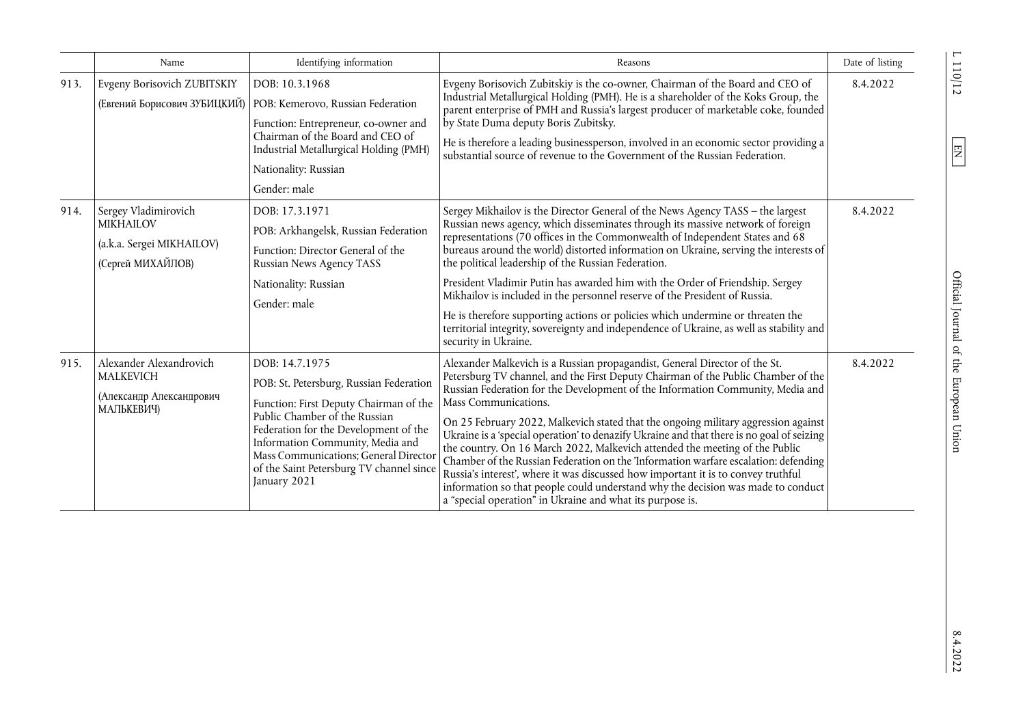|      | Name                                                                                       | Identifying information                                                                                                                                                                                                                                                                                                | Reasons                                                                                                                                                                                                                                                                                                                                                                                                                                                                                                                                                                                                                                                                                                                                                                                                                                                                  | Date of listing |
|------|--------------------------------------------------------------------------------------------|------------------------------------------------------------------------------------------------------------------------------------------------------------------------------------------------------------------------------------------------------------------------------------------------------------------------|--------------------------------------------------------------------------------------------------------------------------------------------------------------------------------------------------------------------------------------------------------------------------------------------------------------------------------------------------------------------------------------------------------------------------------------------------------------------------------------------------------------------------------------------------------------------------------------------------------------------------------------------------------------------------------------------------------------------------------------------------------------------------------------------------------------------------------------------------------------------------|-----------------|
| 913. | Evgeny Borisovich ZUBITSKIY<br>(Евгений Борисович ЗУБИЦКИЙ)                                | DOB: 10.3.1968<br>POB: Kemerovo, Russian Federation<br>Function: Entrepreneur, co-owner and<br>Chairman of the Board and CEO of<br>Industrial Metallurgical Holding (PMH)<br>Nationality: Russian<br>Gender: male                                                                                                      | Evgeny Borisovich Zubitskiy is the co-owner, Chairman of the Board and CEO of<br>Industrial Metallurgical Holding (PMH). He is a shareholder of the Koks Group, the<br>parent enterprise of PMH and Russia's largest producer of marketable coke, founded<br>by State Duma deputy Boris Zubitsky.<br>He is therefore a leading businessperson, involved in an economic sector providing a<br>substantial source of revenue to the Government of the Russian Federation.                                                                                                                                                                                                                                                                                                                                                                                                  | 8.4.2022        |
| 914. | Sergey Vladimirovich<br><b>MIKHAILOV</b><br>(a.k.a. Sergei MIKHAILOV)<br>(Сергей МИХАЙЛОВ) | DOB: 17.3.1971<br>POB: Arkhangelsk, Russian Federation<br>Function: Director General of the<br>Russian News Agency TASS<br>Nationality: Russian<br>Gender: male                                                                                                                                                        | Sergey Mikhailov is the Director General of the News Agency TASS - the largest<br>Russian news agency, which disseminates through its massive network of foreign<br>representations (70 offices in the Commonwealth of Independent States and 68<br>bureaus around the world) distorted information on Ukraine, serving the interests of<br>the political leadership of the Russian Federation.<br>President Vladimir Putin has awarded him with the Order of Friendship. Sergey<br>Mikhailov is included in the personnel reserve of the President of Russia.<br>He is therefore supporting actions or policies which undermine or threaten the<br>territorial integrity, sovereignty and independence of Ukraine, as well as stability and<br>security in Ukraine.                                                                                                     | 8.4.2022        |
| 915. | Alexander Alexandrovich<br><b>MALKEVICH</b><br>(Александр Александрович<br>МАЛЬКЕВИЧ)      | DOB: 14.7.1975<br>POB: St. Petersburg, Russian Federation<br>Function: First Deputy Chairman of the<br>Public Chamber of the Russian<br>Federation for the Development of the<br>Information Community, Media and<br>Mass Communications; General Director<br>of the Saint Petersburg TV channel since<br>January 2021 | Alexander Malkevich is a Russian propagandist, General Director of the St.<br>Petersburg TV channel, and the First Deputy Chairman of the Public Chamber of the<br>Russian Federation for the Development of the Information Community, Media and<br>Mass Communications.<br>On 25 February 2022, Malkevich stated that the ongoing military aggression against<br>Ukraine is a 'special operation' to denazify Ukraine and that there is no goal of seizing<br>the country. On 16 March 2022, Malkevich attended the meeting of the Public<br>Chamber of the Russian Federation on the 'Information warfare escalation: defending<br>Russia's interest', where it was discussed how important it is to convey truthful<br>information so that people could understand why the decision was made to conduct<br>a "special operation" in Ukraine and what its purpose is. | 8.4.2022        |

 $\overline{L}$ 110/12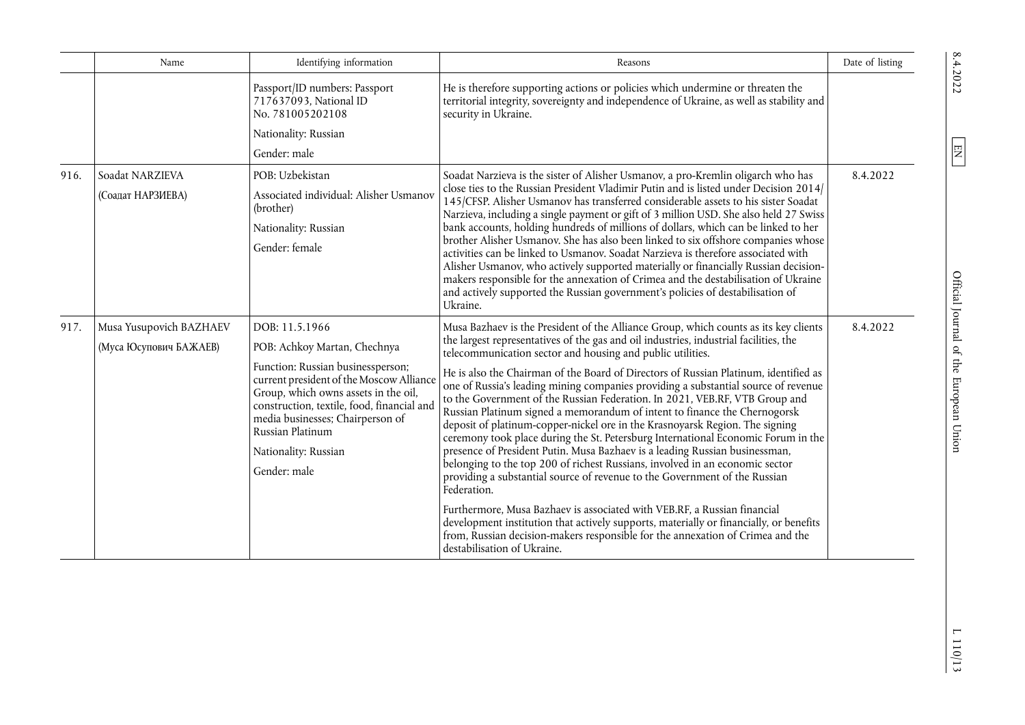|      | Name                                              | Identifying information                                                                                                                                                                                                                                             | Reasons                                                                                                                                                                                                                                                                                                                                                                                                                                                                                                                                                                                                                                                                                                                                                                                                                                                                                             | Date of listing |
|------|---------------------------------------------------|---------------------------------------------------------------------------------------------------------------------------------------------------------------------------------------------------------------------------------------------------------------------|-----------------------------------------------------------------------------------------------------------------------------------------------------------------------------------------------------------------------------------------------------------------------------------------------------------------------------------------------------------------------------------------------------------------------------------------------------------------------------------------------------------------------------------------------------------------------------------------------------------------------------------------------------------------------------------------------------------------------------------------------------------------------------------------------------------------------------------------------------------------------------------------------------|-----------------|
|      |                                                   | Passport/ID numbers: Passport<br>717637093, National ID<br>No. 781005202108                                                                                                                                                                                         | He is therefore supporting actions or policies which undermine or threaten the<br>territorial integrity, sovereignty and independence of Ukraine, as well as stability and<br>security in Ukraine.                                                                                                                                                                                                                                                                                                                                                                                                                                                                                                                                                                                                                                                                                                  |                 |
|      |                                                   | Nationality: Russian                                                                                                                                                                                                                                                |                                                                                                                                                                                                                                                                                                                                                                                                                                                                                                                                                                                                                                                                                                                                                                                                                                                                                                     |                 |
|      |                                                   | Gender: male                                                                                                                                                                                                                                                        |                                                                                                                                                                                                                                                                                                                                                                                                                                                                                                                                                                                                                                                                                                                                                                                                                                                                                                     |                 |
| 916. | Soadat NARZIEVA<br>(Соадат НАРЗИЕВА)              | POB: Uzbekistan<br>Associated individual: Alisher Usmanov<br>(brother)<br>Nationality: Russian<br>Gender: female                                                                                                                                                    | Soadat Narzieva is the sister of Alisher Usmanov, a pro-Kremlin oligarch who has<br>close ties to the Russian President Vladimir Putin and is listed under Decision 2014/<br>145/CFSP. Alisher Usmanov has transferred considerable assets to his sister Soadat<br>Narzieva, including a single payment or gift of 3 million USD. She also held 27 Swiss<br>bank accounts, holding hundreds of millions of dollars, which can be linked to her<br>brother Alisher Usmanov. She has also been linked to six offshore companies whose<br>activities can be linked to Usmanov. Soadat Narzieva is therefore associated with<br>Alisher Usmanov, who actively supported materially or financially Russian decision-<br>makers responsible for the annexation of Crimea and the destabilisation of Ukraine<br>and actively supported the Russian government's policies of destabilisation of<br>Ukraine. | 8.4.2022        |
| 917. | Musa Yusupovich BAZHAEV<br>(Муса Юсупович БАЖАЕВ) | DOB: 11.5.1966<br>POB: Achkoy Martan, Chechnya                                                                                                                                                                                                                      | Musa Bazhaev is the President of the Alliance Group, which counts as its key clients<br>the largest representatives of the gas and oil industries, industrial facilities, the                                                                                                                                                                                                                                                                                                                                                                                                                                                                                                                                                                                                                                                                                                                       | 8.4.2022        |
|      |                                                   | Function: Russian businessperson;<br>current president of the Moscow Alliance<br>Group, which owns assets in the oil,<br>construction, textile, food, financial and<br>media businesses; Chairperson of<br>Russian Platinum<br>Nationality: Russian<br>Gender: male | telecommunication sector and housing and public utilities.<br>He is also the Chairman of the Board of Directors of Russian Platinum, identified as<br>one of Russia's leading mining companies providing a substantial source of revenue<br>to the Government of the Russian Federation. In 2021, VEB.RF, VTB Group and<br>Russian Platinum signed a memorandum of intent to finance the Chernogorsk<br>deposit of platinum-copper-nickel ore in the Krasnoyarsk Region. The signing<br>ceremony took place during the St. Petersburg International Economic Forum in the<br>presence of President Putin. Musa Bazhaev is a leading Russian businessman,<br>belonging to the top 200 of richest Russians, involved in an economic sector<br>providing a substantial source of revenue to the Government of the Russian<br>Federation.                                                               |                 |
|      |                                                   |                                                                                                                                                                                                                                                                     | Furthermore, Musa Bazhaev is associated with VEB.RF, a Russian financial<br>development institution that actively supports, materially or financially, or benefits<br>from, Russian decision-makers responsible for the annexation of Crimea and the<br>destabilisation of Ukraine.                                                                                                                                                                                                                                                                                                                                                                                                                                                                                                                                                                                                                 |                 |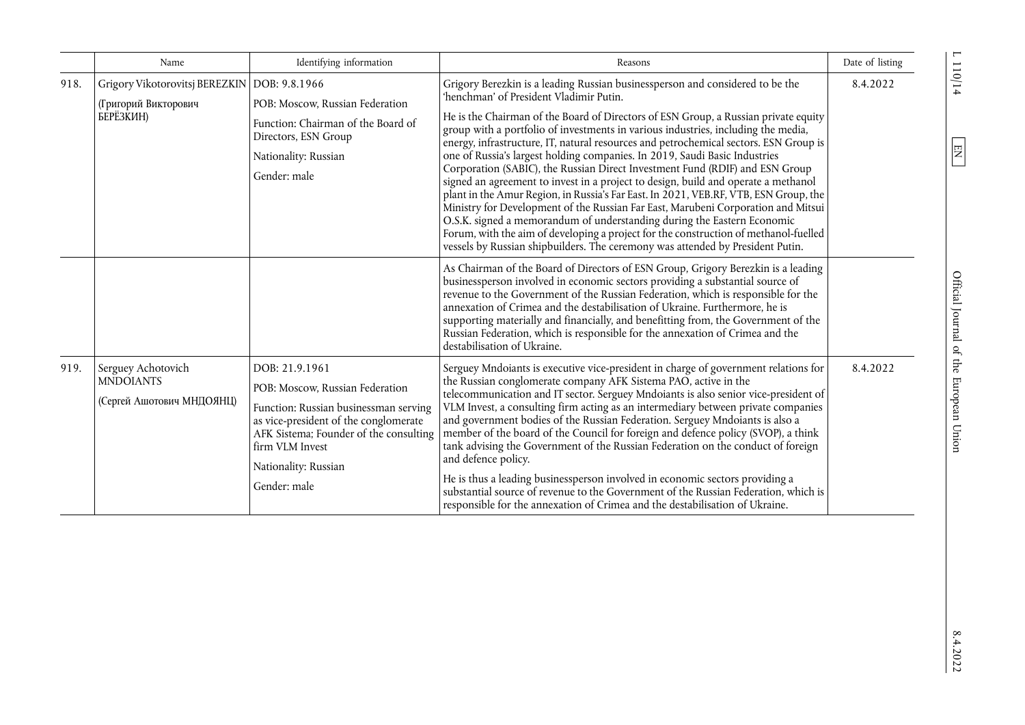|      | Name                                                                                | Identifying information                                                                                                                                                                                                                  | Reasons                                                                                                                                                                                                                                                                                                                                                                                                                                                                                                                                                                                                                                                                                                                                                                                                                                                                                                                                                                                                                                                                             | Date of listing |
|------|-------------------------------------------------------------------------------------|------------------------------------------------------------------------------------------------------------------------------------------------------------------------------------------------------------------------------------------|-------------------------------------------------------------------------------------------------------------------------------------------------------------------------------------------------------------------------------------------------------------------------------------------------------------------------------------------------------------------------------------------------------------------------------------------------------------------------------------------------------------------------------------------------------------------------------------------------------------------------------------------------------------------------------------------------------------------------------------------------------------------------------------------------------------------------------------------------------------------------------------------------------------------------------------------------------------------------------------------------------------------------------------------------------------------------------------|-----------------|
| 918. | Grigory Vikotorovitsj BEREZKIN   DOB: 9.8.1966<br>(Григорий Викторович<br>БЕРЁЗКИН) | POB: Moscow, Russian Federation<br>Function: Chairman of the Board of<br>Directors, ESN Group<br>Nationality: Russian<br>Gender: male                                                                                                    | Grigory Berezkin is a leading Russian businessperson and considered to be the<br>'henchman' of President Vladimir Putin.<br>He is the Chairman of the Board of Directors of ESN Group, a Russian private equity<br>group with a portfolio of investments in various industries, including the media,<br>energy, infrastructure, IT, natural resources and petrochemical sectors. ESN Group is<br>one of Russia's largest holding companies. In 2019, Saudi Basic Industries<br>Corporation (SABIC), the Russian Direct Investment Fund (RDIF) and ESN Group<br>signed an agreement to invest in a project to design, build and operate a methanol<br>plant in the Amur Region, in Russia's Far East. In 2021, VEB.RF, VTB, ESN Group, the<br>Ministry for Development of the Russian Far East, Marubeni Corporation and Mitsui<br>O.S.K. signed a memorandum of understanding during the Eastern Economic<br>Forum, with the aim of developing a project for the construction of methanol-fuelled<br>vessels by Russian shipbuilders. The ceremony was attended by President Putin. | 8.4.2022        |
|      |                                                                                     |                                                                                                                                                                                                                                          | As Chairman of the Board of Directors of ESN Group, Grigory Berezkin is a leading<br>businessperson involved in economic sectors providing a substantial source of<br>revenue to the Government of the Russian Federation, which is responsible for the<br>annexation of Crimea and the destabilisation of Ukraine. Furthermore, he is<br>supporting materially and financially, and benefitting from, the Government of the<br>Russian Federation, which is responsible for the annexation of Crimea and the<br>destabilisation of Ukraine.                                                                                                                                                                                                                                                                                                                                                                                                                                                                                                                                        |                 |
| 919. | Serguey Achotovich<br><b>MNDOIANTS</b><br>(Сергей Ашотович МНДОЯНЦ)                 | DOB: 21.9.1961<br>POB: Moscow, Russian Federation<br>Function: Russian businessman serving<br>as vice-president of the conglomerate<br>AFK Sistema; Founder of the consulting<br>firm VLM Invest<br>Nationality: Russian<br>Gender: male | Serguey Mndoiants is executive vice-president in charge of government relations for<br>the Russian conglomerate company AFK Sistema PAO, active in the<br>telecommunication and IT sector. Serguey Mndoiants is also senior vice-president of<br>VLM Invest, a consulting firm acting as an intermediary between private companies<br>and government bodies of the Russian Federation. Serguey Mndoiants is also a<br>member of the board of the Council for foreign and defence policy (SVOP), a think<br>tank advising the Government of the Russian Federation on the conduct of foreign<br>and defence policy.<br>He is thus a leading businessperson involved in economic sectors providing a<br>substantial source of revenue to the Government of the Russian Federation, which is<br>responsible for the annexation of Crimea and the destabilisation of Ukraine.                                                                                                                                                                                                           | 8.4.2022        |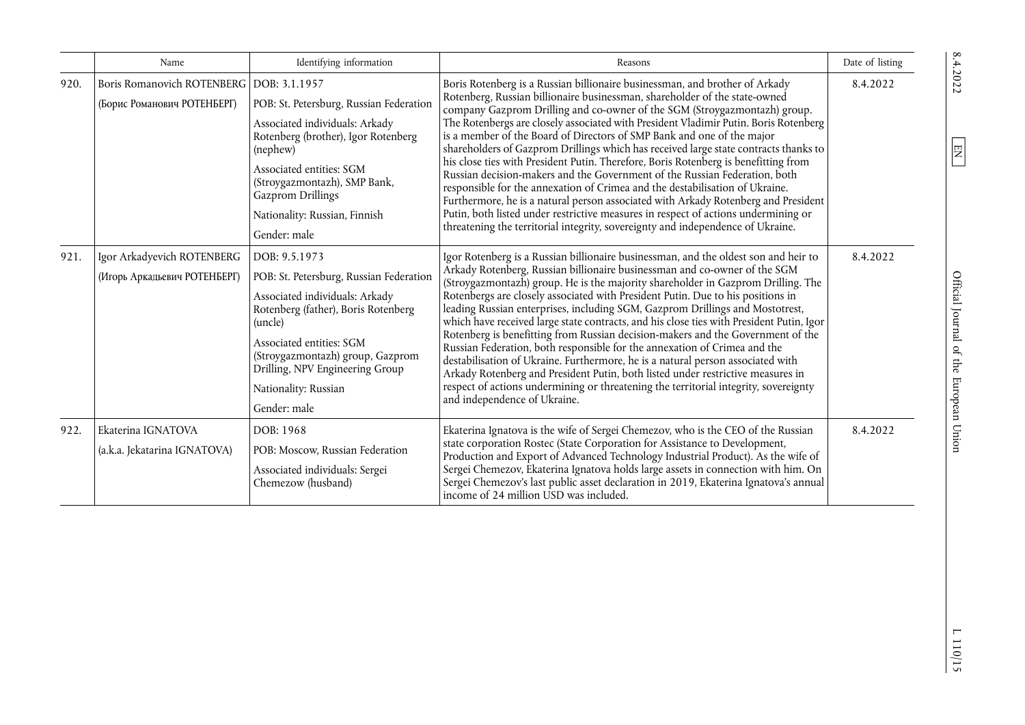|      | Name                                                                      | Identifying information                                                                                                                                                                                                                                                                 | Reasons                                                                                                                                                                                                                                                                                                                                                                                                                                                                                                                                                                                                                                                                                                                                                                                                                                                                                                                                                                                                              | Date of listing |
|------|---------------------------------------------------------------------------|-----------------------------------------------------------------------------------------------------------------------------------------------------------------------------------------------------------------------------------------------------------------------------------------|----------------------------------------------------------------------------------------------------------------------------------------------------------------------------------------------------------------------------------------------------------------------------------------------------------------------------------------------------------------------------------------------------------------------------------------------------------------------------------------------------------------------------------------------------------------------------------------------------------------------------------------------------------------------------------------------------------------------------------------------------------------------------------------------------------------------------------------------------------------------------------------------------------------------------------------------------------------------------------------------------------------------|-----------------|
| 920. | Boris Romanovich ROTENBERG   DOB: 3.1.1957<br>(Борис Романович РОТЕНБЕРГ) | POB: St. Petersburg, Russian Federation<br>Associated individuals: Arkady<br>Rotenberg (brother), Igor Rotenberg<br>(nephew)<br>Associated entities: SGM<br>(Stroygazmontazh), SMP Bank,<br>Gazprom Drillings<br>Nationality: Russian, Finnish<br>Gender: male                          | Boris Rotenberg is a Russian billionaire businessman, and brother of Arkady<br>Rotenberg, Russian billionaire businessman, shareholder of the state-owned<br>company Gazprom Drilling and co-owner of the SGM (Stroygazmontazh) group.<br>The Rotenbergs are closely associated with President Vladimir Putin. Boris Rotenberg<br>is a member of the Board of Directors of SMP Bank and one of the major<br>shareholders of Gazprom Drillings which has received large state contracts thanks to<br>his close ties with President Putin. Therefore, Boris Rotenberg is benefitting from<br>Russian decision-makers and the Government of the Russian Federation, both<br>responsible for the annexation of Crimea and the destabilisation of Ukraine.<br>Furthermore, he is a natural person associated with Arkady Rotenberg and President<br>Putin, both listed under restrictive measures in respect of actions undermining or<br>threatening the territorial integrity, sovereignty and independence of Ukraine. | 8.4.2022        |
| 921. | Igor Arkadyevich ROTENBERG<br>(Игорь Аркадьевич РОТЕНБЕРГ)                | DOB: 9.5.1973<br>POB: St. Petersburg, Russian Federation<br>Associated individuals: Arkady<br>Rotenberg (father), Boris Rotenberg<br>(uncle)<br>Associated entities: SGM<br>(Stroygazmontazh) group, Gazprom<br>Drilling, NPV Engineering Group<br>Nationality: Russian<br>Gender: male | Igor Rotenberg is a Russian billionaire businessman, and the oldest son and heir to<br>Arkady Rotenberg, Russian billionaire businessman and co-owner of the SGM<br>(Stroygazmontazh) group. He is the majority shareholder in Gazprom Drilling. The<br>Rotenbergs are closely associated with President Putin. Due to his positions in<br>leading Russian enterprises, including SGM, Gazprom Drillings and Mostotrest,<br>which have received large state contracts, and his close ties with President Putin, Igor<br>Rotenberg is benefitting from Russian decision-makers and the Government of the<br>Russian Federation, both responsible for the annexation of Crimea and the<br>destabilisation of Ukraine. Furthermore, he is a natural person associated with<br>Arkady Rotenberg and President Putin, both listed under restrictive measures in<br>respect of actions undermining or threatening the territorial integrity, sovereignty<br>and independence of Ukraine.                                   | 8.4.2022        |
| 922. | Ekaterina IGNATOVA<br>(a.k.a. Jekatarina IGNATOVA)                        | DOB: 1968<br>POB: Moscow, Russian Federation<br>Associated individuals: Sergei<br>Chemezow (husband)                                                                                                                                                                                    | Ekaterina Ignatova is the wife of Sergei Chemezov, who is the CEO of the Russian<br>state corporation Rostec (State Corporation for Assistance to Development,<br>Production and Export of Advanced Technology Industrial Product). As the wife of<br>Sergei Chemezov, Ekaterina Ignatova holds large assets in connection with him. On<br>Sergei Chemezov's last public asset declaration in 2019, Ekaterina Ignatova's annual<br>income of 24 million USD was included.                                                                                                                                                                                                                                                                                                                                                                                                                                                                                                                                            | 8.4.2022        |

 $\boxed{\text{EN}}$ 

 $L$  110/15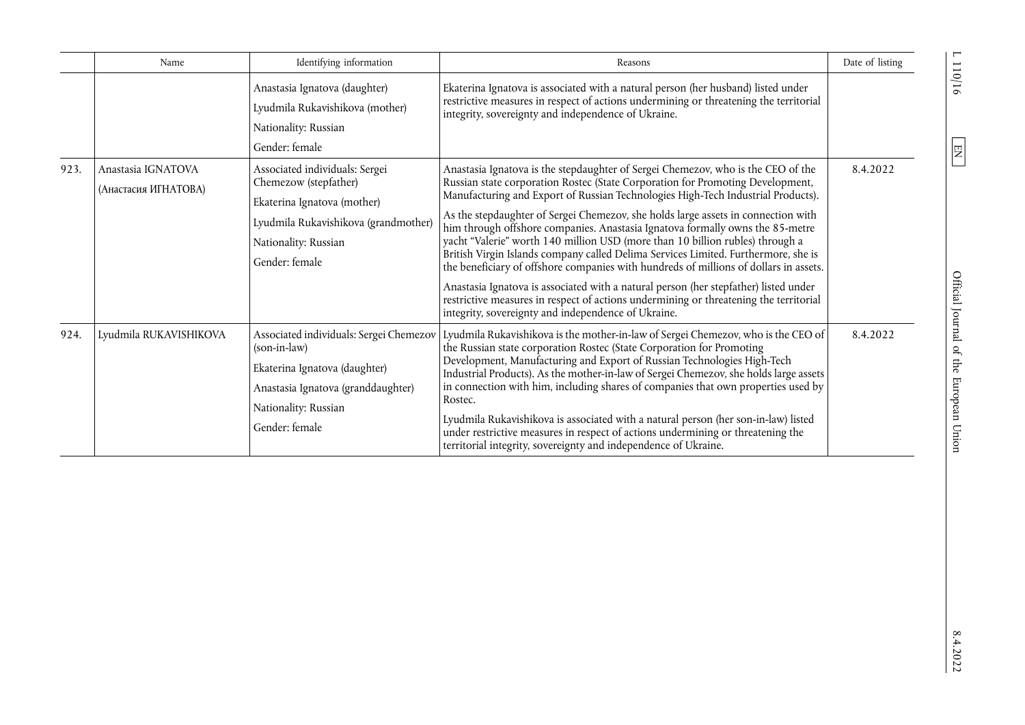|      | Name                                       | Identifying information                                                                                                                                                  | Reasons                                                                                                                                                                                                                                                                                                                                                                                                                                                                                                                                                                                                                                                                                                                                                                                                                                                                                                                              | Date of listing |
|------|--------------------------------------------|--------------------------------------------------------------------------------------------------------------------------------------------------------------------------|--------------------------------------------------------------------------------------------------------------------------------------------------------------------------------------------------------------------------------------------------------------------------------------------------------------------------------------------------------------------------------------------------------------------------------------------------------------------------------------------------------------------------------------------------------------------------------------------------------------------------------------------------------------------------------------------------------------------------------------------------------------------------------------------------------------------------------------------------------------------------------------------------------------------------------------|-----------------|
|      |                                            | Anastasia Ignatova (daughter)<br>Lyudmila Rukavishikova (mother)<br>Nationality: Russian<br>Gender: female                                                               | Ekaterina Ignatova is associated with a natural person (her husband) listed under<br>restrictive measures in respect of actions undermining or threatening the territorial<br>integrity, sovereignty and independence of Ukraine.                                                                                                                                                                                                                                                                                                                                                                                                                                                                                                                                                                                                                                                                                                    |                 |
| 923. | Anastasia IGNATOVA<br>(Анастасия ИГНАТОВА) | Associated individuals: Sergei<br>Chemezow (stepfather)<br>Ekaterina Ignatova (mother)<br>Lyudmila Rukavishikova (grandmother)<br>Nationality: Russian<br>Gender: female | Anastasia Ignatova is the stepdaughter of Sergei Chemezov, who is the CEO of the<br>Russian state corporation Rostec (State Corporation for Promoting Development,<br>Manufacturing and Export of Russian Technologies High-Tech Industrial Products).<br>As the stepdaughter of Sergei Chemezov, she holds large assets in connection with<br>him through offshore companies. Anastasia Ignatova formally owns the 85-metre<br>yacht "Valerie" worth 140 million USD (more than 10 billion rubles) through a<br>British Virgin Islands company called Delima Services Limited. Furthermore, she is<br>the beneficiary of offshore companies with hundreds of millions of dollars in assets.<br>Anastasia Ignatova is associated with a natural person (her stepfather) listed under<br>restrictive measures in respect of actions undermining or threatening the territorial<br>integrity, sovereignty and independence of Ukraine. | 8.4.2022        |
| 924. | Lyudmila RUKAVISHIKOVA                     | (son-in-law)<br>Ekaterina Ignatova (daughter)<br>Anastasia Ignatova (granddaughter)<br>Nationality: Russian<br>Gender: female                                            | Associated individuals: Sergei Chemezov   Lyudmila Rukavishikova is the mother-in-law of Sergei Chemezov, who is the CEO of<br>the Russian state corporation Rostec (State Corporation for Promoting<br>Development, Manufacturing and Export of Russian Technologies High-Tech<br>Industrial Products). As the mother-in-law of Sergei Chemezov, she holds large assets<br>in connection with him, including shares of companies that own properties used by<br>Rostec.<br>Lyudmila Rukavishikova is associated with a natural person (her son-in-law) listed<br>under restrictive measures in respect of actions undermining or threatening the<br>territorial integrity, sovereignty and independence of Ukraine.                                                                                                                                                                                                                 | 8.4.2022        |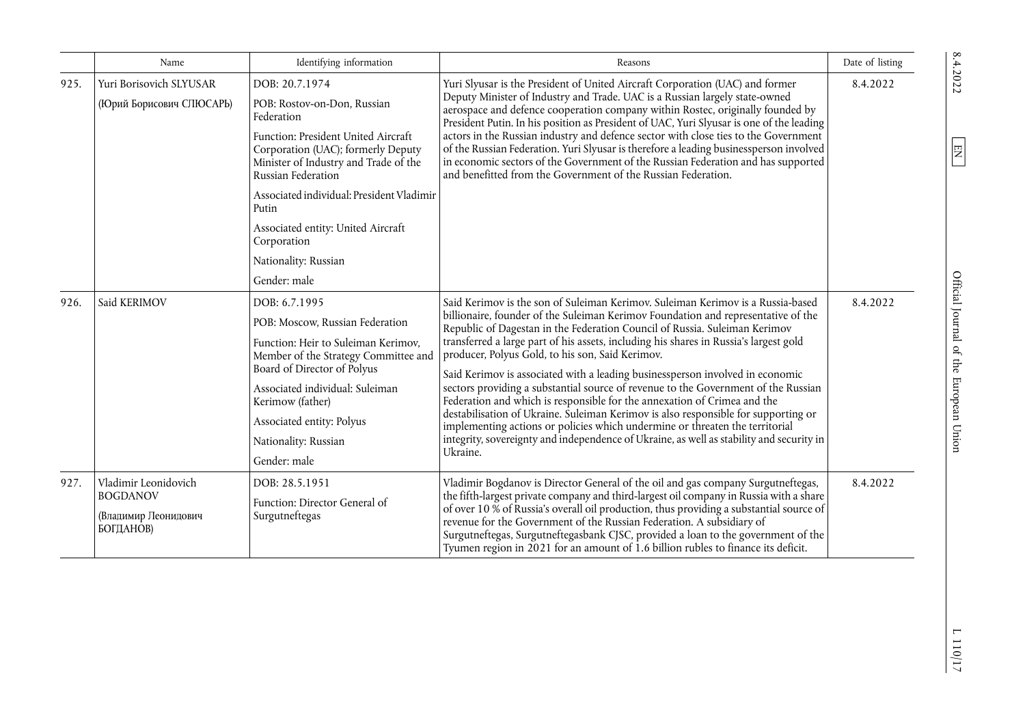|      | Name                                                                         | Identifying information                                                                                                                                                                                                                                                                    | Reasons                                                                                                                                                                                                                                                                                                                                                                                                                                                                                                                                                                                                                                                                                                                                                                                                                                                                                                                          | Date of listing |
|------|------------------------------------------------------------------------------|--------------------------------------------------------------------------------------------------------------------------------------------------------------------------------------------------------------------------------------------------------------------------------------------|----------------------------------------------------------------------------------------------------------------------------------------------------------------------------------------------------------------------------------------------------------------------------------------------------------------------------------------------------------------------------------------------------------------------------------------------------------------------------------------------------------------------------------------------------------------------------------------------------------------------------------------------------------------------------------------------------------------------------------------------------------------------------------------------------------------------------------------------------------------------------------------------------------------------------------|-----------------|
| 925. | Yuri Borisovich SLYUSAR<br>(Юрий Борисович СПЮСАРЬ)                          | DOB: 20.7.1974<br>POB: Rostov-on-Don, Russian<br>Federation<br>Function: President United Aircraft<br>Corporation (UAC); formerly Deputy<br>Minister of Industry and Trade of the<br>Russian Federation                                                                                    | Yuri Slyusar is the President of United Aircraft Corporation (UAC) and former<br>Deputy Minister of Industry and Trade. UAC is a Russian largely state-owned<br>aerospace and defence cooperation company within Rostec, originally founded by<br>President Putin. In his position as President of UAC, Yuri Slyusar is one of the leading<br>actors in the Russian industry and defence sector with close ties to the Government<br>of the Russian Federation. Yuri Slyusar is therefore a leading businessperson involved<br>in economic sectors of the Government of the Russian Federation and has supported<br>and benefitted from the Government of the Russian Federation.                                                                                                                                                                                                                                                | 8.4.2022        |
|      |                                                                              | Associated individual: President Vladimir<br>Putin<br>Associated entity: United Aircraft<br>Corporation                                                                                                                                                                                    |                                                                                                                                                                                                                                                                                                                                                                                                                                                                                                                                                                                                                                                                                                                                                                                                                                                                                                                                  |                 |
|      |                                                                              | Nationality: Russian<br>Gender: male                                                                                                                                                                                                                                                       |                                                                                                                                                                                                                                                                                                                                                                                                                                                                                                                                                                                                                                                                                                                                                                                                                                                                                                                                  |                 |
| 926. | Said KERIMOV                                                                 | DOB: 6.7.1995<br>POB: Moscow, Russian Federation<br>Function: Heir to Suleiman Kerimov,<br>Member of the Strategy Committee and<br>Board of Director of Polyus<br>Associated individual: Suleiman<br>Kerimow (father)<br>Associated entity: Polyus<br>Nationality: Russian<br>Gender: male | Said Kerimov is the son of Suleiman Kerimov. Suleiman Kerimov is a Russia-based<br>billionaire, founder of the Suleiman Kerimov Foundation and representative of the<br>Republic of Dagestan in the Federation Council of Russia. Suleiman Kerimov<br>transferred a large part of his assets, including his shares in Russia's largest gold<br>producer, Polyus Gold, to his son, Said Kerimov.<br>Said Kerimov is associated with a leading businessperson involved in economic<br>sectors providing a substantial source of revenue to the Government of the Russian<br>Federation and which is responsible for the annexation of Crimea and the<br>destabilisation of Ukraine. Suleiman Kerimov is also responsible for supporting or<br>implementing actions or policies which undermine or threaten the territorial<br>integrity, sovereignty and independence of Ukraine, as well as stability and security in<br>Ukraine. | 8.4.2022        |
| 927. | Vladimir Leonidovich<br><b>BOGDANOV</b><br>(Владимир Леонидович<br>БОГДАНОВ) | DOB: 28.5.1951<br>Function: Director General of<br>Surgutneftegas                                                                                                                                                                                                                          | Vladimir Bogdanov is Director General of the oil and gas company Surgutneftegas,<br>the fifth-largest private company and third-largest oil company in Russia with a share<br>of over 10 % of Russia's overall oil production, thus providing a substantial source of<br>revenue for the Government of the Russian Federation. A subsidiary of<br>Surgutneftegas, Surgutneftegasbank CJSC, provided a loan to the government of the<br>Tyumen region in 2021 for an amount of 1.6 billion rubles to finance its deficit.                                                                                                                                                                                                                                                                                                                                                                                                         | 8.4.2022        |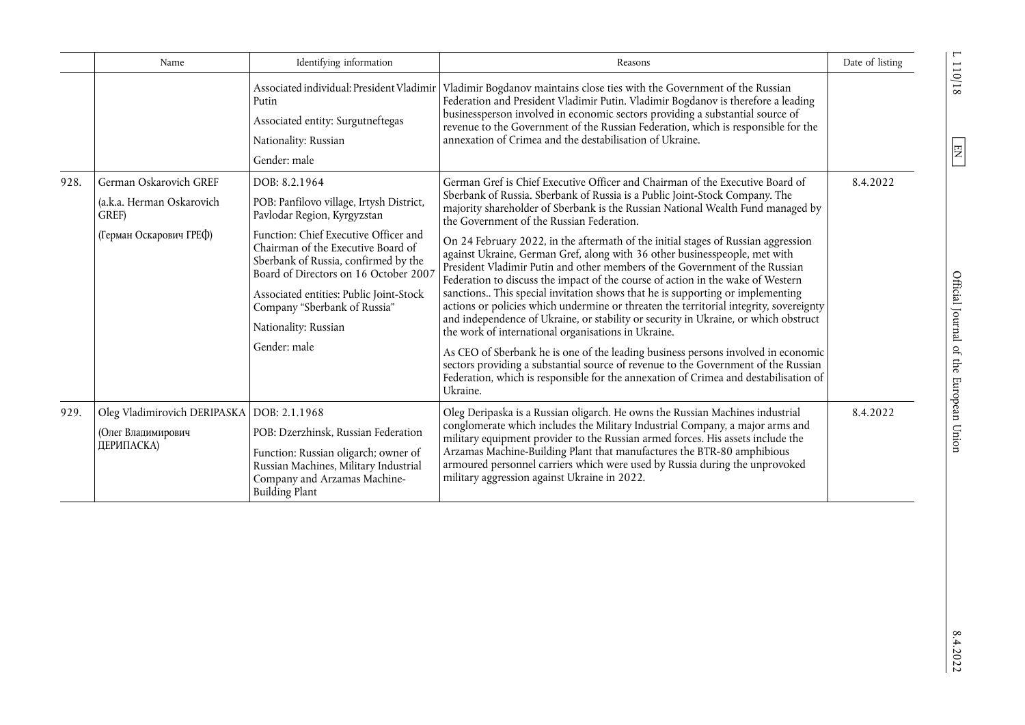|      | Name                                                                                    | Identifying information                                                                                                                                                                                                                                                                                                                                                     | Reasons                                                                                                                                                                                                                                                                                                                                                                                                                                                                                                                                                                                                                                                                                                                                                                                                                                                                                                                                                                                                                                                                                                                                                                                                                                   | Date of listing |
|------|-----------------------------------------------------------------------------------------|-----------------------------------------------------------------------------------------------------------------------------------------------------------------------------------------------------------------------------------------------------------------------------------------------------------------------------------------------------------------------------|-------------------------------------------------------------------------------------------------------------------------------------------------------------------------------------------------------------------------------------------------------------------------------------------------------------------------------------------------------------------------------------------------------------------------------------------------------------------------------------------------------------------------------------------------------------------------------------------------------------------------------------------------------------------------------------------------------------------------------------------------------------------------------------------------------------------------------------------------------------------------------------------------------------------------------------------------------------------------------------------------------------------------------------------------------------------------------------------------------------------------------------------------------------------------------------------------------------------------------------------|-----------------|
|      |                                                                                         | Associated individual: President Vladimir<br>Putin<br>Associated entity: Surgutneftegas<br>Nationality: Russian<br>Gender: male                                                                                                                                                                                                                                             | Vladimir Bogdanov maintains close ties with the Government of the Russian<br>Federation and President Vladimir Putin. Vladimir Bogdanov is therefore a leading<br>businessperson involved in economic sectors providing a substantial source of<br>revenue to the Government of the Russian Federation, which is responsible for the<br>annexation of Crimea and the destabilisation of Ukraine.                                                                                                                                                                                                                                                                                                                                                                                                                                                                                                                                                                                                                                                                                                                                                                                                                                          |                 |
| 928. | German Oskarovich GREF<br>(a.k.a. Herman Oskarovich<br>GREF)<br>(Герман Оскарович ГРЕФ) | DOB: 8.2.1964<br>POB: Panfilovo village, Irtysh District,<br>Pavlodar Region, Kyrgyzstan<br>Function: Chief Executive Officer and<br>Chairman of the Executive Board of<br>Sberbank of Russia, confirmed by the<br>Board of Directors on 16 October 2007<br>Associated entities: Public Joint-Stock<br>Company "Sberbank of Russia"<br>Nationality: Russian<br>Gender: male | German Gref is Chief Executive Officer and Chairman of the Executive Board of<br>Sberbank of Russia. Sberbank of Russia is a Public Joint-Stock Company. The<br>majority shareholder of Sberbank is the Russian National Wealth Fund managed by<br>the Government of the Russian Federation.<br>On 24 February 2022, in the aftermath of the initial stages of Russian aggression<br>against Ukraine, German Gref, along with 36 other businesspeople, met with<br>President Vladimir Putin and other members of the Government of the Russian<br>Federation to discuss the impact of the course of action in the wake of Western<br>sanctions This special invitation shows that he is supporting or implementing<br>actions or policies which undermine or threaten the territorial integrity, sovereignty<br>and independence of Ukraine, or stability or security in Ukraine, or which obstruct<br>the work of international organisations in Ukraine.<br>As CEO of Sberbank he is one of the leading business persons involved in economic<br>sectors providing a substantial source of revenue to the Government of the Russian<br>Federation, which is responsible for the annexation of Crimea and destabilisation of<br>Ukraine. | 8.4.2022        |
| 929. | Oleg Vladimirovich DERIPASKA   DOB: 2.1.1968<br>(Олег Владимирович<br>ДЕРИПАСКА)        | POB: Dzerzhinsk, Russian Federation<br>Function: Russian oligarch; owner of<br>Russian Machines, Military Industrial<br>Company and Arzamas Machine-<br><b>Building Plant</b>                                                                                                                                                                                               | Oleg Deripaska is a Russian oligarch. He owns the Russian Machines industrial<br>conglomerate which includes the Military Industrial Company, a major arms and<br>military equipment provider to the Russian armed forces. His assets include the<br>Arzamas Machine-Building Plant that manufactures the BTR-80 amphibious<br>armoured personnel carriers which were used by Russia during the unprovoked<br>military aggression against Ukraine in 2022.                                                                                                                                                                                                                                                                                                                                                                                                                                                                                                                                                                                                                                                                                                                                                                                | 8.4.2022        |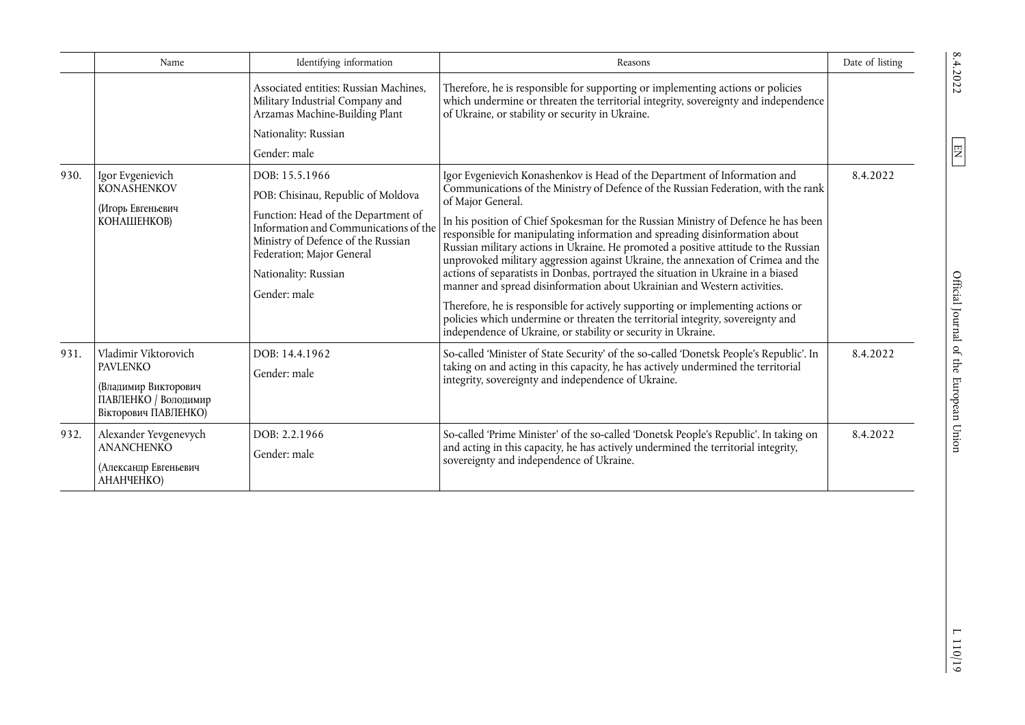|      | Name                                                                                                            | Identifying information                                                                                                                                                                                                                         | Reasons                                                                                                                                                                                                                                                                                                                                                                                                                                                                                                                                                                                                                                                                                                                                                                                                                                                                                                                                     | Date of listing |
|------|-----------------------------------------------------------------------------------------------------------------|-------------------------------------------------------------------------------------------------------------------------------------------------------------------------------------------------------------------------------------------------|---------------------------------------------------------------------------------------------------------------------------------------------------------------------------------------------------------------------------------------------------------------------------------------------------------------------------------------------------------------------------------------------------------------------------------------------------------------------------------------------------------------------------------------------------------------------------------------------------------------------------------------------------------------------------------------------------------------------------------------------------------------------------------------------------------------------------------------------------------------------------------------------------------------------------------------------|-----------------|
|      |                                                                                                                 | Associated entities: Russian Machines.<br>Military Industrial Company and<br>Arzamas Machine-Building Plant                                                                                                                                     | Therefore, he is responsible for supporting or implementing actions or policies<br>which undermine or threaten the territorial integrity, sovereignty and independence<br>of Ukraine, or stability or security in Ukraine.                                                                                                                                                                                                                                                                                                                                                                                                                                                                                                                                                                                                                                                                                                                  |                 |
|      |                                                                                                                 | Nationality: Russian                                                                                                                                                                                                                            |                                                                                                                                                                                                                                                                                                                                                                                                                                                                                                                                                                                                                                                                                                                                                                                                                                                                                                                                             |                 |
|      |                                                                                                                 | Gender: male                                                                                                                                                                                                                                    |                                                                                                                                                                                                                                                                                                                                                                                                                                                                                                                                                                                                                                                                                                                                                                                                                                                                                                                                             |                 |
| 930. | Igor Evgenievich<br><b>KONASHENKOV</b><br>(Игорь Евгеньевич<br>КОНАШЕНКОВ)                                      | DOB: 15.5.1966<br>POB: Chisinau, Republic of Moldova<br>Function: Head of the Department of<br>Information and Communications of the<br>Ministry of Defence of the Russian<br>Federation; Major General<br>Nationality: Russian<br>Gender: male | Igor Evgenievich Konashenkov is Head of the Department of Information and<br>Communications of the Ministry of Defence of the Russian Federation, with the rank<br>of Major General.<br>In his position of Chief Spokesman for the Russian Ministry of Defence he has been<br>responsible for manipulating information and spreading disinformation about<br>Russian military actions in Ukraine. He promoted a positive attitude to the Russian<br>unprovoked military aggression against Ukraine, the annexation of Crimea and the<br>actions of separatists in Donbas, portrayed the situation in Ukraine in a biased<br>manner and spread disinformation about Ukrainian and Western activities.<br>Therefore, he is responsible for actively supporting or implementing actions or<br>policies which undermine or threaten the territorial integrity, sovereignty and<br>independence of Ukraine, or stability or security in Ukraine. | 8.4.2022        |
| 931. | Vladimir Viktorovich<br><b>PAVLENKO</b><br>(Владимир Викторович<br>ПАВЛЕНКО / Володимир<br>Вікторович ПАВЛЕНКО) | DOB: 14.4.1962<br>Gender: male                                                                                                                                                                                                                  | So-called 'Minister of State Security' of the so-called 'Donetsk People's Republic'. In<br>taking on and acting in this capacity, he has actively undermined the territorial<br>integrity, sovereignty and independence of Ukraine.                                                                                                                                                                                                                                                                                                                                                                                                                                                                                                                                                                                                                                                                                                         | 8.4.2022        |
| 932. | Alexander Yevgenevych<br><b>ANANCHENKO</b><br>(Александр Евгеньевич<br>АНАНЧЕНКО)                               | DOB: 2.2.1966<br>Gender: male                                                                                                                                                                                                                   | So-called 'Prime Minister' of the so-called 'Donetsk People's Republic'. In taking on<br>and acting in this capacity, he has actively undermined the territorial integrity,<br>sovereignty and independence of Ukraine.                                                                                                                                                                                                                                                                                                                                                                                                                                                                                                                                                                                                                                                                                                                     | 8.4.2022        |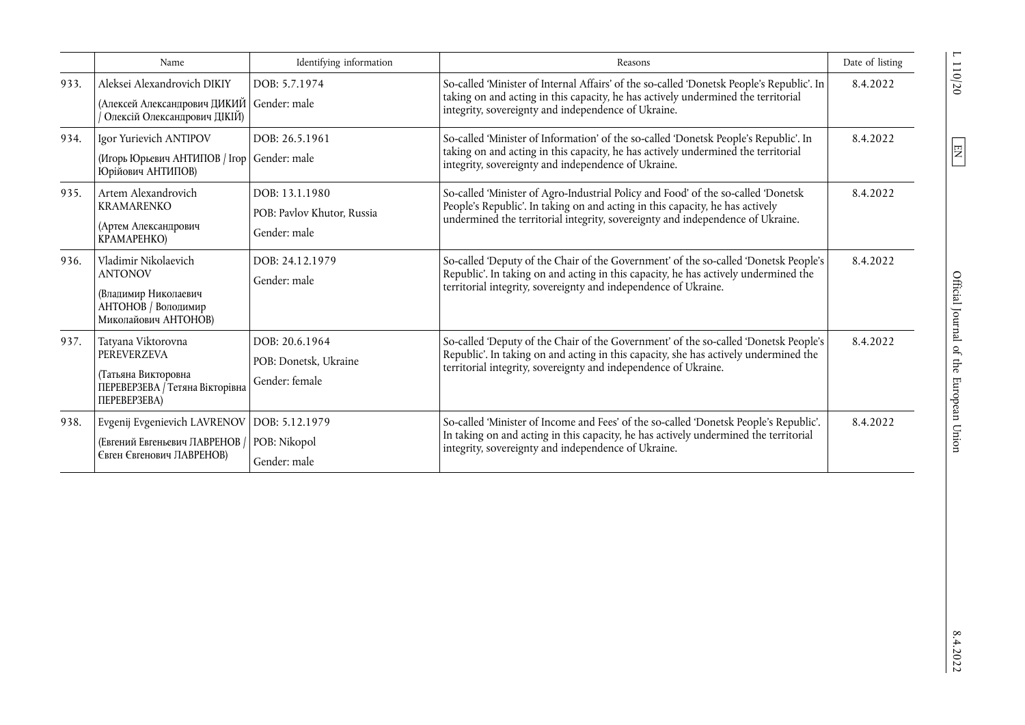|      | Name                                                                                                               | Identifying information                                      | Reasons                                                                                                                                                                                                                                              | Date of listing |
|------|--------------------------------------------------------------------------------------------------------------------|--------------------------------------------------------------|------------------------------------------------------------------------------------------------------------------------------------------------------------------------------------------------------------------------------------------------------|-----------------|
| 933. | Aleksei Alexandrovich DIKIY<br>(Алексей Александрович ДИКИЙ  <br>Олексій Олександрович ДІКІЙ)                      | DOB: 5.7.1974<br>Gender: male                                | So-called 'Minister of Internal Affairs' of the so-called 'Donetsk People's Republic'. In<br>taking on and acting in this capacity, he has actively undermined the territorial<br>integrity, sovereignty and independence of Ukraine.                | 8.4.2022        |
| 934. | Igor Yurievich ANTIPOV<br>(Игорь Юрьевич АНТИПОВ / Ігор<br>Юрійович АНТИПОВ)                                       | DOB: 26.5.1961<br>Gender: male                               | So-called 'Minister of Information' of the so-called 'Donetsk People's Republic'. In<br>taking on and acting in this capacity, he has actively undermined the territorial<br>integrity, sovereignty and independence of Ukraine.                     | 8.4.2022        |
| 935. | Artem Alexandrovich<br><b>KRAMARENKO</b><br>(Артем Александрович<br>KPAMAPEHKO)                                    | DOB: 13.1.1980<br>POB: Pavlov Khutor, Russia<br>Gender: male | So-called 'Minister of Agro-Industrial Policy and Food' of the so-called 'Donetsk<br>People's Republic'. In taking on and acting in this capacity, he has actively<br>undermined the territorial integrity, sovereignty and independence of Ukraine. | 8.4.2022        |
| 936. | Vladimir Nikolaevich<br><b>ANTONOV</b><br>(Владимир Николаевич<br>АНТОНОВ / Володимир<br>Миколайович АНТОНОВ)      | DOB: 24.12.1979<br>Gender: male                              | So-called 'Deputy of the Chair of the Government' of the so-called 'Donetsk People's<br>Republic'. In taking on and acting in this capacity, he has actively undermined the<br>territorial integrity, sovereignty and independence of Ukraine.       | 8.4.2022        |
| 937. | Tatyana Viktorovna<br>PEREVERZEVA<br>(Татьяна Викторовна<br>ПЕРЕВЕРЗЕВА / Тетяна Вікторівна<br><b>ΠΕΡΕΒΕΡ3ΕΒΑ)</b> | DOB: 20.6.1964<br>POB: Donetsk, Ukraine<br>Gender: female    | So-called 'Deputy of the Chair of the Government' of the so-called 'Donetsk People's<br>Republic'. In taking on and acting in this capacity, she has actively undermined the<br>territorial integrity, sovereignty and independence of Ukraine.      | 8.4.2022        |
| 938. | Evgenij Evgenievich LAVRENOV<br>(Евгений Евгеньевич ЛАВРЕНОВ /<br>Євген Євгенович ЛАВРЕНОВ)                        | DOB: 5.12.1979<br>POB: Nikopol<br>Gender: male               | So-called 'Minister of Income and Fees' of the so-called 'Donetsk People's Republic'.<br>In taking on and acting in this capacity, he has actively undermined the territorial<br>integrity, sovereignty and independence of Ukraine.                 | 8.4.2022        |

 $\overline{L}$  110/20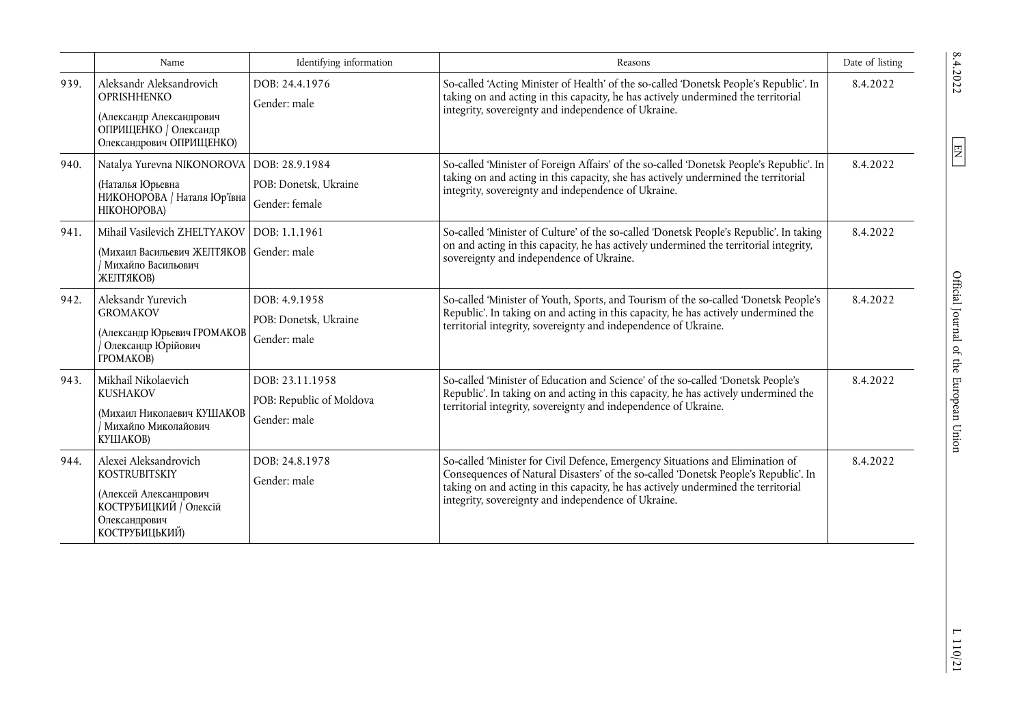|      | Name                                                                                                                                 | Identifying information                                     | Reasons                                                                                                                                                                                                                                                                                                           | Date of listing |
|------|--------------------------------------------------------------------------------------------------------------------------------------|-------------------------------------------------------------|-------------------------------------------------------------------------------------------------------------------------------------------------------------------------------------------------------------------------------------------------------------------------------------------------------------------|-----------------|
| 939. | Aleksandr Aleksandrovich<br><b>OPRISHHENKO</b><br>(Александр Александрович<br>ОПРИЩЕНКО / Олександр<br>Олександрович ОПРИЩЕНКО)      | DOB: 24.4.1976<br>Gender: male                              | So-called 'Acting Minister of Health' of the so-called 'Donetsk People's Republic'. In<br>taking on and acting in this capacity, he has actively undermined the territorial<br>integrity, sovereignty and independence of Ukraine.                                                                                | 8.4.2022        |
| 940. | Natalya Yurevna NIKONOROVA   DOB: 28.9.1984<br>(Наталья Юрьевна<br>НИКОНОРОВА / Наталя Юр'ївна<br>НІКОНОРОВА)                        | POB: Donetsk, Ukraine<br>Gender: female                     | So-called 'Minister of Foreign Affairs' of the so-called 'Donetsk People's Republic'. In<br>taking on and acting in this capacity, she has actively undermined the territorial<br>integrity, sovereignty and independence of Ukraine.                                                                             | 8.4.2022        |
| 941. | Mihail Vasilevich ZHELTYAKOV<br>(Михаил Васильевич ЖЕЛТЯКОВ<br>Иихайло Васильович<br>ЖЕЛТЯКОВ)                                       | DOB: 1.1.1961<br>Gender: male                               | So-called 'Minister of Culture' of the so-called 'Donetsk People's Republic'. In taking<br>on and acting in this capacity, he has actively undermined the territorial integrity,<br>sovereignty and independence of Ukraine.                                                                                      | 8.4.2022        |
| 942. | Aleksandr Yurevich<br><b>GROMAKOV</b><br>(Александр Юрьевич ГРОМАКОВ<br>Олександр Юрійович<br><b>TPOMAKOB)</b>                       | DOB: 4.9.1958<br>POB: Donetsk, Ukraine<br>Gender: male      | So-called 'Minister of Youth, Sports, and Tourism of the so-called 'Donetsk People's<br>Republic'. In taking on and acting in this capacity, he has actively undermined the<br>territorial integrity, sovereignty and independence of Ukraine.                                                                    | 8.4.2022        |
| 943. | Mikhail Nikolaevich<br>KUSHAKOV<br>(Михаил Николаевич КУШАКОВ<br>Михайло Миколайович<br>КУШАКОВ)                                     | DOB: 23.11.1958<br>POB: Republic of Moldova<br>Gender: male | So-called 'Minister of Education and Science' of the so-called 'Donetsk People's<br>Republic'. In taking on and acting in this capacity, he has actively undermined the<br>territorial integrity, sovereignty and independence of Ukraine.                                                                        | 8.4.2022        |
| 944. | Alexei Aleksandrovich<br><b>KOSTRUBITSKIY</b><br>(Алексей Александрович<br>КОСТРУБИЦКИЙ / Олексій<br>Олександрович<br>КОСТРУБИЦЬКИЙ) | DOB: 24.8.1978<br>Gender: male                              | So-called 'Minister for Civil Defence, Emergency Situations and Elimination of<br>Consequences of Natural Disasters' of the so-called 'Donetsk People's Republic'. In<br>taking on and acting in this capacity, he has actively undermined the territorial<br>integrity, sovereignty and independence of Ukraine. | 8.4.2022        |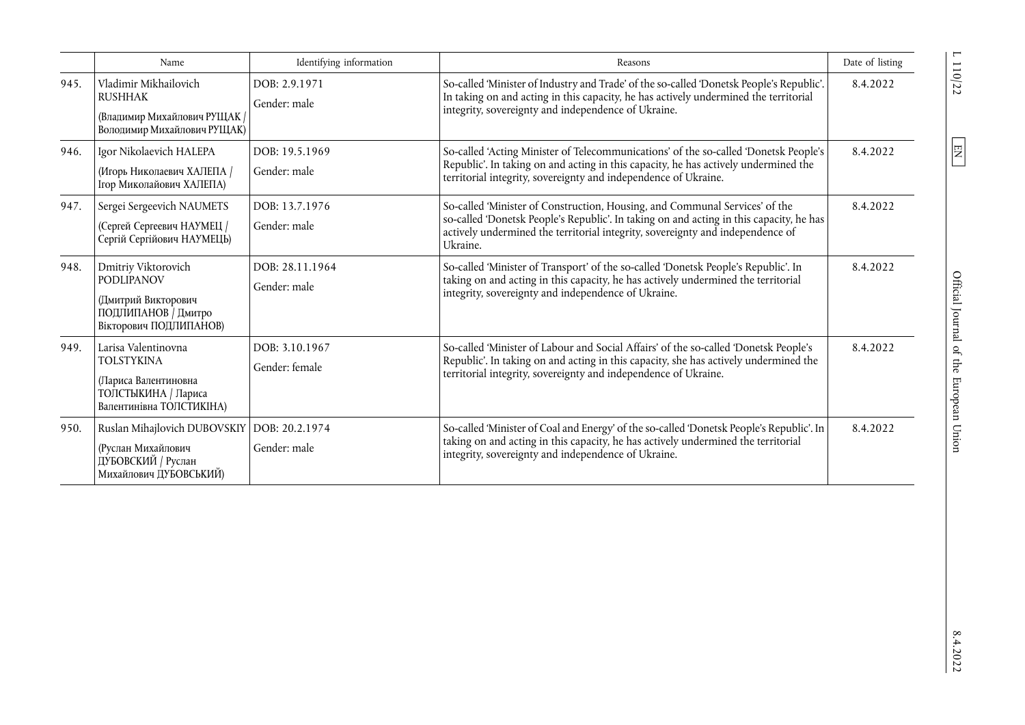|      | Name                                                                                                                | Identifying information          | Reasons                                                                                                                                                                                                                                                              | Date of listing |
|------|---------------------------------------------------------------------------------------------------------------------|----------------------------------|----------------------------------------------------------------------------------------------------------------------------------------------------------------------------------------------------------------------------------------------------------------------|-----------------|
| 945. | Vladimir Mikhailovich<br><b>RUSHHAK</b><br>(Владимир Михайлович РУЩАК /<br>Володимир Михайлович РУЩАК)              | DOB: 2.9.1971<br>Gender: male    | So-called 'Minister of Industry and Trade' of the so-called 'Donetsk People's Republic'.<br>In taking on and acting in this capacity, he has actively undermined the territorial<br>integrity, sovereignty and independence of Ukraine.                              | 8.4.2022        |
| 946. | Igor Nikolaevich HALEPA<br>(Игорь Николаевич ХАЛЕПА /<br>Ігор Миколайович ХАЛЕПА)                                   | DOB: 19.5.1969<br>Gender: male   | So-called 'Acting Minister of Telecommunications' of the so-called 'Donetsk People's<br>Republic'. In taking on and acting in this capacity, he has actively undermined the<br>territorial integrity, sovereignty and independence of Ukraine.                       | 8.4.2022        |
| 947. | Sergei Sergeevich NAUMETS<br>(Сергей Сергеевич НАУМЕЦ /<br>Сергій Сергійович НАУМЕЦЬ)                               | DOB: 13.7.1976<br>Gender: male   | So-called 'Minister of Construction, Housing, and Communal Services' of the<br>so-called 'Donetsk People's Republic'. In taking on and acting in this capacity, he has<br>actively undermined the territorial integrity, sovereignty and independence of<br>Ukraine. | 8.4.2022        |
| 948. | Dmitriy Viktorovich<br><b>PODLIPANOV</b><br>(Дмитрий Викторович<br>ПОДЛИПАНОВ / Дмитро<br>Вікторович ПОДЛИПАНОВ)    | DOB: 28.11.1964<br>Gender: male  | So-called 'Minister of Transport' of the so-called 'Donetsk People's Republic'. In<br>taking on and acting in this capacity, he has actively undermined the territorial<br>integrity, sovereignty and independence of Ukraine.                                       | 8.4.2022        |
| 949. | Larisa Valentinovna<br><b>TOLSTYKINA</b><br>(Лариса Валентиновна<br>ТОЛСТЫКИНА / Лариса<br>Валентинівна ТОЛСТИКІНА) | DOB: 3.10.1967<br>Gender: female | So-called 'Minister of Labour and Social Affairs' of the so-called 'Donetsk People's<br>Republic'. In taking on and acting in this capacity, she has actively undermined the<br>territorial integrity, sovereignty and independence of Ukraine.                      | 8.4.2022        |
| 950. | Ruslan Mihajlovich DUBOVSKIY   DOB: 20.2.1974<br>(Руслан Михайлович<br>ДУБОВСКИЙ / Руслан<br>Михайлович ДУБОВСЬКИЙ) | Gender: male                     | So-called 'Minister of Coal and Energy' of the so-called 'Donetsk People's Republic'. In<br>taking on and acting in this capacity, he has actively undermined the territorial<br>integrity, sovereignty and independence of Ukraine.                                 | 8.4.2022        |

L 110/22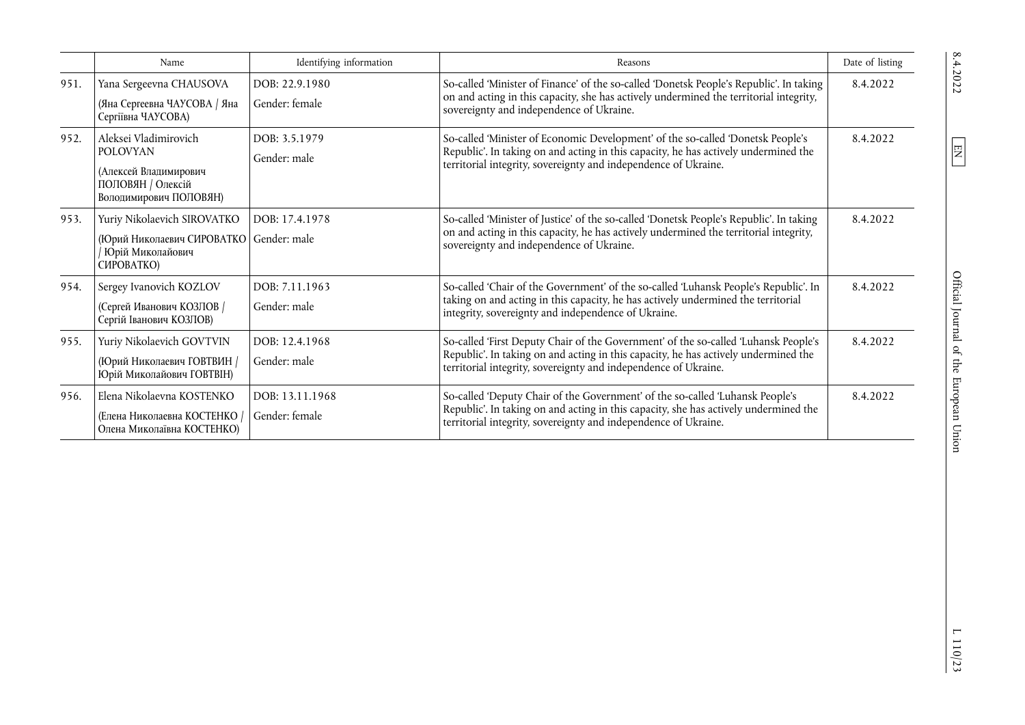|      | Name                                                                                                             | Identifying information           | Reasons                                                                                                                                                                                                                                       | Date of listing |
|------|------------------------------------------------------------------------------------------------------------------|-----------------------------------|-----------------------------------------------------------------------------------------------------------------------------------------------------------------------------------------------------------------------------------------------|-----------------|
| 951. | Yana Sergeevna CHAUSOVA<br>(Яна Сергеевна ЧАУСОВА / Яна<br>Сергіївна ЧАУСОВА)                                    | DOB: 22.9.1980<br>Gender: female  | So-called 'Minister of Finance' of the so-called 'Donetsk People's Republic'. In taking<br>on and acting in this capacity, she has actively undermined the territorial integrity,<br>sovereignty and independence of Ukraine.                 | 8.4.2022        |
| 952. | Aleksei Vladimirovich<br><b>POLOVYAN</b><br>(Алексей Владимирович<br>ПОЛОВЯН / Олексій<br>Володимирович ПОЛОВЯН) | DOB: 3.5.1979<br>Gender: male     | So-called 'Minister of Economic Development' of the so-called 'Donetsk People's<br>Republic'. In taking on and acting in this capacity, he has actively undermined the<br>territorial integrity, sovereignty and independence of Ukraine.     | 8.4.2022        |
| 953. | Yuriy Nikolaevich SIROVATKO<br>(Юрий Николаевич СИРОВАТКО<br>Юрій Миколайович<br>CMPOBATKO)                      | DOB: 17.4.1978<br>Gender: male    | So-called 'Minister of Justice' of the so-called 'Donetsk People's Republic'. In taking<br>on and acting in this capacity, he has actively undermined the territorial integrity,<br>sovereignty and independence of Ukraine.                  | 8.4.2022        |
| 954. | Sergey Ivanovich KOZLOV<br>(Сергей Иванович КОЗЛОВ /<br>Сергій Іванович КОЗЛОВ)                                  | DOB: 7.11.1963<br>Gender: male    | So-called 'Chair of the Government' of the so-called 'Luhansk People's Republic'. In<br>taking on and acting in this capacity, he has actively undermined the territorial<br>integrity, sovereignty and independence of Ukraine.              | 8.4.2022        |
| 955. | Yuriy Nikolaevich GOVTVIN<br>(Юрий Николаевич ГОВТВИН /<br>Юрій Миколайович ГОВТВІН)                             | DOB: 12.4.1968<br>Gender: male    | So-called 'First Deputy Chair of the Government' of the so-called 'Luhansk People's<br>Republic'. In taking on and acting in this capacity, he has actively undermined the<br>territorial integrity, sovereignty and independence of Ukraine. | 8.4.2022        |
| 956. | Elena Nikolaevna KOSTENKO<br>(Елена Николаевна КОСТЕНКО /<br>Олена Миколаївна КОСТЕНКО)                          | DOB: 13.11.1968<br>Gender: female | So-called 'Deputy Chair of the Government' of the so-called 'Luhansk People's<br>Republic'. In taking on and acting in this capacity, she has actively undermined the<br>territorial integrity, sovereignty and independence of Ukraine.      | 8.4.2022        |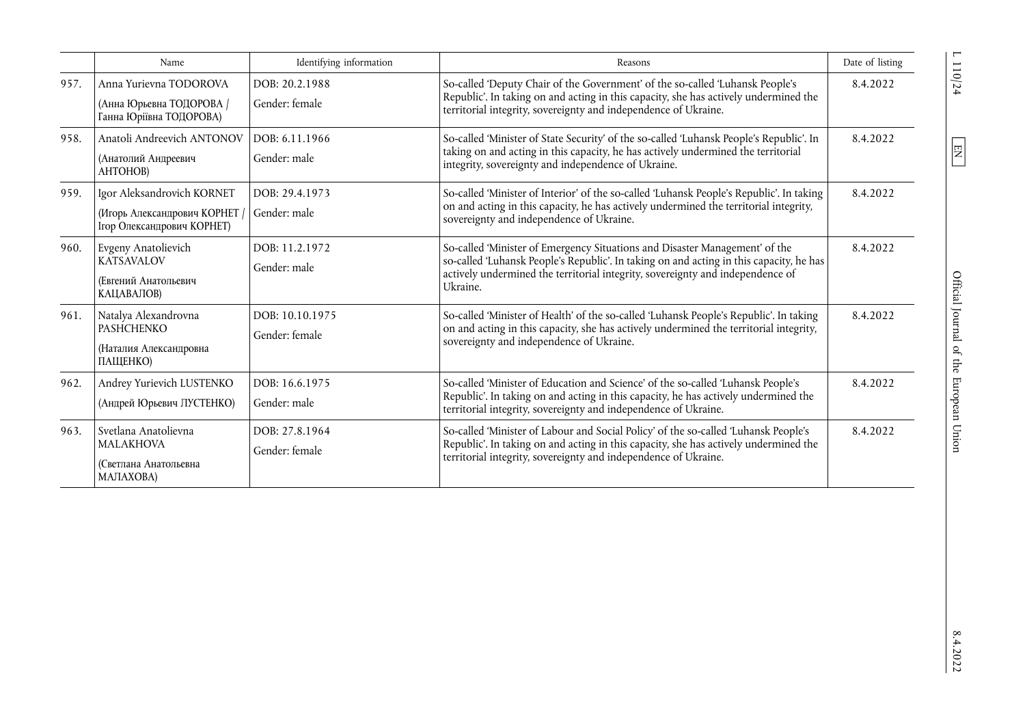|      | Name                                                                                    | Identifying information           | Reasons                                                                                                                                                                                                                                                              | Date of listing |
|------|-----------------------------------------------------------------------------------------|-----------------------------------|----------------------------------------------------------------------------------------------------------------------------------------------------------------------------------------------------------------------------------------------------------------------|-----------------|
| 957. | Anna Yurievna TODOROVA<br>(Анна Юрьевна ТОДОРОВА /<br>Ганна Юріївна ТОДОРОВА)           | DOB: 20.2.1988<br>Gender: female  | So-called 'Deputy Chair of the Government' of the so-called 'Luhansk People's<br>Republic'. In taking on and acting in this capacity, she has actively undermined the<br>territorial integrity, sovereignty and independence of Ukraine.                             | 8.4.2022        |
| 958. | Anatoli Andreevich ANTONOV<br>(Анатолий Андреевич<br>АНТОНОВ)                           | DOB: 6.11.1966<br>Gender: male    | So-called 'Minister of State Security' of the so-called 'Luhansk People's Republic'. In<br>taking on and acting in this capacity, he has actively undermined the territorial<br>integrity, sovereignty and independence of Ukraine.                                  | 8.4.2022        |
| 959. | Igor Aleksandrovich KORNET<br>(Игорь Александрович КОРНЕТ<br>Ігор Олександрович КОРНЕТ) | DOB: 29.4.1973<br>Gender: male    | So-called 'Minister of Interior' of the so-called 'Luhansk People's Republic'. In taking<br>on and acting in this capacity, he has actively undermined the territorial integrity,<br>sovereignty and independence of Ukraine.                                        | 8.4.2022        |
| 960. | Evgeny Anatolievich<br><b>KATSAVALOV</b><br>(Евгений Анатольевич<br>КАЦАВАЛОВ)          | DOB: 11.2.1972<br>Gender: male    | So-called 'Minister of Emergency Situations and Disaster Management' of the<br>so-called 'Luhansk People's Republic'. In taking on and acting in this capacity, he has<br>actively undermined the territorial integrity, sovereignty and independence of<br>Ukraine. | 8.4.2022        |
| 961. | Natalya Alexandrovna<br><b>PASHCHENKO</b><br>(Наталия Александровна<br>ПАЩЕНКО)         | DOB: 10.10.1975<br>Gender: female | So-called 'Minister of Health' of the so-called 'Luhansk People's Republic'. In taking<br>on and acting in this capacity, she has actively undermined the territorial integrity,<br>sovereignty and independence of Ukraine.                                         | 8.4.2022        |
| 962. | Andrey Yurievich LUSTENKO<br>(Андрей Юрьевич ЛУСТЕНКО)                                  | DOB: 16.6.1975<br>Gender: male    | So-called 'Minister of Education and Science' of the so-called 'Luhansk People's<br>Republic'. In taking on and acting in this capacity, he has actively undermined the<br>territorial integrity, sovereignty and independence of Ukraine.                           | 8.4.2022        |
| 963. | Svetlana Anatolievna<br><b>MALAKHOVA</b><br>(Светлана Анатольевна<br>МАЛАХОВА)          | DOB: 27.8.1964<br>Gender: female  | So-called 'Minister of Labour and Social Policy' of the so-called 'Luhansk People's<br>Republic'. In taking on and acting in this capacity, she has actively undermined the<br>territorial integrity, sovereignty and independence of Ukraine.                       | 8.4.2022        |

 $L$  110/24  $\hfill$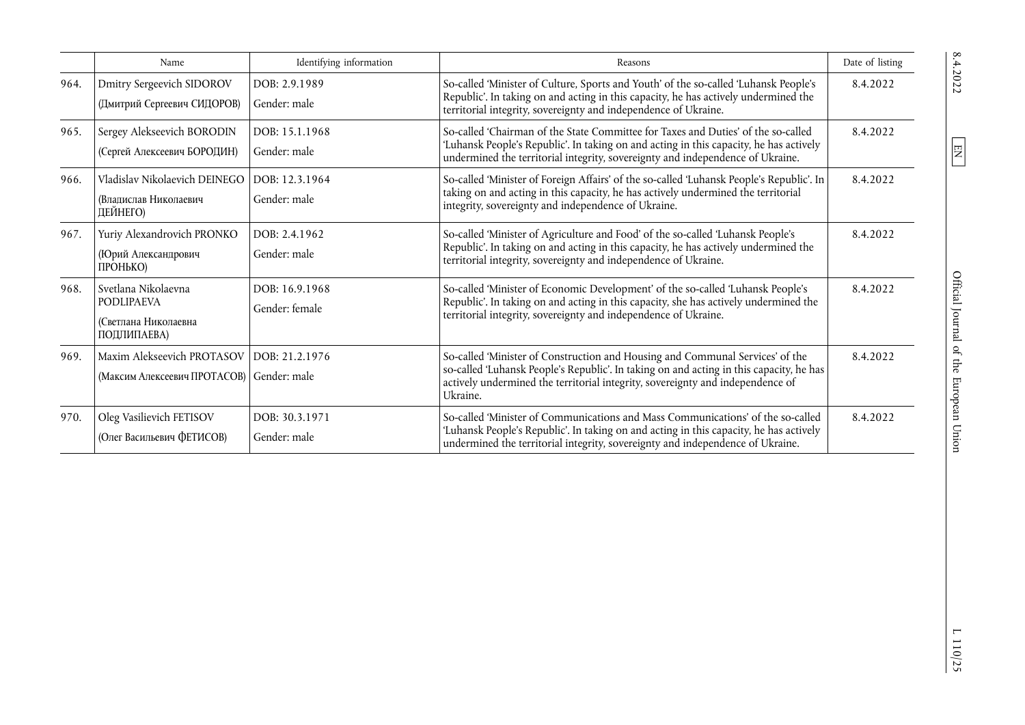|      | Name                                                                            | Identifying information          | Reasons                                                                                                                                                                                                                                                                | Date of listing |
|------|---------------------------------------------------------------------------------|----------------------------------|------------------------------------------------------------------------------------------------------------------------------------------------------------------------------------------------------------------------------------------------------------------------|-----------------|
| 964. | Dmitry Sergeevich SIDOROV<br>(Дмитрий Сергеевич СИДОРОВ)                        | DOB: 2.9.1989<br>Gender: male    | So-called 'Minister of Culture, Sports and Youth' of the so-called 'Luhansk People's<br>Republic'. In taking on and acting in this capacity, he has actively undermined the<br>territorial integrity, sovereignty and independence of Ukraine.                         | 8.4.2022        |
| 965. | Sergey Alekseevich BORODIN<br>(Сергей Алексеевич БОРОДИН)                       | DOB: 15.1.1968<br>Gender: male   | So-called 'Chairman of the State Committee for Taxes and Duties' of the so-called<br>'Luhansk People's Republic'. In taking on and acting in this capacity, he has actively<br>undermined the territorial integrity, sovereignty and independence of Ukraine.          | 8.4.2022        |
| 966. | Vladislav Nikolaevich DEINEGO<br>(Влапислав Николаевич<br>ДЕЙНЕГО)              | DOB: 12.3.1964<br>Gender: male   | So-called 'Minister of Foreign Affairs' of the so-called 'Luhansk People's Republic'. In<br>taking on and acting in this capacity, he has actively undermined the territorial<br>integrity, sovereignty and independence of Ukraine.                                   | 8.4.2022        |
| 967. | Yuriy Alexandrovich PRONKO<br>(Юрий Александрович<br>ПРОНЬКО)                   | DOB: 2.4.1962<br>Gender: male    | So-called 'Minister of Agriculture and Food' of the so-called 'Luhansk People's<br>Republic'. In taking on and acting in this capacity, he has actively undermined the<br>territorial integrity, sovereignty and independence of Ukraine.                              | 8.4.2022        |
| 968. | Svetlana Nikolaevna<br><b>PODLIPAEVA</b><br>(Светлана Николаевна<br>ПОДЛИПАЕВА) | DOB: 16.9.1968<br>Gender: female | So-called 'Minister of Economic Development' of the so-called 'Luhansk People's<br>Republic'. In taking on and acting in this capacity, she has actively undermined the<br>territorial integrity, sovereignty and independence of Ukraine.                             | 8.4.2022        |
| 969. | Maxim Alekseevich PROTASOV<br>(Максим Алексеевич ПРОТАСОВ) Gender: male         | DOB: 21.2.1976                   | So-called 'Minister of Construction and Housing and Communal Services' of the<br>so-called 'Luhansk People's Republic'. In taking on and acting in this capacity, he has<br>actively undermined the territorial integrity, sovereignty and independence of<br>Ukraine. | 8.4.2022        |
| 970. | Oleg Vasilievich FETISOV<br>(Олег Васильевич ФЕТИСОВ)                           | DOB: 30.3.1971<br>Gender: male   | So-called 'Minister of Communications and Mass Communications' of the so-called<br>'Luhansk People's Republic'. In taking on and acting in this capacity, he has actively<br>undermined the territorial integrity, sovereignty and independence of Ukraine.            | 8.4.2022        |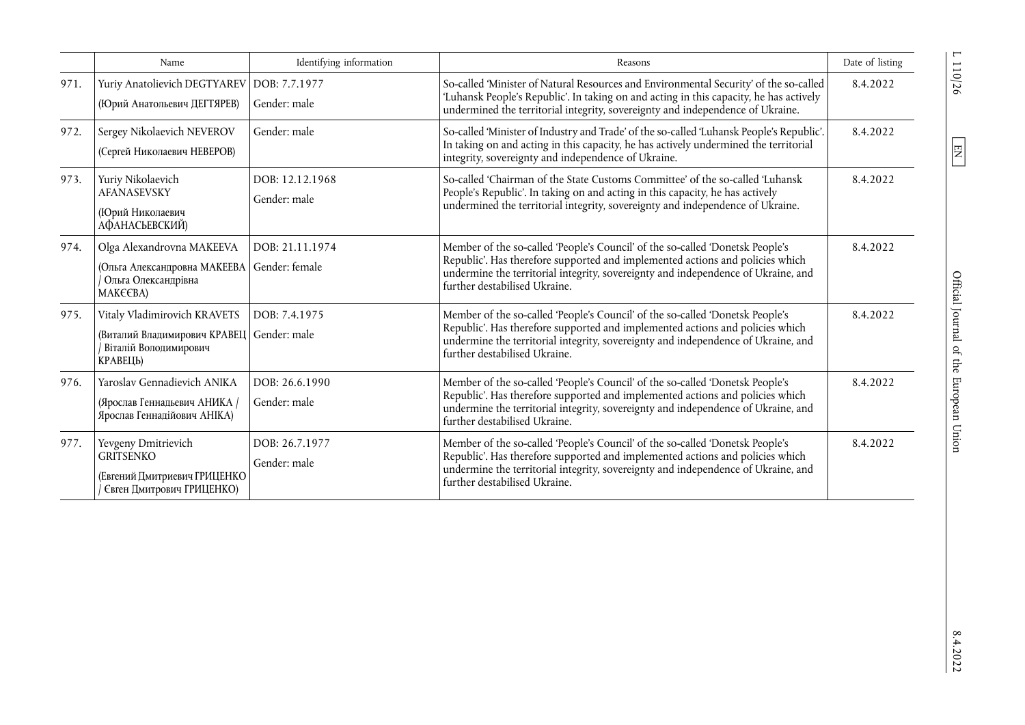|      | Name                                                                                                            | Identifying information           | Reasons                                                                                                                                                                                                                                                                              | Date of listing |
|------|-----------------------------------------------------------------------------------------------------------------|-----------------------------------|--------------------------------------------------------------------------------------------------------------------------------------------------------------------------------------------------------------------------------------------------------------------------------------|-----------------|
| 971. | Yuriy Anatolievich DEGTYAREV<br>(Юрий Анатольевич ДЕГТЯРЕВ)                                                     | DOB: 7.7.1977<br>Gender: male     | So-called 'Minister of Natural Resources and Environmental Security' of the so-called<br>'Luhansk People's Republic'. In taking on and acting in this capacity, he has actively<br>undermined the territorial integrity, sovereignty and independence of Ukraine.                    | 8.4.2022        |
| 972. | Sergey Nikolaevich NEVEROV<br>(Сергей Николаевич НЕВЕРОВ)                                                       | Gender: male                      | So-called 'Minister of Industry and Trade' of the so-called 'Luhansk People's Republic'.<br>In taking on and acting in this capacity, he has actively undermined the territorial<br>integrity, sovereignty and independence of Ukraine.                                              | 8.4.2022        |
| 973. | Yuriy Nikolaevich<br>AFANASEVSKY<br>(Юрий Николаевич<br>АФАНАСЬЕВСКИЙ)                                          | DOB: 12.12.1968<br>Gender: male   | So-called 'Chairman of the State Customs Committee' of the so-called 'Luhansk<br>People's Republic'. In taking on and acting in this capacity, he has actively<br>undermined the territorial integrity, sovereignty and independence of Ukraine.                                     | 8.4.2022        |
| 974. | Olga Alexandrovna MAKEEVA<br>(Ольга Александровна МАКЕЕВА<br>Ольга Олександрівна<br>МАКЄЄВА)                    | DOB: 21.11.1974<br>Gender: female | Member of the so-called 'People's Council' of the so-called 'Donetsk People's<br>Republic'. Has therefore supported and implemented actions and policies which<br>undermine the territorial integrity, sovereignty and independence of Ukraine, and<br>further destabilised Ukraine. | 8.4.2022        |
| 975. | Vitaly Vladimirovich KRAVETS<br>(Виталий Владимирович KPABELI Gender: male<br>Віталій Володимирович<br>КРАВЕЦЬ) | DOB: 7.4.1975                     | Member of the so-called 'People's Council' of the so-called 'Donetsk People's<br>Republic'. Has therefore supported and implemented actions and policies which<br>undermine the territorial integrity, sovereignty and independence of Ukraine, and<br>further destabilised Ukraine. | 8.4.2022        |
| 976. | Yaroslav Gennadievich ANIKA<br>(Ярослав Геннадьевич АНИКА /<br>Ярослав Геннадійович АНІКА)                      | DOB: 26.6.1990<br>Gender: male    | Member of the so-called 'People's Council' of the so-called 'Donetsk People's<br>Republic'. Has therefore supported and implemented actions and policies which<br>undermine the territorial integrity, sovereignty and independence of Ukraine, and<br>further destabilised Ukraine. | 8.4.2022        |
| 977. | Yevgeny Dmitrievich<br><b>GRITSENKO</b><br>(Евгений Дмитриевич ГРИЦЕНКО<br>Євген Дмитрович ГРИЦЕНКО)            | DOB: 26.7.1977<br>Gender: male    | Member of the so-called 'People's Council' of the so-called 'Donetsk People's<br>Republic'. Has therefore supported and implemented actions and policies which<br>undermine the territorial integrity, sovereignty and independence of Ukraine, and<br>further destabilised Ukraine. | 8.4.2022        |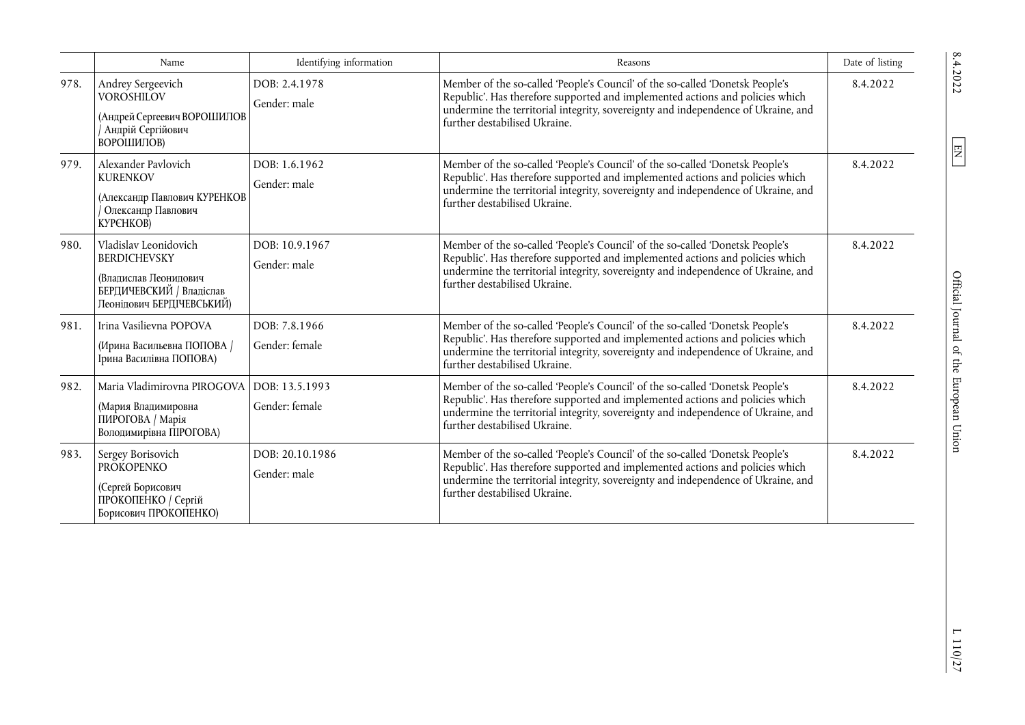|      | Name                                                                                                                           | Identifying information          | Reasons                                                                                                                                                                                                                                                                              | Date of listing |
|------|--------------------------------------------------------------------------------------------------------------------------------|----------------------------------|--------------------------------------------------------------------------------------------------------------------------------------------------------------------------------------------------------------------------------------------------------------------------------------|-----------------|
| 978. | Andrey Sergeevich<br><b>VOROSHILOV</b><br>(Андрей Сергеевич ВОРОШИЛОВ<br>Андрій Сергійович<br>ВОРОШИЛОВ)                       | DOB: 2.4.1978<br>Gender: male    | Member of the so-called 'People's Council' of the so-called 'Donetsk People's<br>Republic'. Has therefore supported and implemented actions and policies which<br>undermine the territorial integrity, sovereignty and independence of Ukraine, and<br>further destabilised Ukraine. | 8.4.2022        |
| 979. | Alexander Pavlovich<br><b>KURENKOV</b><br>(Александр Павлович КУРЕНКОВ<br>Олександр Павлович<br>КУРЄНКОВ)                      | DOB: 1.6.1962<br>Gender: male    | Member of the so-called 'People's Council' of the so-called 'Donetsk People's<br>Republic'. Has therefore supported and implemented actions and policies which<br>undermine the territorial integrity, sovereignty and independence of Ukraine, and<br>further destabilised Ukraine. | 8.4.2022        |
| 980. | Vladislav Leonidovich<br><b>BERDICHEVSKY</b><br>(Владислав Леонидович<br>БЕРДИЧЕВСКИЙ / Владіслав<br>Пеонідович БЕРДІЧЕВСЬКИЙ) | DOB: 10.9.1967<br>Gender: male   | Member of the so-called 'People's Council' of the so-called 'Donetsk People's<br>Republic'. Has therefore supported and implemented actions and policies which<br>undermine the territorial integrity, sovereignty and independence of Ukraine, and<br>further destabilised Ukraine. | 8.4.2022        |
| 981. | Irina Vasilievna POPOVA<br>(Ирина Васильевна ПОПОВА /<br>Ірина Василівна ПОПОВА)                                               | DOB: 7.8.1966<br>Gender: female  | Member of the so-called 'People's Council' of the so-called 'Donetsk People's<br>Republic'. Has therefore supported and implemented actions and policies which<br>undermine the territorial integrity, sovereignty and independence of Ukraine, and<br>further destabilised Ukraine. | 8.4.2022        |
| 982. | Maria Vladimirovna PIROGOVA<br>(Мария Владимировна<br>ПИРОГОВА / Марія<br>Володимирівна ПІРОГОВА)                              | DOB: 13.5.1993<br>Gender: female | Member of the so-called 'People's Council' of the so-called 'Donetsk People's<br>Republic'. Has therefore supported and implemented actions and policies which<br>undermine the territorial integrity, sovereignty and independence of Ukraine, and<br>further destabilised Ukraine. | 8.4.2022        |
| 983. | Sergey Borisovich<br><b>PROKOPENKO</b><br>(Сергей Борисович<br>ПРОКОПЕНКО / Сергій<br>Борисович ПРОКОПЕНКО)                    | DOB: 20.10.1986<br>Gender: male  | Member of the so-called 'People's Council' of the so-called 'Donetsk People's<br>Republic'. Has therefore supported and implemented actions and policies which<br>undermine the territorial integrity, sovereignty and independence of Ukraine, and<br>further destabilised Ukraine. | 8.4.2022        |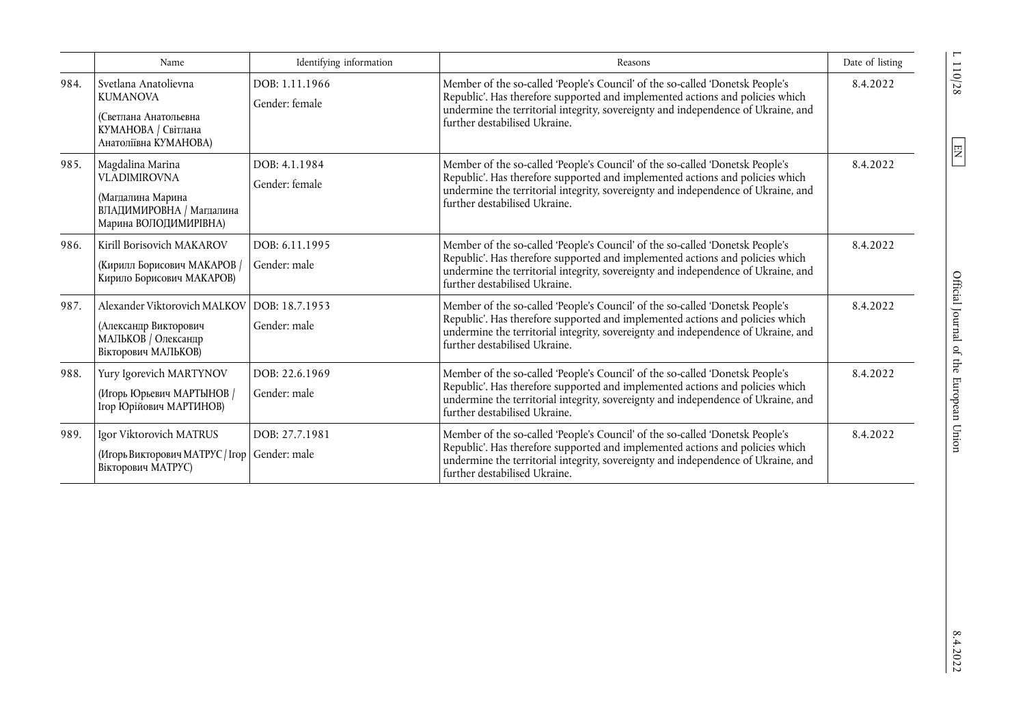|      | Name                                                                                                              | Identifying information          | Reasons                                                                                                                                                                                                                                                                              | Date of listing |
|------|-------------------------------------------------------------------------------------------------------------------|----------------------------------|--------------------------------------------------------------------------------------------------------------------------------------------------------------------------------------------------------------------------------------------------------------------------------------|-----------------|
| 984. | Svetlana Anatolievna<br><b>KUMANOVA</b><br>(Светлана Анатольевна<br>КУМАНОВА / Світлана<br>Анатоліївна КУМАНОВА)  | DOB: 1.11.1966<br>Gender: female | Member of the so-called 'People's Council' of the so-called 'Donetsk People's<br>Republic'. Has therefore supported and implemented actions and policies which<br>undermine the territorial integrity, sovereignty and independence of Ukraine, and<br>further destabilised Ukraine. | 8.4.2022        |
| 985. | Magdalina Marina<br><b>VLADIMIROVNA</b><br>(Магдалина Марина<br>ВЛАДИМИРОВНА / Магдалина<br>Марина ВОЛОДИМИРІВНА) | DOB: 4.1.1984<br>Gender: female  | Member of the so-called 'People's Council' of the so-called 'Donetsk People's<br>Republic'. Has therefore supported and implemented actions and policies which<br>undermine the territorial integrity, sovereignty and independence of Ukraine, and<br>further destabilised Ukraine. | 8.4.2022        |
| 986. | Kirill Borisovich MAKAROV<br>(Кирилл Борисович МАКАРОВ /<br>Кирило Борисович МАКАРОВ)                             | DOB: 6.11.1995<br>Gender: male   | Member of the so-called 'People's Council' of the so-called 'Donetsk People's<br>Republic'. Has therefore supported and implemented actions and policies which<br>undermine the territorial integrity, sovereignty and independence of Ukraine, and<br>further destabilised Ukraine. | 8.4.2022        |
| 987. | Alexander Viktorovich MALKOV<br>(Александр Викторович<br>МАЛЬКОВ / Олександр<br>Вікторович МАЛЬКОВ)               | DOB: 18.7.1953<br>Gender: male   | Member of the so-called 'People's Council' of the so-called 'Donetsk People's<br>Republic'. Has therefore supported and implemented actions and policies which<br>undermine the territorial integrity, sovereignty and independence of Ukraine, and<br>further destabilised Ukraine. | 8.4.2022        |
| 988. | Yury Igorevich MARTYNOV<br>(Игорь Юрьевич МАРТЫНОВ /<br>Ігор Юрійович МАРТИНОВ)                                   | DOB: 22.6.1969<br>Gender: male   | Member of the so-called 'People's Council' of the so-called 'Donetsk People's<br>Republic'. Has therefore supported and implemented actions and policies which<br>undermine the territorial integrity, sovereignty and independence of Ukraine, and<br>further destabilised Ukraine. | 8.4.2022        |
| 989. | Igor Viktorovich MATRUS<br>(Игорь Викторович МАТРУС / Irop   Gender: male<br>Вікторович МАТРУС)                   | DOB: 27.7.1981                   | Member of the so-called 'People's Council' of the so-called 'Donetsk People's<br>Republic'. Has therefore supported and implemented actions and policies which<br>undermine the territorial integrity, sovereignty and independence of Ukraine, and<br>further destabilised Ukraine. | 8.4.2022        |

 $\frac{110}{28}$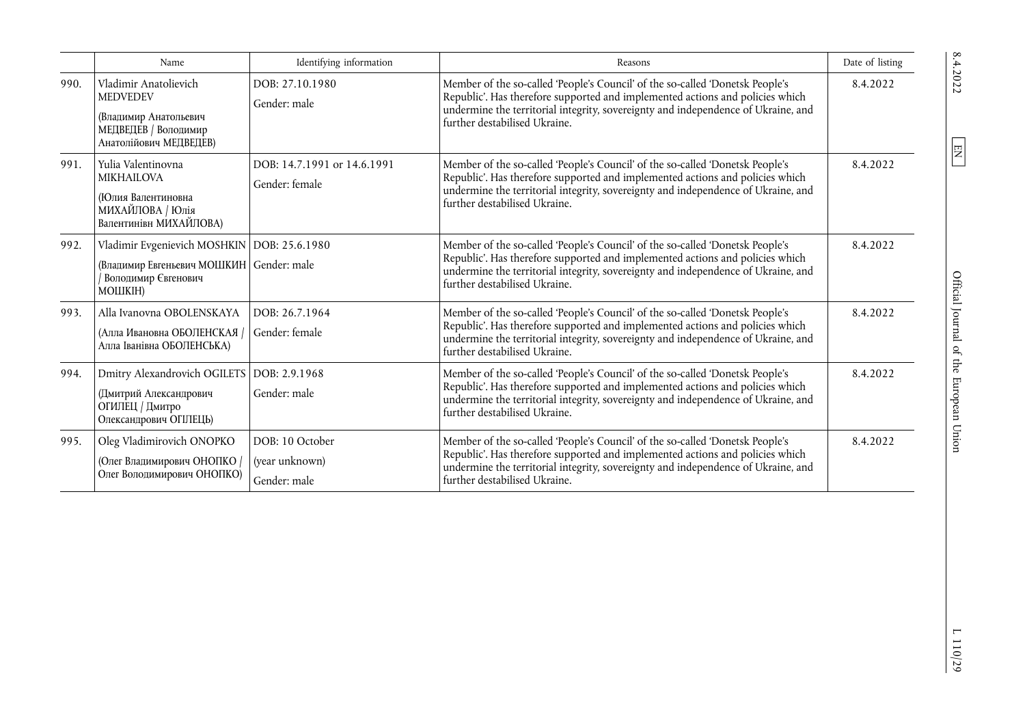|      | Name                                                                                                                        | Identifying information                           | Reasons                                                                                                                                                                                                                                                                              | Date of listing |
|------|-----------------------------------------------------------------------------------------------------------------------------|---------------------------------------------------|--------------------------------------------------------------------------------------------------------------------------------------------------------------------------------------------------------------------------------------------------------------------------------------|-----------------|
| 990. | Vladimir Anatolievich<br><b>MEDVEDEV</b><br>(Владимир Анатольевич<br>МЕДВЕДЕВ / Володимир<br>Анатолійович МЕДВЕДЕВ)         | DOB: 27.10.1980<br>Gender: male                   | Member of the so-called 'People's Council' of the so-called 'Donetsk People's<br>Republic'. Has therefore supported and implemented actions and policies which<br>undermine the territorial integrity, sovereignty and independence of Ukraine, and<br>further destabilised Ukraine. | 8.4.2022        |
| 991. | Yulia Valentinovna<br><b>MIKHAILOVA</b><br>(Юлия Валентиновна<br>МИХАЙЛОВА / Юлія<br>Валентинівн МИХАЙЛОВА)                 | DOB: 14.7.1991 or 14.6.1991<br>Gender: female     | Member of the so-called 'People's Council' of the so-called 'Donetsk People's<br>Republic'. Has therefore supported and implemented actions and policies which<br>undermine the territorial integrity, sovereignty and independence of Ukraine, and<br>further destabilised Ukraine. | 8.4.2022        |
| 992. | Vladimir Evgenievich MOSHKIN   DOB: 25.6.1980<br>(Владимир Евгеньевич МОШКИН Gender: male<br>Володимир Євгенович<br>МОШКІН) |                                                   | Member of the so-called 'People's Council' of the so-called 'Donetsk People's<br>Republic'. Has therefore supported and implemented actions and policies which<br>undermine the territorial integrity, sovereignty and independence of Ukraine, and<br>further destabilised Ukraine. | 8.4.2022        |
| 993. | Alla Ivanovna OBOLENSKAYA<br>(Алла Ивановна ОБОЛЕНСКАЯ /<br>Алла Іванівна ОБОЛЕНСЬКА)                                       | DOB: 26.7.1964<br>Gender: female                  | Member of the so-called 'People's Council' of the so-called 'Donetsk People's<br>Republic'. Has therefore supported and implemented actions and policies which<br>undermine the territorial integrity, sovereignty and independence of Ukraine, and<br>further destabilised Ukraine. | 8.4.2022        |
| 994. | Dmitry Alexandrovich OGILETS<br>(Дмитрий Александрович<br>ОГИЛЕЦ / Дмитро<br>Олександрович ОГІЛЕЦЬ)                         | DOB: 2.9.1968<br>Gender: male                     | Member of the so-called 'People's Council' of the so-called 'Donetsk People's<br>Republic'. Has therefore supported and implemented actions and policies which<br>undermine the territorial integrity, sovereignty and independence of Ukraine, and<br>further destabilised Ukraine. | 8.4.2022        |
| 995. | Oleg Vladimirovich ONOPKO<br>(Олег Владимирович ОНОПКО /<br>Олег Володимирович ОНОПКО)                                      | DOB: 10 October<br>(year unknown)<br>Gender: male | Member of the so-called 'People's Council' of the so-called 'Donetsk People's<br>Republic'. Has therefore supported and implemented actions and policies which<br>undermine the territorial integrity, sovereignty and independence of Ukraine, and<br>further destabilised Ukraine. | 8.4.2022        |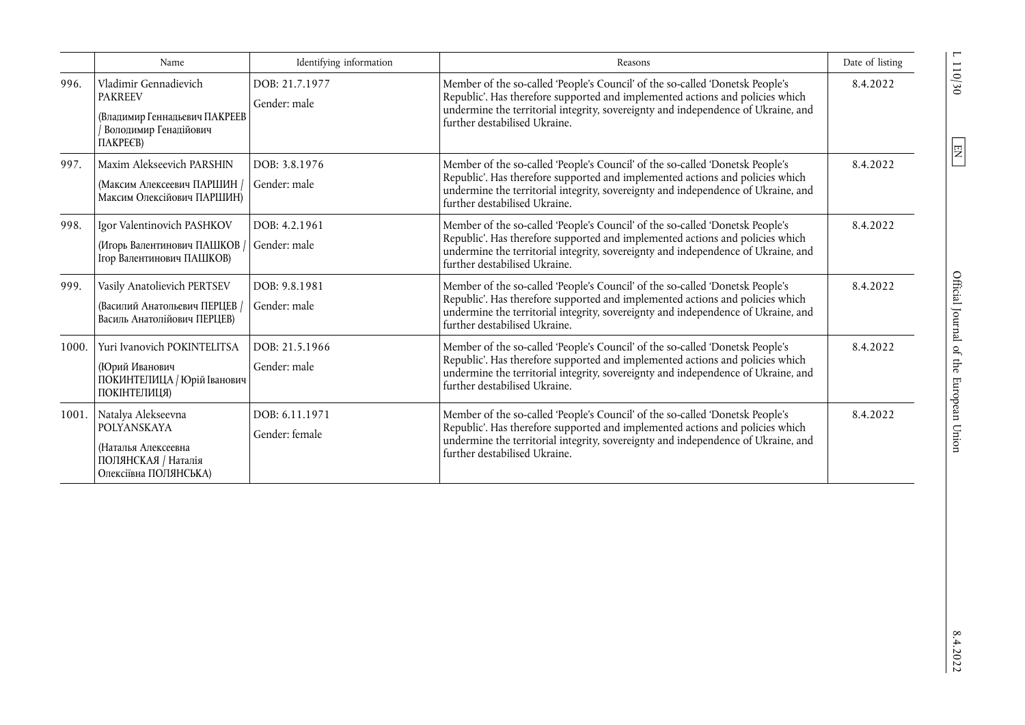|       | Name                                                                                                                 | Identifying information          | Reasons                                                                                                                                                                                                                                                                              | Date of listing |
|-------|----------------------------------------------------------------------------------------------------------------------|----------------------------------|--------------------------------------------------------------------------------------------------------------------------------------------------------------------------------------------------------------------------------------------------------------------------------------|-----------------|
| 996.  | Vladimir Gennadievich<br><b>PAKREEV</b><br>(Владимир Геннадьевич ПАКРЕЕВ<br>Володимир Генадійович<br><b>ΠΑΚΡΕΕΒ)</b> | DOB: 21.7.1977<br>Gender: male   | Member of the so-called 'People's Council' of the so-called 'Donetsk People's<br>Republic'. Has therefore supported and implemented actions and policies which<br>undermine the territorial integrity, sovereignty and independence of Ukraine, and<br>further destabilised Ukraine. | 8.4.2022        |
| 997.  | Maxim Alekseevich PARSHIN<br>(Максим Алексеевич ПАРШИН /<br>Максим Олексійович ПАРШИН)                               | DOB: 3.8.1976<br>Gender: male    | Member of the so-called 'People's Council' of the so-called 'Donetsk People's<br>Republic'. Has therefore supported and implemented actions and policies which<br>undermine the territorial integrity, sovereignty and independence of Ukraine, and<br>further destabilised Ukraine. | 8.4.2022        |
| 998.  | Igor Valentinovich PASHKOV<br>(Игорь Валентинович ПАШКОВ /<br>Ігор Валентинович ПАШКОВ)                              | DOB: 4.2.1961<br>Gender: male    | Member of the so-called 'People's Council' of the so-called 'Donetsk People's<br>Republic'. Has therefore supported and implemented actions and policies which<br>undermine the territorial integrity, sovereignty and independence of Ukraine, and<br>further destabilised Ukraine. | 8.4.2022        |
| 999.  | Vasily Anatolievich PERTSEV<br>(Василий Анатольевич ПЕРЦЕВ /<br>Василь Анатолійович ПЕРЦЕВ)                          | DOB: 9.8.1981<br>Gender: male    | Member of the so-called 'People's Council' of the so-called 'Donetsk People's<br>Republic'. Has therefore supported and implemented actions and policies which<br>undermine the territorial integrity, sovereignty and independence of Ukraine, and<br>further destabilised Ukraine. | 8.4.2022        |
| 1000. | Yuri Ivanovich POKINTELITSA<br>(Юрий Иванович<br>ПОКИНТЕЛИЦА / Юрій Іванович<br>ПОКІНТЕЛИЦЯ)                         | DOB: 21.5.1966<br>Gender: male   | Member of the so-called 'People's Council' of the so-called 'Donetsk People's<br>Republic'. Has therefore supported and implemented actions and policies which<br>undermine the territorial integrity, sovereignty and independence of Ukraine, and<br>further destabilised Ukraine. | 8.4.2022        |
| 1001. | Natalya Alekseevna<br>POLYANSKAYA<br>(Наталья Алексеевна<br>ПОЛЯНСКАЯ / Наталія<br>Олексіївна ПОЛЯНСЬКА)             | DOB: 6.11.1971<br>Gender: female | Member of the so-called 'People's Council' of the so-called 'Donetsk People's<br>Republic'. Has therefore supported and implemented actions and policies which<br>undermine the territorial integrity, sovereignty and independence of Ukraine, and<br>further destabilised Ukraine. | 8.4.2022        |

 $\frac{110}{30}$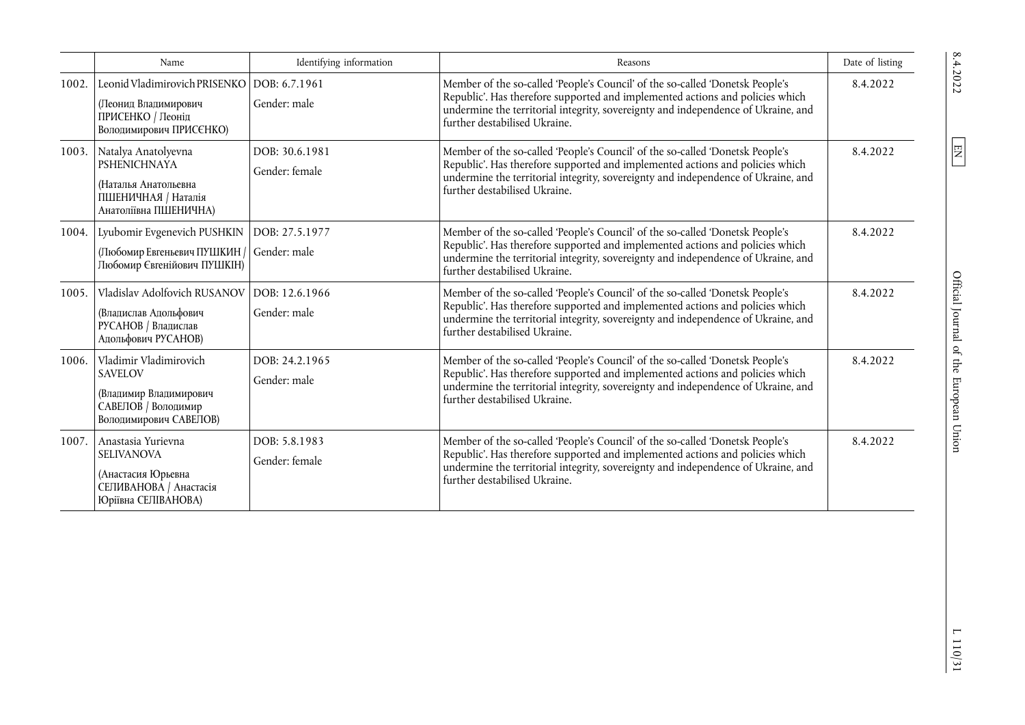|       | Name                                                                                                                     | Identifying information          | Reasons                                                                                                                                                                                                                                                                              | Date of listing |
|-------|--------------------------------------------------------------------------------------------------------------------------|----------------------------------|--------------------------------------------------------------------------------------------------------------------------------------------------------------------------------------------------------------------------------------------------------------------------------------|-----------------|
| 1002. | Leonid Vladimirovich PRISENKO   DOB: 6.7.1961<br>(Леонид Владимирович<br>ПРИСЕНКО / Леонід<br>Володимирович ПРИСЄНКО)    | Gender: male                     | Member of the so-called 'People's Council' of the so-called 'Donetsk People's<br>Republic'. Has therefore supported and implemented actions and policies which<br>undermine the territorial integrity, sovereignty and independence of Ukraine, and<br>further destabilised Ukraine. | 8.4.2022        |
|       | 1003. Natalya Anatolyevna<br><b>PSHENICHNAYA</b><br>(Наталья Анатольевна<br>ПШЕНИЧНАЯ / Наталія<br>Анатоліївна ПШЕНИЧНА) | DOB: 30.6.1981<br>Gender: female | Member of the so-called 'People's Council' of the so-called 'Donetsk People's<br>Republic'. Has therefore supported and implemented actions and policies which<br>undermine the territorial integrity, sovereignty and independence of Ukraine, and<br>further destabilised Ukraine. | 8.4.2022        |
| 1004. | Lyubomir Evgenevich PUSHKIN<br>(Любомир Евгеньевич ПУШКИН /<br>Любомир Євгенійович ПУШКІН)                               | DOB: 27.5.1977<br>Gender: male   | Member of the so-called 'People's Council' of the so-called 'Donetsk People's<br>Republic'. Has therefore supported and implemented actions and policies which<br>undermine the territorial integrity, sovereignty and independence of Ukraine, and<br>further destabilised Ukraine. | 8.4.2022        |
| 1005. | Vladislav Adolfovich RUSANOV<br>(Владислав Адольфович<br>РУСАНОВ / Владислав<br>Адольфович РУСАНОВ)                      | DOB: 12.6.1966<br>Gender: male   | Member of the so-called 'People's Council' of the so-called 'Donetsk People's<br>Republic'. Has therefore supported and implemented actions and policies which<br>undermine the territorial integrity, sovereignty and independence of Ukraine, and<br>further destabilised Ukraine. | 8.4.2022        |
| 1006. | Vladimir Vladimirovich<br><b>SAVELOV</b><br>(Владимир Владимирович<br>САВЕЛОВ / Володимир<br>Володимирович САВЕЛОВ)      | DOB: 24.2.1965<br>Gender: male   | Member of the so-called 'People's Council' of the so-called 'Donetsk People's<br>Republic'. Has therefore supported and implemented actions and policies which<br>undermine the territorial integrity, sovereignty and independence of Ukraine, and<br>further destabilised Ukraine. | 8.4.2022        |
| 1007. | Anastasia Yurievna<br><b>SELIVANOVA</b><br>(Анастасия Юрьевна<br>СЕЛИВАНОВА / Анастасія<br>Юріївна СЕЛІВАНОВА)           | DOB: 5.8.1983<br>Gender: female  | Member of the so-called 'People's Council' of the so-called 'Donetsk People's<br>Republic'. Has therefore supported and implemented actions and policies which<br>undermine the territorial integrity, sovereignty and independence of Ukraine, and<br>further destabilised Ukraine. | 8.4.2022        |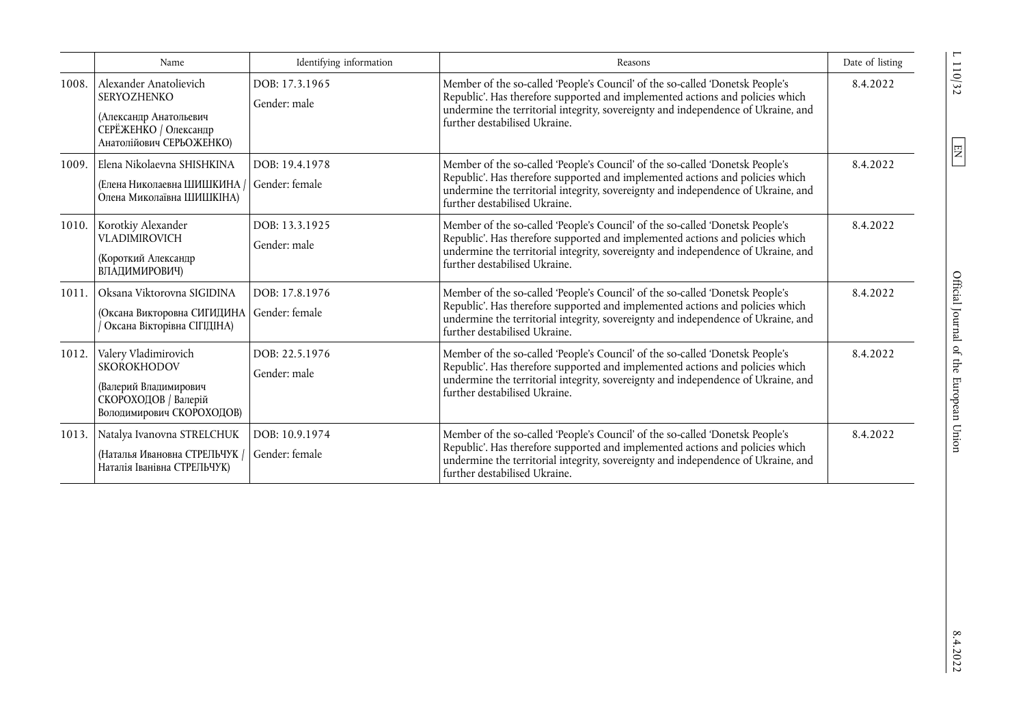|       | Name                                                                                                                        | Identifying information          | Reasons                                                                                                                                                                                                                                                                              | Date of listing |
|-------|-----------------------------------------------------------------------------------------------------------------------------|----------------------------------|--------------------------------------------------------------------------------------------------------------------------------------------------------------------------------------------------------------------------------------------------------------------------------------|-----------------|
| 1008. | Alexander Anatolievich<br><b>SERYOZHENKO</b><br>(Александр Анатольевич<br>СЕРЁЖЕНКО / Олександр<br>Анатолійович СЕРЬОЖЕНКО) | DOB: 17.3.1965<br>Gender: male   | Member of the so-called 'People's Council' of the so-called 'Donetsk People's<br>Republic'. Has therefore supported and implemented actions and policies which<br>undermine the territorial integrity, sovereignty and independence of Ukraine, and<br>further destabilised Ukraine. | 8.4.2022        |
| 1009. | Elena Nikolaevna SHISHKINA<br>(Елена Николаевна ШИШКИНА)<br>Олена Миколаївна ШИШКІНА)                                       | DOB: 19.4.1978<br>Gender: female | Member of the so-called 'People's Council' of the so-called 'Donetsk People's<br>Republic'. Has therefore supported and implemented actions and policies which<br>undermine the territorial integrity, sovereignty and independence of Ukraine, and<br>further destabilised Ukraine. | 8.4.2022        |
| 1010. | Korotkiy Alexander<br><b>VLADIMIROVICH</b><br>(Короткий Александр<br>ВЛАДИМИРОВИЧ)                                          | DOB: 13.3.1925<br>Gender: male   | Member of the so-called 'People's Council' of the so-called 'Donetsk People's<br>Republic'. Has therefore supported and implemented actions and policies which<br>undermine the territorial integrity, sovereignty and independence of Ukraine, and<br>further destabilised Ukraine. | 8.4.2022        |
| 1011. | Oksana Viktorovna SIGIDINA<br>(Оксана Викторовна СИГИДИНА<br>Оксана Вікторівна СІГІДІНА)                                    | DOB: 17.8.1976<br>Gender: female | Member of the so-called 'People's Council' of the so-called 'Donetsk People's<br>Republic'. Has therefore supported and implemented actions and policies which<br>undermine the territorial integrity, sovereignty and independence of Ukraine, and<br>further destabilised Ukraine. | 8.4.2022        |
| 1012. | Valery Vladimirovich<br><b>SKOROKHODOV</b><br>(Валерий Владимирович<br>СКОРОХОДОВ / Валерій<br>Володимирович СКОРОХОДОВ)    | DOB: 22.5.1976<br>Gender: male   | Member of the so-called 'People's Council' of the so-called 'Donetsk People's<br>Republic'. Has therefore supported and implemented actions and policies which<br>undermine the territorial integrity, sovereignty and independence of Ukraine, and<br>further destabilised Ukraine. | 8.4.2022        |
| 1013. | Natalya Ivanovna STRELCHUK<br>(Наталья Ивановна СТРЕЛЬЧУК /<br>Наталія Іванівна СТРЕЛЬЧУК)                                  | DOB: 10.9.1974<br>Gender: female | Member of the so-called 'People's Council' of the so-called 'Donetsk People's<br>Republic'. Has therefore supported and implemented actions and policies which<br>undermine the territorial integrity, sovereignty and independence of Ukraine, and<br>further destabilised Ukraine. | 8.4.2022        |

 $L$  110/32  $\,$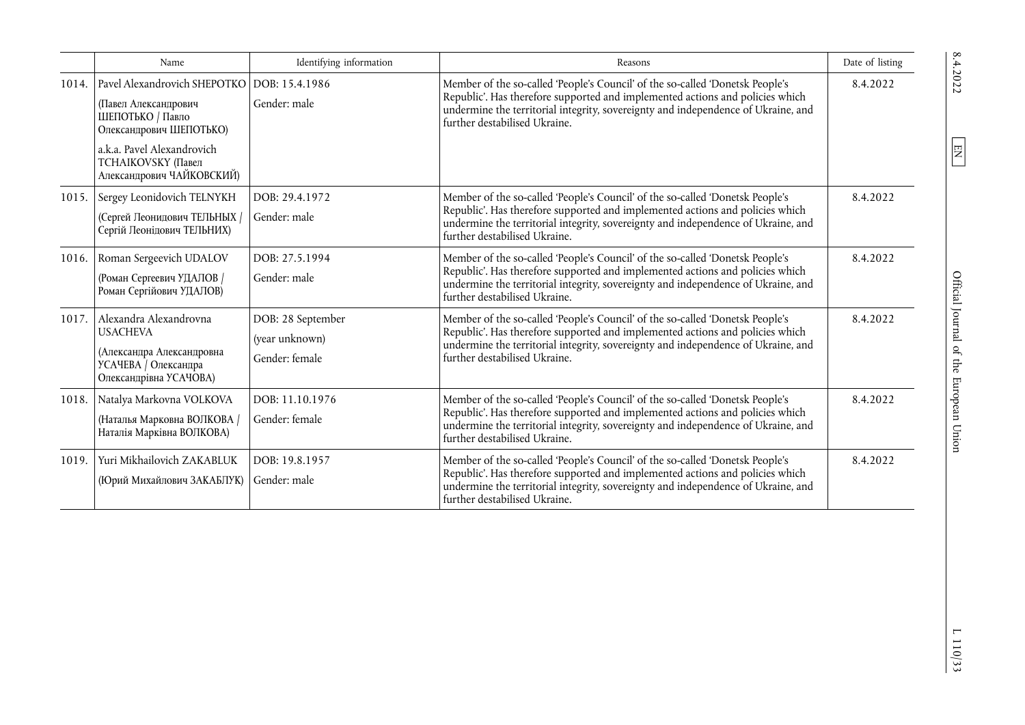|       | Name                                                                                                                     | Identifying information                               | Reasons                                                                                                                                                                                                                                                                              | Date of listing |
|-------|--------------------------------------------------------------------------------------------------------------------------|-------------------------------------------------------|--------------------------------------------------------------------------------------------------------------------------------------------------------------------------------------------------------------------------------------------------------------------------------------|-----------------|
| 1014. | Pavel Alexandrovich SHEPOTKO   DOB: 15.4.1986<br>(Павел Александрович<br>ШЕПОТЬКО / Павло<br>Олександрович ШЕПОТЬКО)     | Gender: male                                          | Member of the so-called 'People's Council' of the so-called 'Donetsk People's<br>Republic'. Has therefore supported and implemented actions and policies which<br>undermine the territorial integrity, sovereignty and independence of Ukraine, and<br>further destabilised Ukraine. | 8.4.2022        |
|       | a.k.a. Pavel Alexandrovich<br><b>ТСНАІКОVSKY</b> (Павел<br>Александрович ЧАЙКОВСКИЙ)                                     |                                                       |                                                                                                                                                                                                                                                                                      |                 |
| 1015. | Sergey Leonidovich TELNYKH<br>(Сергей Леонидович ТЕЛЬНЫХ /<br>Сергій Леонідович ТЕЛЬНИХ)                                 | DOB: 29.4.1972<br>Gender: male                        | Member of the so-called 'People's Council' of the so-called 'Donetsk People's<br>Republic'. Has therefore supported and implemented actions and policies which<br>undermine the territorial integrity, sovereignty and independence of Ukraine, and<br>further destabilised Ukraine. | 8.4.2022        |
| 1016. | Roman Sergeevich UDALOV<br>(Роман Сергеевич УДАЛОВ /<br>Роман Сергійович УДАЛОВ)                                         | DOB: 27.5.1994<br>Gender: male                        | Member of the so-called 'People's Council' of the so-called 'Donetsk People's<br>Republic'. Has therefore supported and implemented actions and policies which<br>undermine the territorial integrity, sovereignty and independence of Ukraine, and<br>further destabilised Ukraine. | 8.4.2022        |
| 1017. | Alexandra Alexandrovna<br><b>USACHEVA</b><br>(Александра Александровна<br>УСАЧЕВА / Олександра<br>Олександрівна УСАЧОВА) | DOB: 28 September<br>(year unknown)<br>Gender: female | Member of the so-called 'People's Council' of the so-called 'Donetsk People's<br>Republic'. Has therefore supported and implemented actions and policies which<br>undermine the territorial integrity, sovereignty and independence of Ukraine, and<br>further destabilised Ukraine. | 8.4.2022        |
| 1018. | Natalya Markovna VOLKOVA<br>(Наталья Марковна ВОЛКОВА /<br>Наталія Марківна ВОЛКОВА)                                     | DOB: 11.10.1976<br>Gender: female                     | Member of the so-called 'People's Council' of the so-called 'Donetsk People's<br>Republic'. Has therefore supported and implemented actions and policies which<br>undermine the territorial integrity, sovereignty and independence of Ukraine, and<br>further destabilised Ukraine. | 8.4.2022        |
| 1019. | Yuri Mikhailovich ZAKABLUK<br>(Юрий Михайлович ЗАКАБЛУК)                                                                 | DOB: 19.8.1957<br>Gender: male                        | Member of the so-called 'People's Council' of the so-called 'Donetsk People's<br>Republic'. Has therefore supported and implemented actions and policies which<br>undermine the territorial integrity, sovereignty and independence of Ukraine, and<br>further destabilised Ukraine. | 8.4.2022        |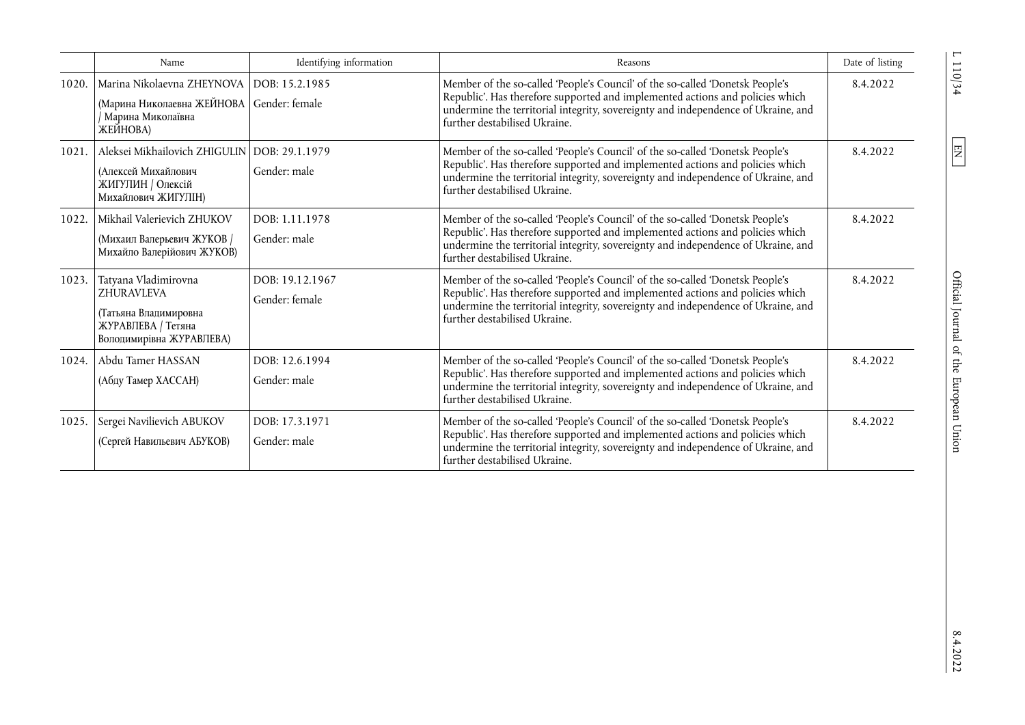|       | Name                                                                                                                    | Identifying information           | Reasons                                                                                                                                                                                                                                                                              | Date of listing |
|-------|-------------------------------------------------------------------------------------------------------------------------|-----------------------------------|--------------------------------------------------------------------------------------------------------------------------------------------------------------------------------------------------------------------------------------------------------------------------------------|-----------------|
| 1020. | Marina Nikolaevna ZHEYNOVA DOB: 15.2.1985<br>(Марина Николаевна ЖЕЙНОВА Gender: female<br>Марина Миколаївна<br>ЖЕЙНОВА) |                                   | Member of the so-called 'People's Council' of the so-called 'Donetsk People's<br>Republic'. Has therefore supported and implemented actions and policies which<br>undermine the territorial integrity, sovereignty and independence of Ukraine, and<br>further destabilised Ukraine. | 8.4.2022        |
| 1021. | Aleksei Mikhailovich ZHIGULIN   DOB: 29.1.1979<br>(Алексей Михайлович<br>ЖИГУЛИН / Олексій<br>Михайлович ЖИГУЛІН)       | Gender: male                      | Member of the so-called 'People's Council' of the so-called 'Donetsk People's<br>Republic'. Has therefore supported and implemented actions and policies which<br>undermine the territorial integrity, sovereignty and independence of Ukraine, and<br>further destabilised Ukraine. | 8.4.2022        |
| 1022. | Mikhail Valerievich ZHUKOV<br>(Михаил Валерьевич ЖУКОВ /<br>Михайло Валерійович ЖУКОВ)                                  | DOB: 1.11.1978<br>Gender: male    | Member of the so-called 'People's Council' of the so-called 'Donetsk People's<br>Republic'. Has therefore supported and implemented actions and policies which<br>undermine the territorial integrity, sovereignty and independence of Ukraine, and<br>further destabilised Ukraine. | 8.4.2022        |
| 1023. | Tatyana Vladimirovna<br><b>ZHURAVLEVA</b><br>(Татьяна Владимировна<br>ЖУРАВЛЕВА / Тетяна<br>Володимирівна ЖУРАВЛЕВА)    | DOB: 19.12.1967<br>Gender: female | Member of the so-called 'People's Council' of the so-called 'Donetsk People's<br>Republic'. Has therefore supported and implemented actions and policies which<br>undermine the territorial integrity, sovereignty and independence of Ukraine, and<br>further destabilised Ukraine. | 8.4.2022        |
| 1024. | Abdu Tamer HASSAN<br>(Абду Тамер ХАССАН)                                                                                | DOB: 12.6.1994<br>Gender: male    | Member of the so-called 'People's Council' of the so-called 'Donetsk People's<br>Republic'. Has therefore supported and implemented actions and policies which<br>undermine the territorial integrity, sovereignty and independence of Ukraine, and<br>further destabilised Ukraine. | 8.4.2022        |
| 1025. | Sergei Navilievich ABUKOV<br>(Сергей Навильевич АБУКОВ)                                                                 | DOB: 17.3.1971<br>Gender: male    | Member of the so-called 'People's Council' of the so-called 'Donetsk People's<br>Republic'. Has therefore supported and implemented actions and policies which<br>undermine the territorial integrity, sovereignty and independence of Ukraine, and<br>further destabilised Ukraine. | 8.4.2022        |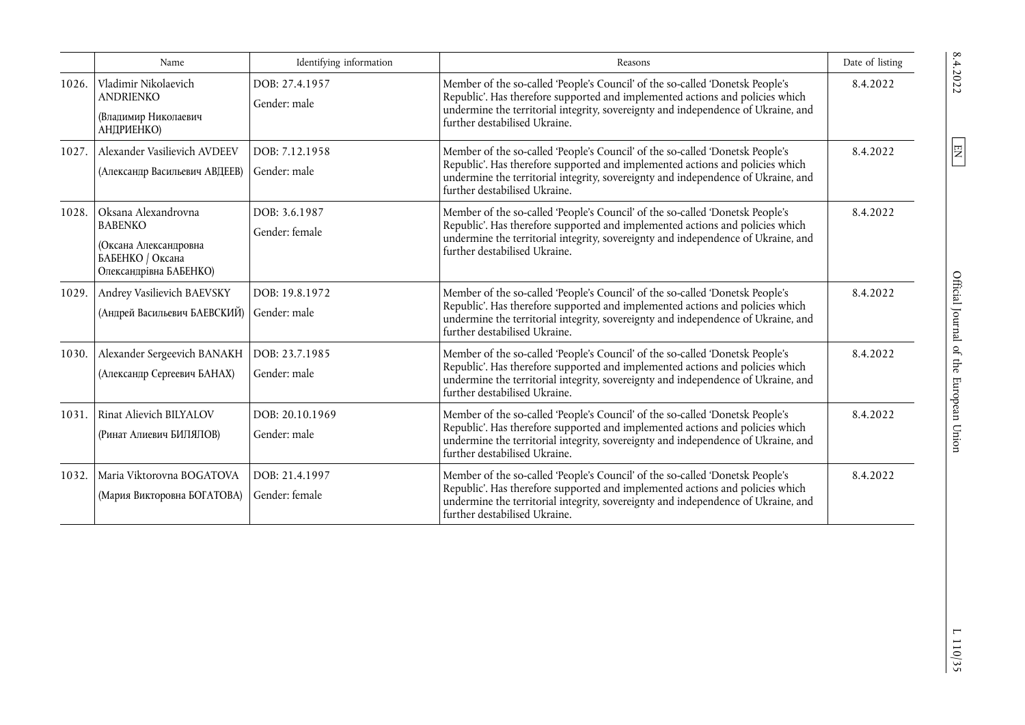|       | Name                                                                                                         | Identifying information          | Reasons                                                                                                                                                                                                                                                                              | Date of listing |
|-------|--------------------------------------------------------------------------------------------------------------|----------------------------------|--------------------------------------------------------------------------------------------------------------------------------------------------------------------------------------------------------------------------------------------------------------------------------------|-----------------|
| 1026. | Vladimir Nikolaevich<br><b>ANDRIENKO</b><br>(Владимир Николаевич<br>АНДРИЕНКО)                               | DOB: 27.4.1957<br>Gender: male   | Member of the so-called 'People's Council' of the so-called 'Donetsk People's<br>Republic'. Has therefore supported and implemented actions and policies which<br>undermine the territorial integrity, sovereignty and independence of Ukraine, and<br>further destabilised Ukraine. | 8.4.2022        |
| 1027. | Alexander Vasilievich AVDEEV<br>(Александр Васильевич АВДЕЕВ)                                                | DOB: 7.12.1958<br>Gender: male   | Member of the so-called 'People's Council' of the so-called 'Donetsk People's<br>Republic'. Has therefore supported and implemented actions and policies which<br>undermine the territorial integrity, sovereignty and independence of Ukraine, and<br>further destabilised Ukraine. | 8.4.2022        |
| 1028. | Oksana Alexandrovna<br><b>BABENKO</b><br>(Оксана Александровна<br>БАБЕНКО / Оксана<br>Олександрівна БАБЕНКО) | DOB: 3.6.1987<br>Gender: female  | Member of the so-called 'People's Council' of the so-called 'Donetsk People's<br>Republic'. Has therefore supported and implemented actions and policies which<br>undermine the territorial integrity, sovereignty and independence of Ukraine, and<br>further destabilised Ukraine. | 8.4.2022        |
| 1029. | Andrey Vasilievich BAEVSKY<br>(Андрей Васильевич БАЕВСКИЙ)                                                   | DOB: 19.8.1972<br>Gender: male   | Member of the so-called 'People's Council' of the so-called 'Donetsk People's<br>Republic'. Has therefore supported and implemented actions and policies which<br>undermine the territorial integrity, sovereignty and independence of Ukraine, and<br>further destabilised Ukraine. | 8.4.2022        |
| 1030. | Alexander Sergeevich BANAKH<br>(Александр Сергеевич БАНАХ)                                                   | DOB: 23.7.1985<br>Gender: male   | Member of the so-called 'People's Council' of the so-called 'Donetsk People's<br>Republic'. Has therefore supported and implemented actions and policies which<br>undermine the territorial integrity, sovereignty and independence of Ukraine, and<br>further destabilised Ukraine. | 8.4.2022        |
| 1031. | Rinat Alievich BILYALOV<br>(Ринат Алиевич БИЛЯЛОВ)                                                           | DOB: 20.10.1969<br>Gender: male  | Member of the so-called 'People's Council' of the so-called 'Donetsk People's<br>Republic'. Has therefore supported and implemented actions and policies which<br>undermine the territorial integrity, sovereignty and independence of Ukraine, and<br>further destabilised Ukraine. | 8.4.2022        |
| 1032. | Maria Viktorovna BOGATOVA<br>(Мария Викторовна БОГАТОВА)                                                     | DOB: 21.4.1997<br>Gender: female | Member of the so-called 'People's Council' of the so-called 'Donetsk People's<br>Republic'. Has therefore supported and implemented actions and policies which<br>undermine the territorial integrity, sovereignty and independence of Ukraine, and<br>further destabilised Ukraine. | 8.4.2022        |

 $L$  110/35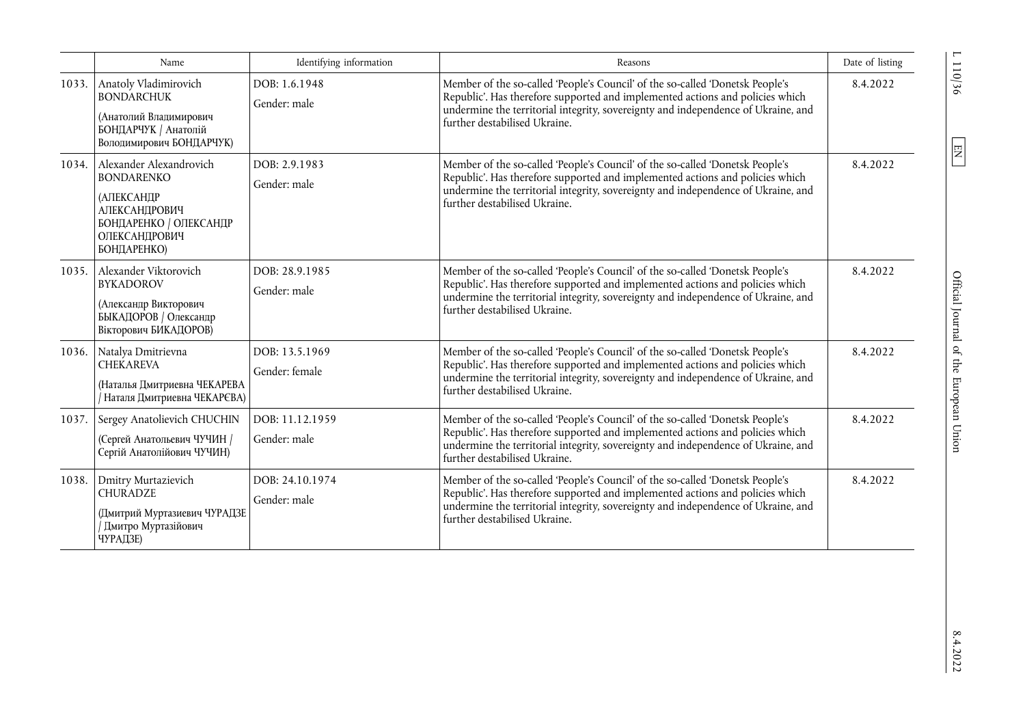|       | Name                                                                                                                                         | Identifying information          | Reasons                                                                                                                                                                                                                                                                              | Date of listing |
|-------|----------------------------------------------------------------------------------------------------------------------------------------------|----------------------------------|--------------------------------------------------------------------------------------------------------------------------------------------------------------------------------------------------------------------------------------------------------------------------------------|-----------------|
| 1033. | Anatoly Vladimirovich<br><b>BONDARCHUK</b><br>(Анатолий Владимирович<br>БОНДАРЧУК / Анатолій<br>Володимирович БОНДАРЧУК)                     | DOB: 1.6.1948<br>Gender: male    | Member of the so-called 'People's Council' of the so-called 'Donetsk People's<br>Republic'. Has therefore supported and implemented actions and policies which<br>undermine the territorial integrity, sovereignty and independence of Ukraine, and<br>further destabilised Ukraine. | 8.4.2022        |
| 1034. | Alexander Alexandrovich<br><b>BONDARENKO</b><br><b>(АЛЕКСАНДР</b><br>АЛЕКСАНДРОВИЧ<br>БОНДАРЕНКО / ОЛЕКСАНДР<br>ОЛЕКСАНДРОВИЧ<br>БОНДАРЕНКО) | DOB: 2.9.1983<br>Gender: male    | Member of the so-called 'People's Council' of the so-called 'Donetsk People's<br>Republic'. Has therefore supported and implemented actions and policies which<br>undermine the territorial integrity, sovereignty and independence of Ukraine, and<br>further destabilised Ukraine. | 8.4.2022        |
| 1035. | Alexander Viktorovich<br><b>BYKADOROV</b><br>(Александр Викторович<br>БЫКАДОРОВ / Олександр<br>Вікторович БИКАДОРОВ)                         | DOB: 28.9.1985<br>Gender: male   | Member of the so-called 'People's Council' of the so-called 'Donetsk People's<br>Republic'. Has therefore supported and implemented actions and policies which<br>undermine the territorial integrity, sovereignty and independence of Ukraine, and<br>further destabilised Ukraine. | 8.4.2022        |
| 1036. | Natalya Dmitrievna<br><b>CHEKAREVA</b><br>(Наталья Дмитриевна ЧЕКАРЕВА<br>Наталя Дмитриевна ЧЕКАРЄВА)                                        | DOB: 13.5.1969<br>Gender: female | Member of the so-called 'People's Council' of the so-called 'Donetsk People's<br>Republic'. Has therefore supported and implemented actions and policies which<br>undermine the territorial integrity, sovereignty and independence of Ukraine, and<br>further destabilised Ukraine. | 8.4.2022        |
| 1037. | Sergey Anatolievich CHUCHIN<br>(Сергей Анатольевич ЧУЧИН /<br>Сергій Анатолійович ЧУЧИН)                                                     | DOB: 11.12.1959<br>Gender: male  | Member of the so-called 'People's Council' of the so-called 'Donetsk People's<br>Republic'. Has therefore supported and implemented actions and policies which<br>undermine the territorial integrity, sovereignty and independence of Ukraine, and<br>further destabilised Ukraine. | 8.4.2022        |
| 1038. | Dmitry Murtazievich<br><b>CHURADZE</b><br>(Дмитрий Муртазиевич ЧУРАДЗЕ<br>Дмитро Муртазійович<br>ЧУРАДЗЕ)                                    | DOB: 24.10.1974<br>Gender: male  | Member of the so-called 'People's Council' of the so-called 'Donetsk People's<br>Republic'. Has therefore supported and implemented actions and policies which<br>undermine the territorial integrity, sovereignty and independence of Ukraine, and<br>further destabilised Ukraine. | 8.4.2022        |

 $L$  110/36  $\,$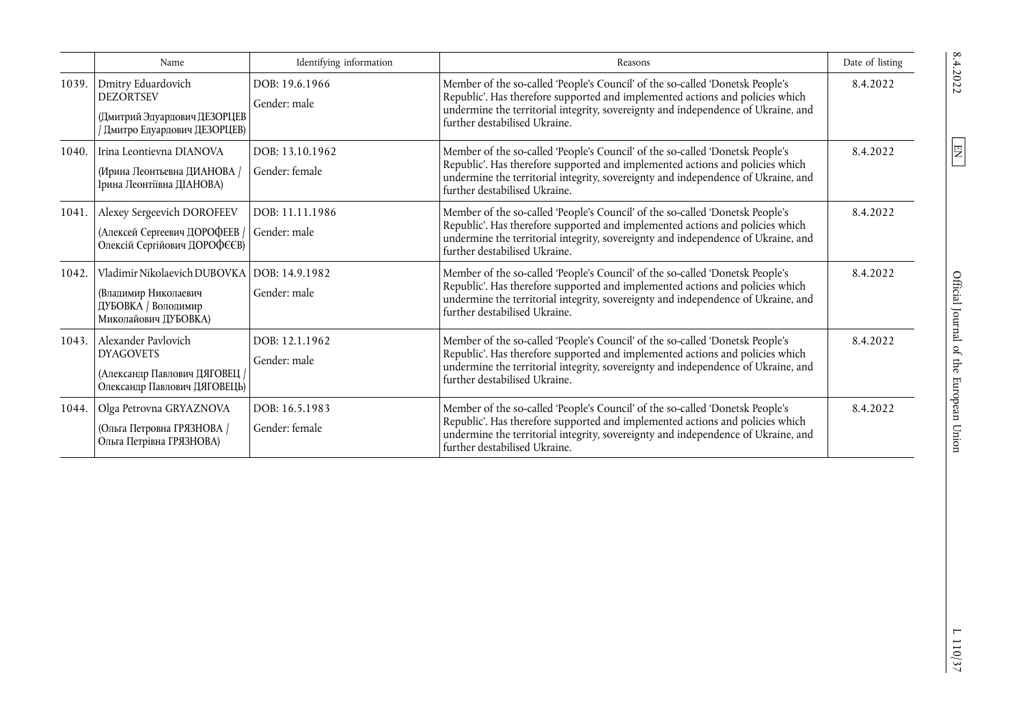|       | Name                                                                                                     | Identifying information           | Reasons                                                                                                                                                                                                                                                                              | Date of listing |
|-------|----------------------------------------------------------------------------------------------------------|-----------------------------------|--------------------------------------------------------------------------------------------------------------------------------------------------------------------------------------------------------------------------------------------------------------------------------------|-----------------|
| 1039. | Dmitry Eduardovich<br><b>DEZORTSEV</b><br>(Дмитрий Эдуардович ДЕЗОРЦЕВ<br>/ Дмитро Едуардович ДЕЗОРЦЕВ)  | DOB: 19.6.1966<br>Gender: male    | Member of the so-called 'People's Council' of the so-called 'Donetsk People's<br>Republic'. Has therefore supported and implemented actions and policies which<br>undermine the territorial integrity, sovereignty and independence of Ukraine, and<br>further destabilised Ukraine. | 8.4.2022        |
| 1040. | Irina Leontievna DIANOVA<br>(Ирина Леонтьевна ДИАНОВА /<br>Ірина Леонтіївна ДІАНОВА)                     | DOB: 13.10.1962<br>Gender: female | Member of the so-called 'People's Council' of the so-called 'Donetsk People's<br>Republic'. Has therefore supported and implemented actions and policies which<br>undermine the territorial integrity, sovereignty and independence of Ukraine, and<br>further destabilised Ukraine. | 8.4.2022        |
| 1041. | Alexey Sergeevich DOROFEEV<br>(Алексей Сергеевич ДОРОФЕЕВ<br>Олексій Сергійович ДОРОФЄЄВ)                | DOB: 11.11.1986<br>Gender: male   | Member of the so-called 'People's Council' of the so-called 'Donetsk People's<br>Republic'. Has therefore supported and implemented actions and policies which<br>undermine the territorial integrity, sovereignty and independence of Ukraine, and<br>further destabilised Ukraine. | 8.4.2022        |
| 1042. | Vladimir Nikolaevich DUBOVKA<br>(Владимир Николаевич<br>ДУБОВКА / Володимир<br>Миколайович ДУБОВКА)      | DOB: 14.9.1982<br>Gender: male    | Member of the so-called 'People's Council' of the so-called 'Donetsk People's<br>Republic'. Has therefore supported and implemented actions and policies which<br>undermine the territorial integrity, sovereignty and independence of Ukraine, and<br>further destabilised Ukraine. | 8.4.2022        |
| 1043. | Alexander Pavlovich<br><b>DYAGOVETS</b><br>(Александр Павлович ДЯГОВЕЦ /<br>Олександр Павлович ДЯГОВЕЦЬ) | DOB: 12.1.1962<br>Gender: male    | Member of the so-called 'People's Council' of the so-called 'Donetsk People's<br>Republic'. Has therefore supported and implemented actions and policies which<br>undermine the territorial integrity, sovereignty and independence of Ukraine, and<br>further destabilised Ukraine. | 8.4.2022        |
| 1044. | Olga Petrovna GRYAZNOVA<br>(Ольга Петровна ГРЯЗНОВА /<br>Ольга Петрівна ГРЯЗНОВА)                        | DOB: 16.5.1983<br>Gender: female  | Member of the so-called 'People's Council' of the so-called 'Donetsk People's<br>Republic'. Has therefore supported and implemented actions and policies which<br>undermine the territorial integrity, sovereignty and independence of Ukraine, and<br>further destabilised Ukraine. | 8.4.2022        |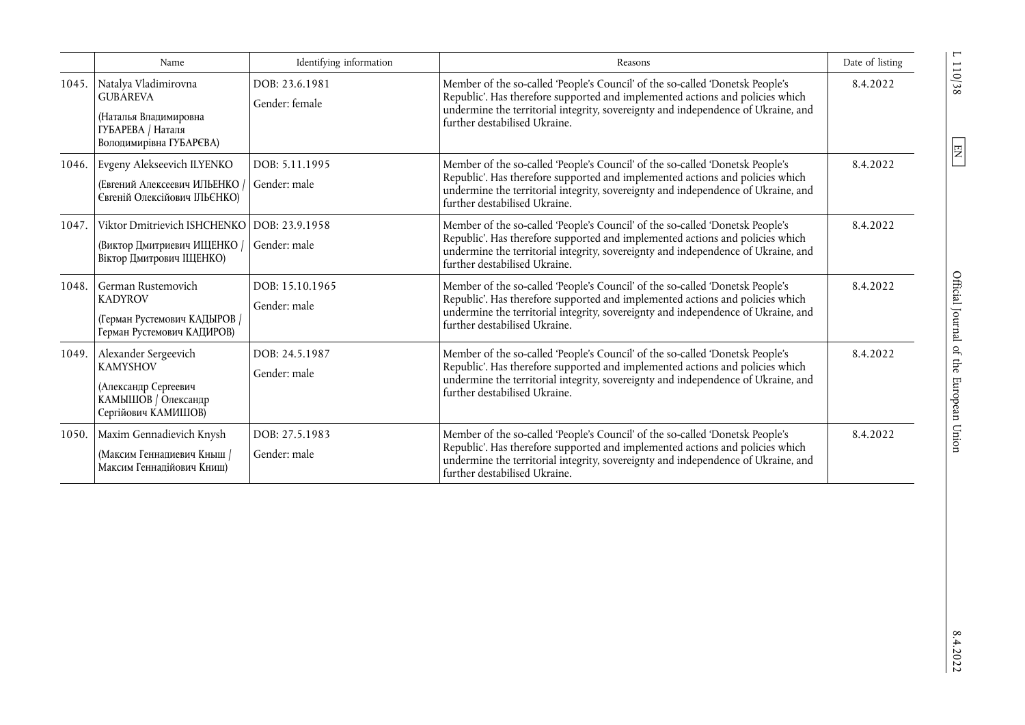|       | Name                                                                                                                   | Identifying information          | Reasons                                                                                                                                                                                                                                                                              | Date of listing |
|-------|------------------------------------------------------------------------------------------------------------------------|----------------------------------|--------------------------------------------------------------------------------------------------------------------------------------------------------------------------------------------------------------------------------------------------------------------------------------|-----------------|
|       | 1045. Natalya Vladimirovna<br><b>GUBAREVA</b><br>(Наталья Владимировна<br>ГУБАРЕВА / Наталя<br>Володимирівна ГУБАРЄВА) | DOB: 23.6.1981<br>Gender: female | Member of the so-called 'People's Council' of the so-called 'Donetsk People's<br>Republic'. Has therefore supported and implemented actions and policies which<br>undermine the territorial integrity, sovereignty and independence of Ukraine, and<br>further destabilised Ukraine. | 8.4.2022        |
|       | 1046. Evgeny Alekseevich ILYENKO<br>(Евгений Алексеевич ИЛЬЕНКО<br>Євгеній Олексійович ІЛЬЄНКО)                        | DOB: 5.11.1995<br>Gender: male   | Member of the so-called 'People's Council' of the so-called 'Donetsk People's<br>Republic'. Has therefore supported and implemented actions and policies which<br>undermine the territorial integrity, sovereignty and independence of Ukraine, and<br>further destabilised Ukraine. | 8.4.2022        |
| 1047. | Viktor Dmitrievich ISHCHENKO<br>(Виктор Дмитриевич ИЩЕНКО /<br>Віктор Дмитрович ШЈЕНКО)                                | DOB: 23.9.1958<br>Gender: male   | Member of the so-called 'People's Council' of the so-called 'Donetsk People's<br>Republic'. Has therefore supported and implemented actions and policies which<br>undermine the territorial integrity, sovereignty and independence of Ukraine, and<br>further destabilised Ukraine. | 8.4.2022        |
| 1048. | German Rustemovich<br><b>KADYROV</b><br>(Герман Рустемович КАДЫРОВ /<br>Герман Рустемович КАДИРОВ)                     | DOB: 15.10.1965<br>Gender: male  | Member of the so-called 'People's Council' of the so-called 'Donetsk People's<br>Republic'. Has therefore supported and implemented actions and policies which<br>undermine the territorial integrity, sovereignty and independence of Ukraine, and<br>further destabilised Ukraine. | 8.4.2022        |
|       | 1049.   Alexander Sergeevich<br><b>KAMYSHOV</b><br>(Александр Сергеевич<br>КАМЫШОВ / Олександр<br>Сергійович КАМИШОВ)  | DOB: 24.5.1987<br>Gender: male   | Member of the so-called 'People's Council' of the so-called 'Donetsk People's<br>Republic'. Has therefore supported and implemented actions and policies which<br>undermine the territorial integrity, sovereignty and independence of Ukraine, and<br>further destabilised Ukraine. | 8.4.2022        |
| 1050. | Maxim Gennadievich Knysh<br>(Максим Геннадиевич Кныш /<br>Максим Геннадійович Книш)                                    | DOB: 27.5.1983<br>Gender: male   | Member of the so-called 'People's Council' of the so-called 'Donetsk People's<br>Republic'. Has therefore supported and implemented actions and policies which<br>undermine the territorial integrity, sovereignty and independence of Ukraine, and<br>further destabilised Ukraine. | 8.4.2022        |

 $L$  110/38  $\,$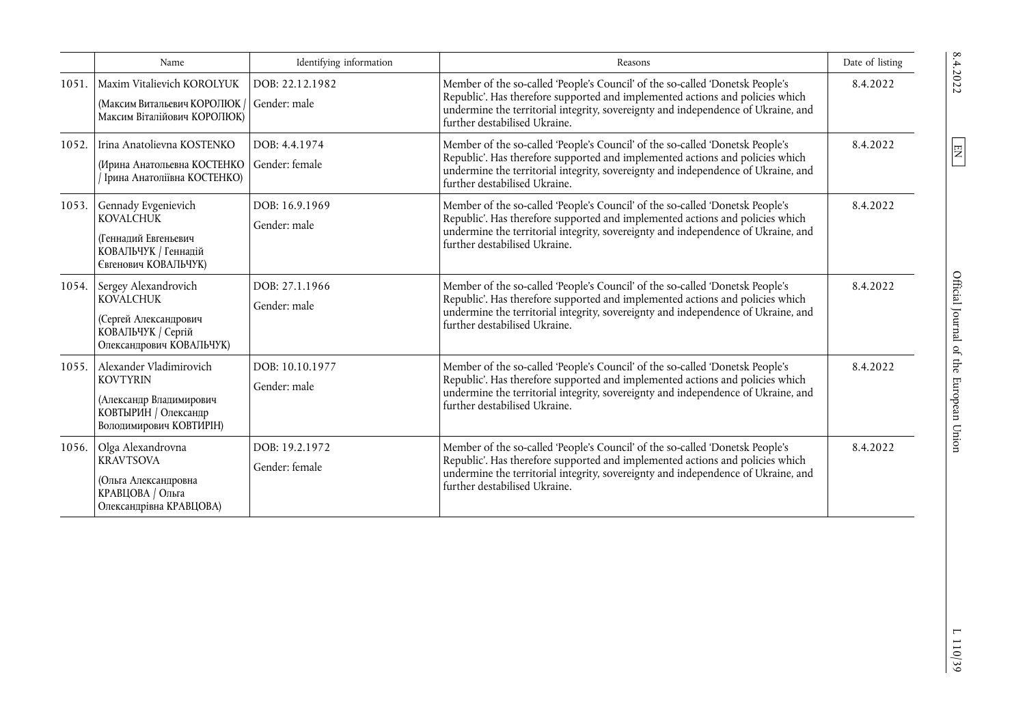|       | Name                                                                                                                      | Identifying information          | Reasons                                                                                                                                                                                                                                                                              | Date of listing |
|-------|---------------------------------------------------------------------------------------------------------------------------|----------------------------------|--------------------------------------------------------------------------------------------------------------------------------------------------------------------------------------------------------------------------------------------------------------------------------------|-----------------|
| 1051. | Maxim Vitalievich KOROLYUK<br>(Максим Витальевич КОРОЛЮК)<br>Максим Віталійович КОРОЛЮК)                                  | DOB: 22.12.1982<br>Gender: male  | Member of the so-called 'People's Council' of the so-called 'Donetsk People's<br>Republic'. Has therefore supported and implemented actions and policies which<br>undermine the territorial integrity, sovereignty and independence of Ukraine, and<br>further destabilised Ukraine. | 8.4.2022        |
| 1052. | Irina Anatolievna KOSTENKO<br>(Ирина Анатольевна КОСТЕНКО<br>Ірина Анатоліївна КОСТЕНКО)                                  | DOB: 4.4.1974<br>Gender: female  | Member of the so-called 'People's Council' of the so-called 'Donetsk People's<br>Republic'. Has therefore supported and implemented actions and policies which<br>undermine the territorial integrity, sovereignty and independence of Ukraine, and<br>further destabilised Ukraine. | 8.4.2022        |
| 1053. | Gennady Evgenievich<br><b>KOVALCHUK</b><br>(Геннадий Евгеньевич<br>КОВАЛЬЧУК / Геннадій<br>Євгенович КОВАЛЬЧУК)           | DOB: 16.9.1969<br>Gender: male   | Member of the so-called 'People's Council' of the so-called 'Donetsk People's<br>Republic'. Has therefore supported and implemented actions and policies which<br>undermine the territorial integrity, sovereignty and independence of Ukraine, and<br>further destabilised Ukraine. | 8.4.2022        |
|       | 1054. Sergey Alexandrovich<br><b>KOVALCHUK</b><br>(Сергей Александрович<br>КОВАЛЬЧУК / Сергій<br>Олександрович КОВАЛЬЧУК) | DOB: 27.1.1966<br>Gender: male   | Member of the so-called 'People's Council' of the so-called 'Donetsk People's<br>Republic'. Has therefore supported and implemented actions and policies which<br>undermine the territorial integrity, sovereignty and independence of Ukraine, and<br>further destabilised Ukraine. | 8.4.2022        |
| 1055. | Alexander Vladimirovich<br><b>KOVTYRIN</b><br>(Александр Владимирович<br>КОВТЫРИН / Олександр<br>Володимирович КОВТИРІН)  | DOB: 10.10.1977<br>Gender: male  | Member of the so-called 'People's Council' of the so-called 'Donetsk People's<br>Republic'. Has therefore supported and implemented actions and policies which<br>undermine the territorial integrity, sovereignty and independence of Ukraine, and<br>further destabilised Ukraine. | 8.4.2022        |
|       | 1056. Olga Alexandrovna<br><b>KRAVTSOVA</b><br>(Ольга Александровна<br>КРАВЦОВА / Ольга<br>Олександрівна КРАВЦОВА)        | DOB: 19.2.1972<br>Gender: female | Member of the so-called 'People's Council' of the so-called 'Donetsk People's<br>Republic'. Has therefore supported and implemented actions and policies which<br>undermine the territorial integrity, sovereignty and independence of Ukraine, and<br>further destabilised Ukraine. | 8.4.2022        |

 $\frac{1110}{39}$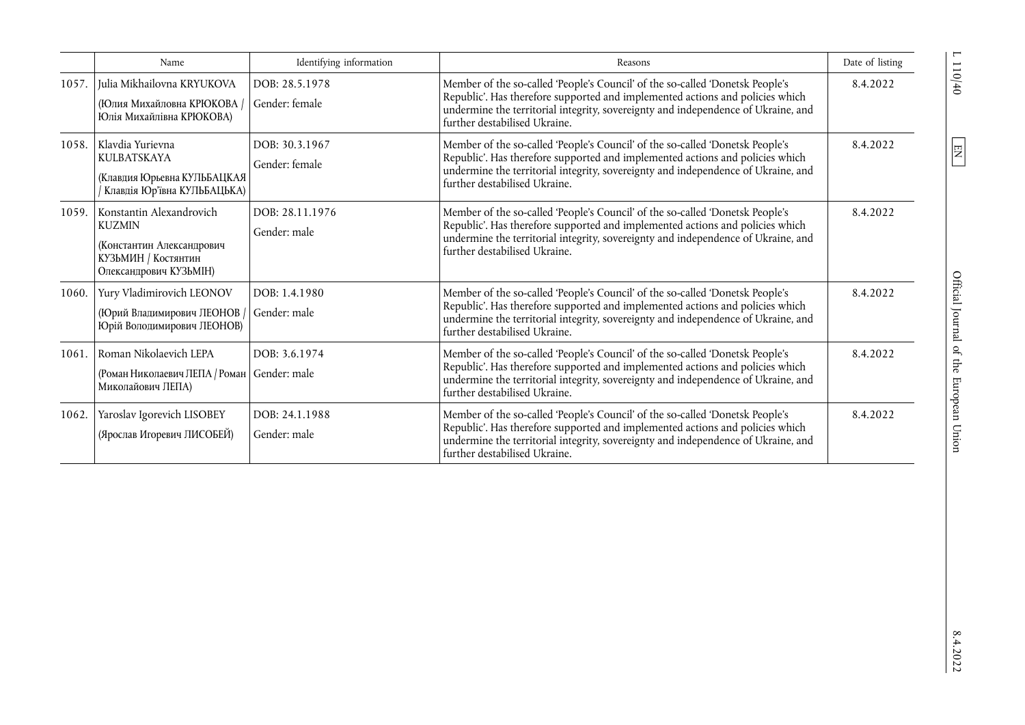|       | Name                                                                                                                    | Identifying information          | Reasons                                                                                                                                                                                                                                                                              | Date of listing |
|-------|-------------------------------------------------------------------------------------------------------------------------|----------------------------------|--------------------------------------------------------------------------------------------------------------------------------------------------------------------------------------------------------------------------------------------------------------------------------------|-----------------|
| 1057. | Julia Mikhailovna KRYUKOVA<br>(Юлия Михайловна КРЮКОВА /<br>Юлія Михайлівна КРЮКОВА)                                    | DOB: 28.5.1978<br>Gender: female | Member of the so-called 'People's Council' of the so-called 'Donetsk People's<br>Republic'. Has therefore supported and implemented actions and policies which<br>undermine the territorial integrity, sovereignty and independence of Ukraine, and<br>further destabilised Ukraine. | 8.4.2022        |
| 1058. | Klavdia Yurievna<br><b>KULBATSKAYA</b><br>(Клавдия Юрьевна КУЛЬБАЦКАЯ<br>Клавдія Юр'ївна КУЛЬБАЦЬКА)                    | DOB: 30.3.1967<br>Gender: female | Member of the so-called 'People's Council' of the so-called 'Donetsk People's<br>Republic'. Has therefore supported and implemented actions and policies which<br>undermine the territorial integrity, sovereignty and independence of Ukraine, and<br>further destabilised Ukraine. | 8.4.2022        |
| 1059. | Konstantin Alexandrovich<br><b>KUZMIN</b><br>(Константин Александрович<br>КУЗЬМИН / Костянтин<br>Олександрович КУЗЬМІН) | DOB: 28.11.1976<br>Gender: male  | Member of the so-called 'People's Council' of the so-called 'Donetsk People's<br>Republic'. Has therefore supported and implemented actions and policies which<br>undermine the territorial integrity, sovereignty and independence of Ukraine, and<br>further destabilised Ukraine. | 8.4.2022        |
| 1060. | Yury Vladimirovich LEONOV<br>(Юрий Владимирович ЛЕОНОВ /<br>Юрій Володимирович ЛЕОНОВ)                                  | DOB: 1.4.1980<br>Gender: male    | Member of the so-called 'People's Council' of the so-called 'Donetsk People's<br>Republic'. Has therefore supported and implemented actions and policies which<br>undermine the territorial integrity, sovereignty and independence of Ukraine, and<br>further destabilised Ukraine. | 8.4.2022        |
| 1061. | Roman Nikolaevich LEPA<br>(Роман Николаевич ЛЕПА / Роман   Gender: male<br>Миколайович ЛЕПА)                            | DOB: 3.6.1974                    | Member of the so-called 'People's Council' of the so-called 'Donetsk People's<br>Republic'. Has therefore supported and implemented actions and policies which<br>undermine the territorial integrity, sovereignty and independence of Ukraine, and<br>further destabilised Ukraine. | 8.4.2022        |
| 1062. | Yaroslav Igorevich LISOBEY<br>(Ярослав Игоревич ЛИСОБЕЙ)                                                                | DOB: 24.1.1988<br>Gender: male   | Member of the so-called 'People's Council' of the so-called 'Donetsk People's<br>Republic'. Has therefore supported and implemented actions and policies which<br>undermine the territorial integrity, sovereignty and independence of Ukraine, and<br>further destabilised Ukraine. | 8.4.2022        |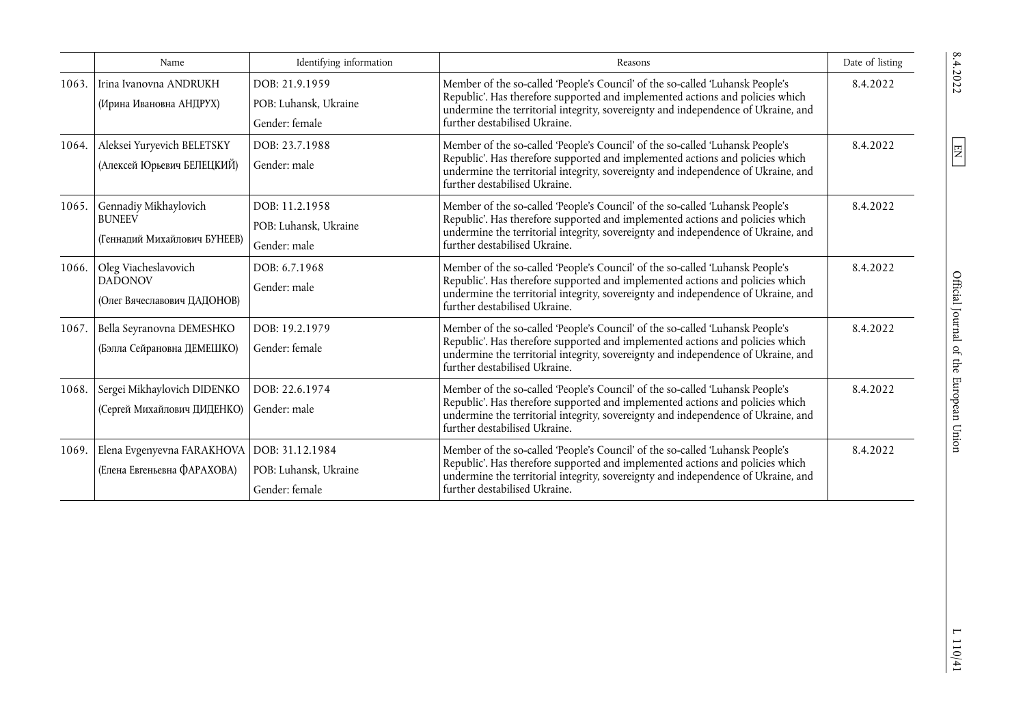|       | Name                                                                        | Identifying information                                   | Reasons                                                                                                                                                                                                                                                                              | Date of listing |
|-------|-----------------------------------------------------------------------------|-----------------------------------------------------------|--------------------------------------------------------------------------------------------------------------------------------------------------------------------------------------------------------------------------------------------------------------------------------------|-----------------|
| 1063. | Irina Ivanovna ANDRUKH<br>(Ирина Ивановна АНДРУХ)                           | DOB: 21.9.1959<br>POB: Luhansk, Ukraine<br>Gender: female | Member of the so-called 'People's Council' of the so-called 'Luhansk People's<br>Republic'. Has therefore supported and implemented actions and policies which<br>undermine the territorial integrity, sovereignty and independence of Ukraine, and<br>further destabilised Ukraine. | 8.4.2022        |
| 1064. | Aleksei Yuryevich BELETSKY<br>(Алексей Юрьевич БЕЛЕЦКИЙ)                    | DOB: 23.7.1988<br>Gender: male                            | Member of the so-called 'People's Council' of the so-called 'Luhansk People's<br>Republic'. Has therefore supported and implemented actions and policies which<br>undermine the territorial integrity, sovereignty and independence of Ukraine, and<br>further destabilised Ukraine. | 8.4.2022        |
| 1065. | Gennadiy Mikhaylovich<br><b>BUNEEV</b><br>(Геннадий Михайлович БУНЕЕВ)      | DOB: 11.2.1958<br>POB: Luhansk, Ukraine<br>Gender: male   | Member of the so-called 'People's Council' of the so-called 'Luhansk People's<br>Republic'. Has therefore supported and implemented actions and policies which<br>undermine the territorial integrity, sovereignty and independence of Ukraine, and<br>further destabilised Ukraine. | 8.4.2022        |
| 1066. | Oleg Viacheslavovich<br><b>DADONOV</b><br>(Олег Вячеславович ДАДОНОВ)       | DOB: 6.7.1968<br>Gender: male                             | Member of the so-called 'People's Council' of the so-called 'Luhansk People's<br>Republic'. Has therefore supported and implemented actions and policies which<br>undermine the territorial integrity, sovereignty and independence of Ukraine, and<br>further destabilised Ukraine. | 8.4.2022        |
| 1067. | Bella Seyranovna DEMESHKO<br>(Бэлла Сейрановна ДЕМЕШКО)                     | DOB: 19.2.1979<br>Gender: female                          | Member of the so-called 'People's Council' of the so-called 'Luhansk People's<br>Republic'. Has therefore supported and implemented actions and policies which<br>undermine the territorial integrity, sovereignty and independence of Ukraine, and<br>further destabilised Ukraine. | 8.4.2022        |
| 1068. | Sergei Mikhaylovich DIDENKO<br>(Сергей Михайлович ДИДЕНКО)                  | DOB: 22.6.1974<br>Gender: male                            | Member of the so-called 'People's Council' of the so-called 'Luhansk People's<br>Republic'. Has therefore supported and implemented actions and policies which<br>undermine the territorial integrity, sovereignty and independence of Ukraine, and<br>further destabilised Ukraine. | 8.4.2022        |
| 1069. | Elena Evgenyevna FARAKHOVA   DOB: 31.12.1984<br>(Елена Евгеньевна ФАРАХОВА) | POB: Luhansk, Ukraine<br>Gender: female                   | Member of the so-called 'People's Council' of the so-called 'Luhansk People's<br>Republic'. Has therefore supported and implemented actions and policies which<br>undermine the territorial integrity, sovereignty and independence of Ukraine, and<br>further destabilised Ukraine. | 8.4.2022        |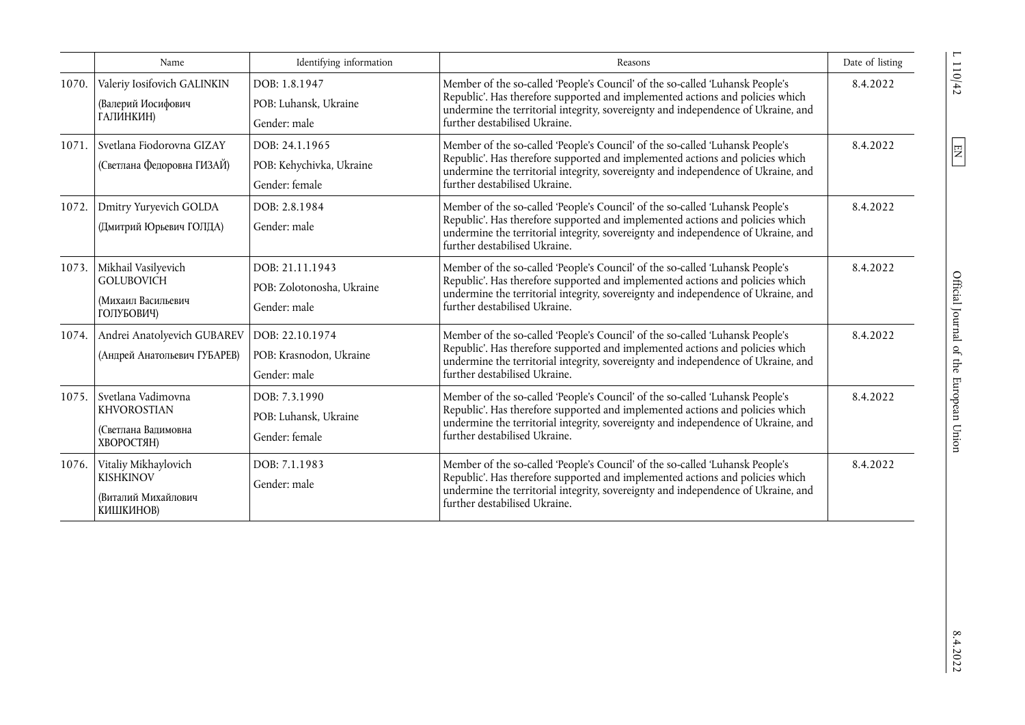|       | Name                                                                          | Identifying information                                      | Reasons                                                                                                                                                                                                                                                                              | Date of listing |
|-------|-------------------------------------------------------------------------------|--------------------------------------------------------------|--------------------------------------------------------------------------------------------------------------------------------------------------------------------------------------------------------------------------------------------------------------------------------------|-----------------|
| 1070. | Valeriy Iosifovich GALINKIN<br>(Валерий Иосифович<br>ГАЛИНКИН)                | DOB: 1.8.1947<br>POB: Luhansk, Ukraine<br>Gender: male       | Member of the so-called 'People's Council' of the so-called 'Luhansk People's<br>Republic'. Has therefore supported and implemented actions and policies which<br>undermine the territorial integrity, sovereignty and independence of Ukraine, and<br>further destabilised Ukraine. | 8.4.2022        |
| 1071. | Svetlana Fiodorovna GIZAY<br>(Светлана Федоровна ГИЗАЙ)                       | DOB: 24.1.1965<br>POB: Kehychivka, Ukraine<br>Gender: female | Member of the so-called 'People's Council' of the so-called 'Luhansk People's<br>Republic'. Has therefore supported and implemented actions and policies which<br>undermine the territorial integrity, sovereignty and independence of Ukraine, and<br>further destabilised Ukraine. | 8.4.2022        |
| 1072. | Dmitry Yuryevich GOLDA<br>(Дмитрий Юрьевич ГОЛДА)                             | DOB: 2.8.1984<br>Gender: male                                | Member of the so-called 'People's Council' of the so-called 'Luhansk People's<br>Republic'. Has therefore supported and implemented actions and policies which<br>undermine the territorial integrity, sovereignty and independence of Ukraine, and<br>further destabilised Ukraine. | 8.4.2022        |
| 1073. | Mikhail Vasilyevich<br><b>GOLUBOVICH</b><br>(Михаил Васильевич<br>ГОЛУБОВИЧ)  | DOB: 21.11.1943<br>POB: Zolotonosha, Ukraine<br>Gender: male | Member of the so-called 'People's Council' of the so-called 'Luhansk People's<br>Republic'. Has therefore supported and implemented actions and policies which<br>undermine the territorial integrity, sovereignty and independence of Ukraine, and<br>further destabilised Ukraine. | 8.4.2022        |
| 1074. | Andrei Anatolyevich GUBAREV<br>(Андрей Анатольевич ГУБАРЕВ)                   | DOB: 22.10.1974<br>POB: Krasnodon, Ukraine<br>Gender: male   | Member of the so-called 'People's Council' of the so-called 'Luhansk People's<br>Republic'. Has therefore supported and implemented actions and policies which<br>undermine the territorial integrity, sovereignty and independence of Ukraine, and<br>further destabilised Ukraine. | 8.4.2022        |
| 1075. | Svetlana Vadimovna<br><b>KHVOROSTIAN</b><br>(Светлана Вадимовна<br>ХВОРОСТЯН) | DOB: 7.3.1990<br>POB: Luhansk, Ukraine<br>Gender: female     | Member of the so-called 'People's Council' of the so-called 'Luhansk People's<br>Republic'. Has therefore supported and implemented actions and policies which<br>undermine the territorial integrity, sovereignty and independence of Ukraine, and<br>further destabilised Ukraine. | 8.4.2022        |
| 1076. | Vitaliy Mikhaylovich<br><b>KISHKINOV</b><br>(Виталий Михайлович<br>КИШКИНОВ)  | DOB: 7.1.1983<br>Gender: male                                | Member of the so-called 'People's Council' of the so-called 'Luhansk People's<br>Republic'. Has therefore supported and implemented actions and policies which<br>undermine the territorial integrity, sovereignty and independence of Ukraine, and<br>further destabilised Ukraine. | 8.4.2022        |

 $L$  110/42  $\,$ 

 $\boxed{\text{EN}}$ 

 $8.4.2022$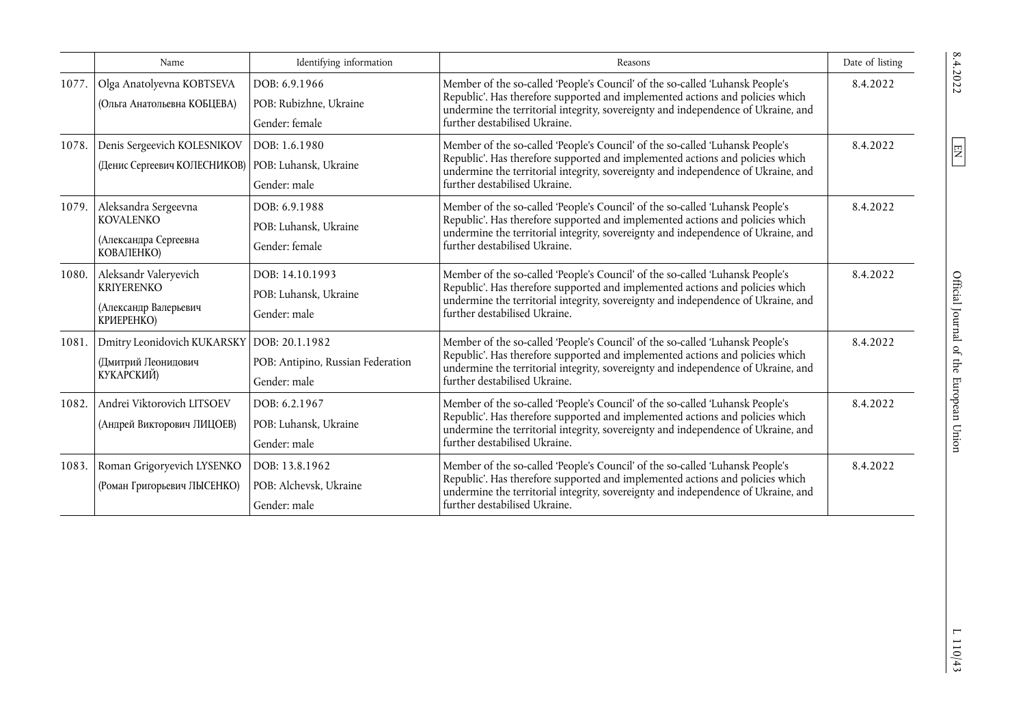|       | Name                                                                              | Identifying information                                             | Reasons                                                                                                                                                                                                                                                                              | Date of listing |
|-------|-----------------------------------------------------------------------------------|---------------------------------------------------------------------|--------------------------------------------------------------------------------------------------------------------------------------------------------------------------------------------------------------------------------------------------------------------------------------|-----------------|
| 1077. | Olga Anatolyevna KOBTSEVA<br>(Ольга Анатольевна КОБЦЕВА)                          | DOB: 6.9.1966<br>POB: Rubizhne, Ukraine<br>Gender: female           | Member of the so-called 'People's Council' of the so-called 'Luhansk People's<br>Republic'. Has therefore supported and implemented actions and policies which<br>undermine the territorial integrity, sovereignty and independence of Ukraine, and<br>further destabilised Ukraine. | 8.4.2022        |
| 1078. | Denis Sergeevich KOLESNIKOV<br>(Денис Сергеевич КОЛЕСНИКОВ)                       | DOB: 1.6.1980<br>POB: Luhansk, Ukraine<br>Gender: male              | Member of the so-called 'People's Council' of the so-called 'Luhansk People's<br>Republic'. Has therefore supported and implemented actions and policies which<br>undermine the territorial integrity, sovereignty and independence of Ukraine, and<br>further destabilised Ukraine. | 8.4.2022        |
| 1079. | Aleksandra Sergeevna<br><b>KOVALENKO</b><br>(Александра Сергеевна<br>КОВАЛЕНКО)   | DOB: 6.9.1988<br>POB: Luhansk, Ukraine<br>Gender: female            | Member of the so-called 'People's Council' of the so-called 'Luhansk People's<br>Republic'. Has therefore supported and implemented actions and policies which<br>undermine the territorial integrity, sovereignty and independence of Ukraine, and<br>further destabilised Ukraine. | 8.4.2022        |
| 1080. | Aleksandr Valeryevich<br><b>KRIYERENKO</b><br>(Александр Валерьевич<br>КРИЕРЕНКО) | DOB: 14.10.1993<br>POB: Luhansk, Ukraine<br>Gender: male            | Member of the so-called 'People's Council' of the so-called 'Luhansk People's<br>Republic'. Has therefore supported and implemented actions and policies which<br>undermine the territorial integrity, sovereignty and independence of Ukraine, and<br>further destabilised Ukraine. | 8.4.2022        |
| 1081. | Dmitry Leonidovich KUKARSKY<br>(Дмитрий Леонидович<br>КУКАРСКИЙ)                  | DOB: 20.1.1982<br>POB: Antipino, Russian Federation<br>Gender: male | Member of the so-called 'People's Council' of the so-called 'Luhansk People's<br>Republic'. Has therefore supported and implemented actions and policies which<br>undermine the territorial integrity, sovereignty and independence of Ukraine, and<br>further destabilised Ukraine. | 8.4.2022        |
| 1082. | Andrei Viktorovich LITSOEV<br>(Андрей Викторович ЛИЦОЕВ)                          | DOB: 6.2.1967<br>POB: Luhansk, Ukraine<br>Gender: male              | Member of the so-called 'People's Council' of the so-called 'Luhansk People's<br>Republic'. Has therefore supported and implemented actions and policies which<br>undermine the territorial integrity, sovereignty and independence of Ukraine, and<br>further destabilised Ukraine. | 8.4.2022        |
| 1083. | Roman Grigoryevich LYSENKO<br>(Роман Григорьевич ЛЫСЕНКО)                         | DOB: 13.8.1962<br>POB: Alchevsk, Ukraine<br>Gender: male            | Member of the so-called 'People's Council' of the so-called 'Luhansk People's<br>Republic'. Has therefore supported and implemented actions and policies which<br>undermine the territorial integrity, sovereignty and independence of Ukraine, and<br>further destabilised Ukraine. | 8.4.2022        |

 $\boxed{\text{EN}}$ 

 $\frac{110}{43}$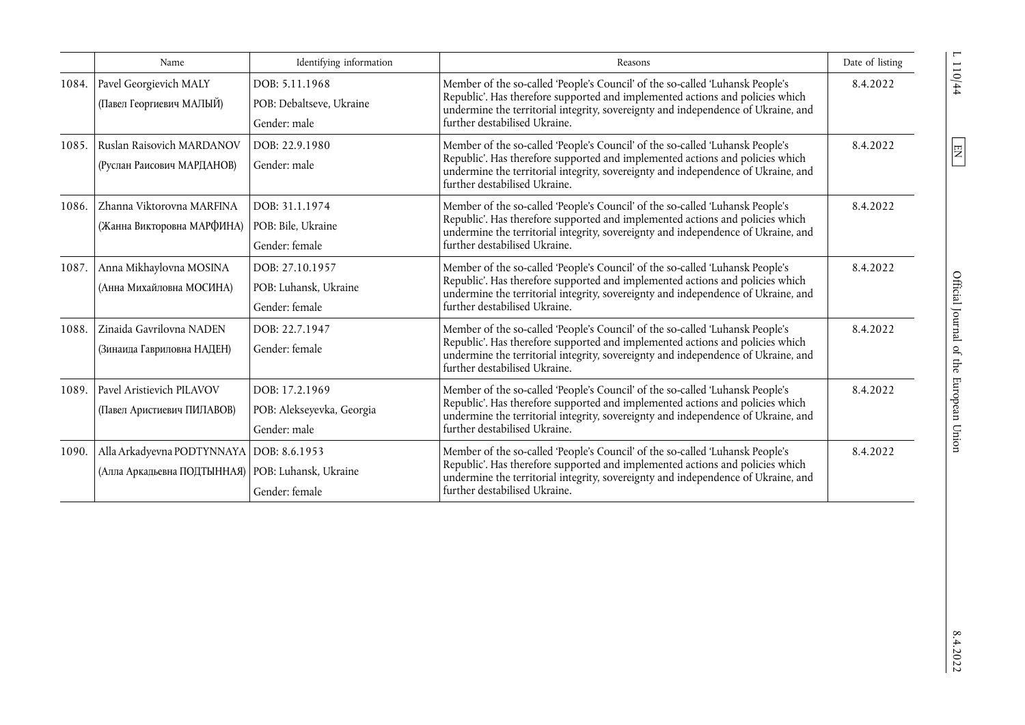|       | Name                                                                                              | Identifying information                                     | Reasons                                                                                                                                                                                                                                                                              | Date of listing |
|-------|---------------------------------------------------------------------------------------------------|-------------------------------------------------------------|--------------------------------------------------------------------------------------------------------------------------------------------------------------------------------------------------------------------------------------------------------------------------------------|-----------------|
| 1084. | Pavel Georgievich MALY<br>(Павел Георгиевич МАЛЫЙ)                                                | DOB: 5.11.1968<br>POB: Debaltseve, Ukraine<br>Gender: male  | Member of the so-called 'People's Council' of the so-called 'Luhansk People's<br>Republic'. Has therefore supported and implemented actions and policies which<br>undermine the territorial integrity, sovereignty and independence of Ukraine, and<br>further destabilised Ukraine. | 8.4.2022        |
| 1085. | Ruslan Raisovich MARDANOV<br>(Руслан Раисович МАРДАНОВ)                                           | DOB: 22.9.1980<br>Gender: male                              | Member of the so-called 'People's Council' of the so-called 'Luhansk People's<br>Republic'. Has therefore supported and implemented actions and policies which<br>undermine the territorial integrity, sovereignty and independence of Ukraine, and<br>further destabilised Ukraine. | 8.4.2022        |
| 1086. | Zhanna Viktorovna MARFINA<br>(Жанна Викторовна МАРФИНА)                                           | DOB: 31.1.1974<br>POB: Bile. Ukraine<br>Gender: female      | Member of the so-called 'People's Council' of the so-called 'Luhansk People's<br>Republic'. Has therefore supported and implemented actions and policies which<br>undermine the territorial integrity, sovereignty and independence of Ukraine, and<br>further destabilised Ukraine. | 8.4.2022        |
| 1087. | Anna Mikhaylovna MOSINA<br>(Анна Михайловна МОСИНА)                                               | DOB: 27.10.1957<br>POB: Luhansk, Ukraine<br>Gender: female  | Member of the so-called 'People's Council' of the so-called 'Luhansk People's<br>Republic'. Has therefore supported and implemented actions and policies which<br>undermine the territorial integrity, sovereignty and independence of Ukraine, and<br>further destabilised Ukraine. | 8.4.2022        |
| 1088. | Zinaida Gavrilovna NADEN<br>(Зинаида Гавриловна НАДЕН)                                            | DOB: 22.7.1947<br>Gender: female                            | Member of the so-called 'People's Council' of the so-called 'Luhansk People's<br>Republic'. Has therefore supported and implemented actions and policies which<br>undermine the territorial integrity, sovereignty and independence of Ukraine, and<br>further destabilised Ukraine. | 8.4.2022        |
| 1089. | Pavel Aristievich PILAVOV<br>(Павел Аристиевич ПИЛАВОВ)                                           | DOB: 17.2.1969<br>POB: Alekseyevka, Georgia<br>Gender: male | Member of the so-called 'People's Council' of the so-called 'Luhansk People's<br>Republic'. Has therefore supported and implemented actions and policies which<br>undermine the territorial integrity, sovereignty and independence of Ukraine, and<br>further destabilised Ukraine. | 8.4.2022        |
| 1090. | Alla Arkadyevna PODTYNNAYA   DOB: 8.6.1953<br>(Алла Аркадьевна ПОДТЫННАЯ)   POB: Luhansk, Ukraine | Gender: female                                              | Member of the so-called 'People's Council' of the so-called 'Luhansk People's<br>Republic'. Has therefore supported and implemented actions and policies which<br>undermine the territorial integrity, sovereignty and independence of Ukraine, and<br>further destabilised Ukraine. | 8.4.2022        |

 $\frac{10}{4}$ 

 $\boxed{\text{EN}}$ 

 $8.4.2022$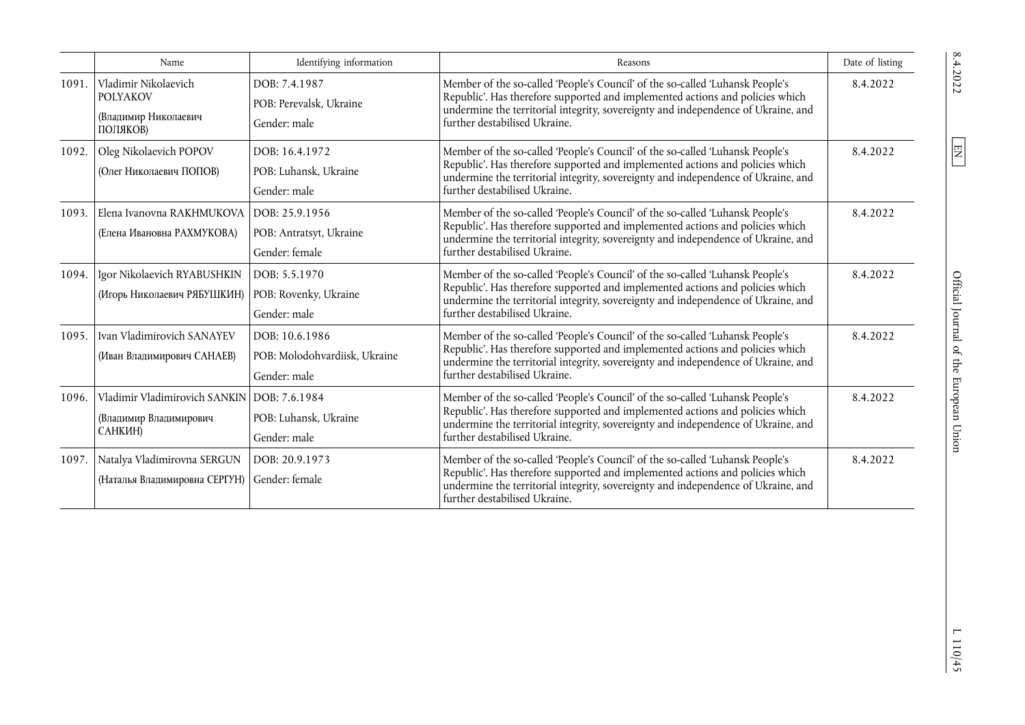|       | Name                                                                        | Identifying information                                         | Reasons                                                                                                                                                                                                                                                                              | Date of listing |
|-------|-----------------------------------------------------------------------------|-----------------------------------------------------------------|--------------------------------------------------------------------------------------------------------------------------------------------------------------------------------------------------------------------------------------------------------------------------------------|-----------------|
| 1091. | Vladimir Nikolaevich<br><b>POLYAKOV</b><br>(Владимир Николаевич<br>ПОЛЯКОВ) | DOB: 7.4.1987<br>POB: Perevalsk, Ukraine<br>Gender: male        | Member of the so-called 'People's Council' of the so-called 'Luhansk People's<br>Republic'. Has therefore supported and implemented actions and policies which<br>undermine the territorial integrity, sovereignty and independence of Ukraine, and<br>further destabilised Ukraine. | 8.4.2022        |
| 1092. | Oleg Nikolaevich POPOV<br>(Олег Николаевич ПОПОВ)                           | DOB: 16.4.1972<br>POB: Luhansk, Ukraine<br>Gender: male         | Member of the so-called 'People's Council' of the so-called 'Luhansk People's<br>Republic'. Has therefore supported and implemented actions and policies which<br>undermine the territorial integrity, sovereignty and independence of Ukraine, and<br>further destabilised Ukraine. | 8.4.2022        |
| 1093. | Elena Ivanovna RAKHMUKOVA<br>(Елена Ивановна РАХМУКОВА)                     | DOB: 25.9.1956<br>POB: Antratsyt, Ukraine<br>Gender: female     | Member of the so-called 'People's Council' of the so-called 'Luhansk People's<br>Republic'. Has therefore supported and implemented actions and policies which<br>undermine the territorial integrity, sovereignty and independence of Ukraine, and<br>further destabilised Ukraine. | 8.4.2022        |
| 1094. | Igor Nikolaevich RYABUSHKIN<br>(Игорь Николаевич РЯБУШКИН)                  | DOB: 5.5.1970<br>POB: Rovenky, Ukraine<br>Gender: male          | Member of the so-called 'People's Council' of the so-called 'Luhansk People's<br>Republic'. Has therefore supported and implemented actions and policies which<br>undermine the territorial integrity, sovereignty and independence of Ukraine, and<br>further destabilised Ukraine. | 8.4.2022        |
| 1095. | Ivan Vladimirovich SANAYEV<br>(Иван Владимирович САНАЕВ)                    | DOB: 10.6.1986<br>POB: Molodohvardiisk, Ukraine<br>Gender: male | Member of the so-called 'People's Council' of the so-called 'Luhansk People's<br>Republic'. Has therefore supported and implemented actions and policies which<br>undermine the territorial integrity, sovereignty and independence of Ukraine, and<br>further destabilised Ukraine. | 8.4.2022        |
| 1096. | Vladimir Vladimirovich SANKIN<br>(Владимир Владимирович<br>САНКИН)          | DOB: 7.6.1984<br>POB: Luhansk, Ukraine<br>Gender: male          | Member of the so-called 'People's Council' of the so-called 'Luhansk People's<br>Republic'. Has therefore supported and implemented actions and policies which<br>undermine the territorial integrity, sovereignty and independence of Ukraine, and<br>further destabilised Ukraine. | 8.4.2022        |
| 1097. | Natalya Vladimirovna SERGUN<br>(Наталья Владимировна СЕРГУН)                | DOB: 20.9.1973<br>Gender: female                                | Member of the so-called 'People's Council' of the so-called 'Luhansk People's<br>Republic'. Has therefore supported and implemented actions and policies which<br>undermine the territorial integrity, sovereignty and independence of Ukraine, and<br>further destabilised Ukraine. | 8.4.2022        |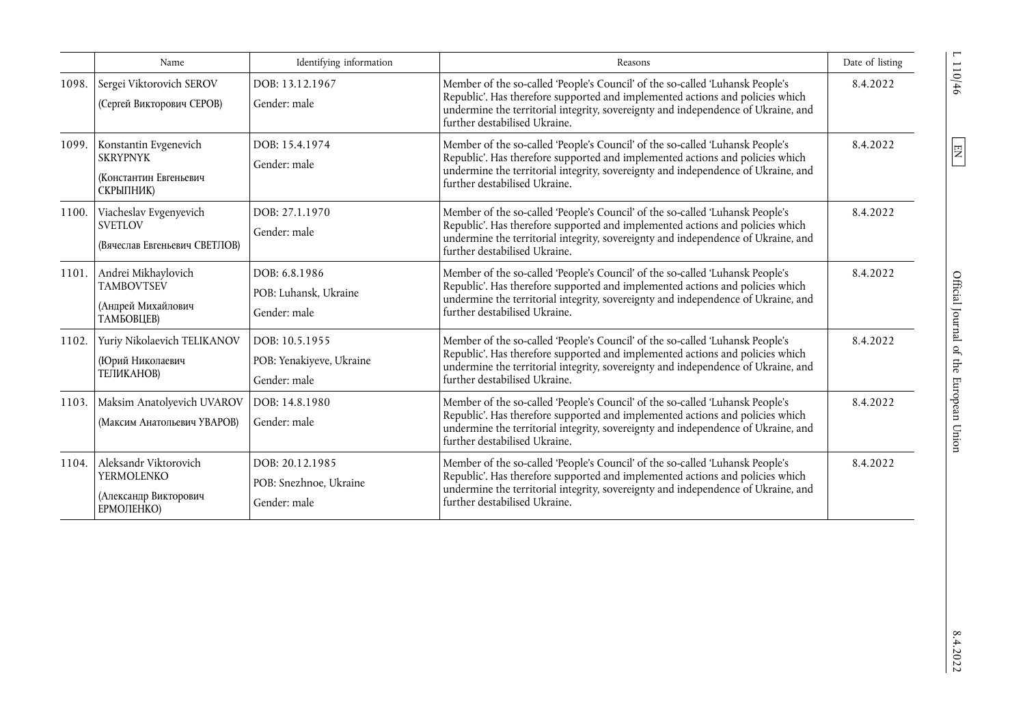|       | Name                                                                              | Identifying information                                    | Reasons                                                                                                                                                                                                                                                                              | Date of listing |
|-------|-----------------------------------------------------------------------------------|------------------------------------------------------------|--------------------------------------------------------------------------------------------------------------------------------------------------------------------------------------------------------------------------------------------------------------------------------------|-----------------|
| 1098. | Sergei Viktorovich SEROV<br>(Сергей Викторович СЕРОВ)                             | DOB: 13.12.1967<br>Gender: male                            | Member of the so-called 'People's Council' of the so-called 'Luhansk People's<br>Republic'. Has therefore supported and implemented actions and policies which<br>undermine the territorial integrity, sovereignty and independence of Ukraine, and<br>further destabilised Ukraine. | 8.4.2022        |
| 1099. | Konstantin Evgenevich<br><b>SKRYPNYK</b><br>(Константин Евгеньевич<br>СКРЫПНИК)   | DOB: 15.4.1974<br>Gender: male                             | Member of the so-called 'People's Council' of the so-called 'Luhansk People's<br>Republic'. Has therefore supported and implemented actions and policies which<br>undermine the territorial integrity, sovereignty and independence of Ukraine, and<br>further destabilised Ukraine. | 8.4.2022        |
| 1100. | Viacheslav Evgenyevich<br><b>SVETLOV</b><br>(Вячеслав Евгеньевич СВЕТЛОВ)         | DOB: 27.1.1970<br>Gender: male                             | Member of the so-called 'People's Council' of the so-called 'Luhansk People's<br>Republic'. Has therefore supported and implemented actions and policies which<br>undermine the territorial integrity, sovereignty and independence of Ukraine, and<br>further destabilised Ukraine. | 8.4.2022        |
| 1101. | Andrei Mikhaylovich<br><b>TAMBOVTSEV</b><br>(Андрей Михайлович<br>ТАМБОВЦЕВ)      | DOB: 6.8.1986<br>POB: Luhansk, Ukraine<br>Gender: male     | Member of the so-called 'People's Council' of the so-called 'Luhansk People's<br>Republic'. Has therefore supported and implemented actions and policies which<br>undermine the territorial integrity, sovereignty and independence of Ukraine, and<br>further destabilised Ukraine. | 8.4.2022        |
| 1102. | Yuriy Nikolaevich TELIKANOV<br>(Юрий Николаевич<br>ТЕЛИКАНОВ)                     | DOB: 10.5.1955<br>POB: Yenakiyeve, Ukraine<br>Gender: male | Member of the so-called 'People's Council' of the so-called 'Luhansk People's<br>Republic'. Has therefore supported and implemented actions and policies which<br>undermine the territorial integrity, sovereignty and independence of Ukraine, and<br>further destabilised Ukraine. | 8.4.2022        |
| 1103. | Maksim Anatolyevich UVAROV<br>(Максим Анатольевич УВАРОВ)                         | DOB: 14.8.1980<br>Gender: male                             | Member of the so-called 'People's Council' of the so-called 'Luhansk People's<br>Republic'. Has therefore supported and implemented actions and policies which<br>undermine the territorial integrity, sovereignty and independence of Ukraine, and<br>further destabilised Ukraine. | 8.4.2022        |
| 1104. | Aleksandr Viktorovich<br><b>YERMOLENKO</b><br>(Александр Викторович<br>ЕРМОЛЕНКО) | DOB: 20.12.1985<br>POB: Snezhnoe, Ukraine<br>Gender: male  | Member of the so-called 'People's Council' of the so-called 'Luhansk People's<br>Republic'. Has therefore supported and implemented actions and policies which<br>undermine the territorial integrity, sovereignty and independence of Ukraine, and<br>further destabilised Ukraine. | 8.4.2022        |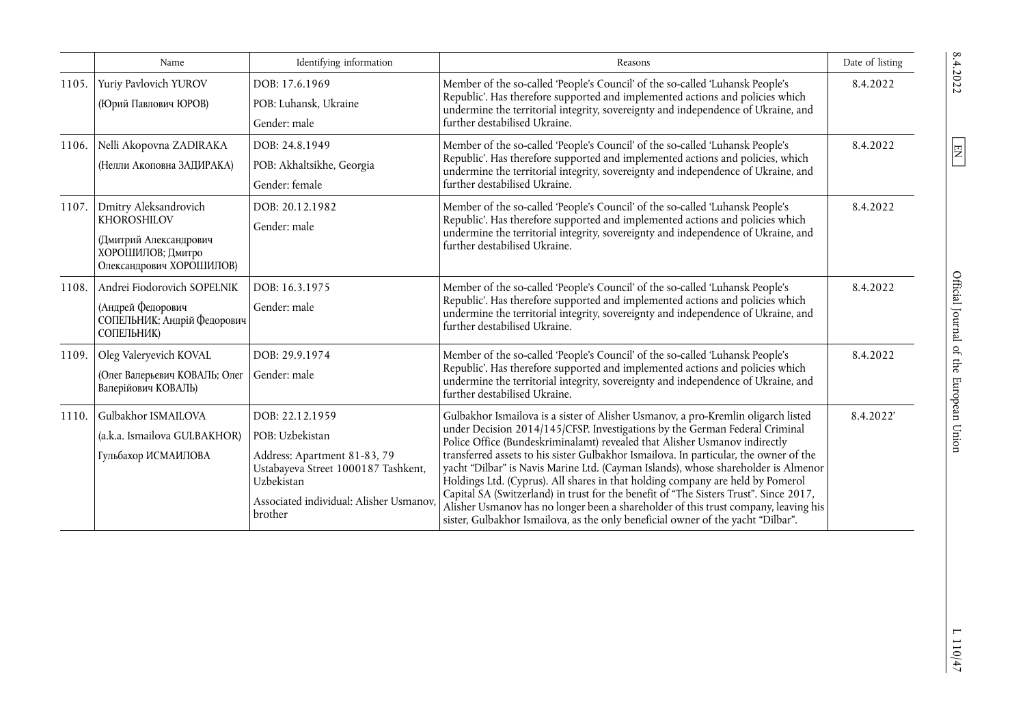|       | Name                                                                                                            | Identifying information                                                                                                                                                       | Reasons                                                                                                                                                                                                                                                                                                                                                                                                                                                                                                                                                                                                                                                                                                                                                                             | Date of listing |
|-------|-----------------------------------------------------------------------------------------------------------------|-------------------------------------------------------------------------------------------------------------------------------------------------------------------------------|-------------------------------------------------------------------------------------------------------------------------------------------------------------------------------------------------------------------------------------------------------------------------------------------------------------------------------------------------------------------------------------------------------------------------------------------------------------------------------------------------------------------------------------------------------------------------------------------------------------------------------------------------------------------------------------------------------------------------------------------------------------------------------------|-----------------|
| 1105. | Yuriy Pavlovich YUROV<br>(Юрий Павлович ЮРОВ)                                                                   | DOB: 17.6.1969<br>POB: Luhansk, Ukraine<br>Gender: male                                                                                                                       | Member of the so-called 'People's Council' of the so-called 'Luhansk People's<br>Republic'. Has therefore supported and implemented actions and policies which<br>undermine the territorial integrity, sovereignty and independence of Ukraine, and<br>further destabilised Ukraine.                                                                                                                                                                                                                                                                                                                                                                                                                                                                                                | 8.4.2022        |
| 1106. | Nelli Akopovna ZADIRAKA<br>(Нелли Акоповна ЗАДИРАКА)                                                            | DOB: 24.8.1949<br>POB: Akhaltsikhe, Georgia<br>Gender: female                                                                                                                 | Member of the so-called 'People's Council' of the so-called 'Luhansk People's<br>Republic'. Has therefore supported and implemented actions and policies, which<br>undermine the territorial integrity, sovereignty and independence of Ukraine, and<br>further destabilised Ukraine.                                                                                                                                                                                                                                                                                                                                                                                                                                                                                               | 8.4.2022        |
| 1107. | Dmitry Aleksandrovich<br>KHOROSHILOV<br>(Дмитрий Александрович<br>ХОРОШИЛОВ; Дмитро<br>Олександрович ХОРОШИЛОВ) | DOB: 20.12.1982<br>Gender: male                                                                                                                                               | Member of the so-called 'People's Council' of the so-called 'Luhansk People's<br>Republic'. Has therefore supported and implemented actions and policies which<br>undermine the territorial integrity, sovereignty and independence of Ukraine, and<br>further destabilised Ukraine.                                                                                                                                                                                                                                                                                                                                                                                                                                                                                                | 8.4.2022        |
| 1108. | Andrei Fiodorovich SOPELNIK<br>(Андрей Федорович<br>СОПЕЛЬНИК; Андрій Федорович<br>СОПЕЛЬНИК)                   | DOB: 16.3.1975<br>Gender: male                                                                                                                                                | Member of the so-called 'People's Council' of the so-called 'Luhansk People's<br>Republic'. Has therefore supported and implemented actions and policies which<br>undermine the territorial integrity, sovereignty and independence of Ukraine, and<br>further destabilised Ukraine.                                                                                                                                                                                                                                                                                                                                                                                                                                                                                                | 8.4.2022        |
| 1109. | Oleg Valeryevich KOVAL<br>(Олег Валерьевич КОВАЛЬ; Олег<br>Валерійович КОВАЛЬ)                                  | DOB: 29.9.1974<br>Gender: male                                                                                                                                                | Member of the so-called 'People's Council' of the so-called 'Luhansk People's<br>Republic'. Has therefore supported and implemented actions and policies which<br>undermine the territorial integrity, sovereignty and independence of Ukraine, and<br>further destabilised Ukraine.                                                                                                                                                                                                                                                                                                                                                                                                                                                                                                | 8.4.2022        |
| 1110. | Gulbakhor ISMAILOVA<br>(a.k.a. Ismailova GULBAKHOR)<br>Гульбахор ИСМАИЛОВА                                      | DOB: 22.12.1959<br>POB: Uzbekistan<br>Address: Apartment 81-83, 79<br>Ustabayeva Street 1000187 Tashkent,<br>Uzbekistan<br>Associated individual: Alisher Usmanov,<br>brother | Gulbakhor Ismailova is a sister of Alisher Usmanov, a pro-Kremlin oligarch listed<br>under Decision 2014/145/CFSP. Investigations by the German Federal Criminal<br>Police Office (Bundeskriminalamt) revealed that Alisher Usmanov indirectly<br>transferred assets to his sister Gulbakhor Ismailova. In particular, the owner of the<br>yacht "Dilbar" is Navis Marine Ltd. (Cayman Islands), whose shareholder is Almenor<br>Holdings Ltd. (Cyprus). All shares in that holding company are held by Pomerol<br>Capital SA (Switzerland) in trust for the benefit of "The Sisters Trust". Since 2017,<br>Alisher Usmanov has no longer been a shareholder of this trust company, leaving his<br>sister, Gulbakhor Ismailova, as the only beneficial owner of the yacht "Dilbar". | 8.4.2022        |

 $L\ 110/47$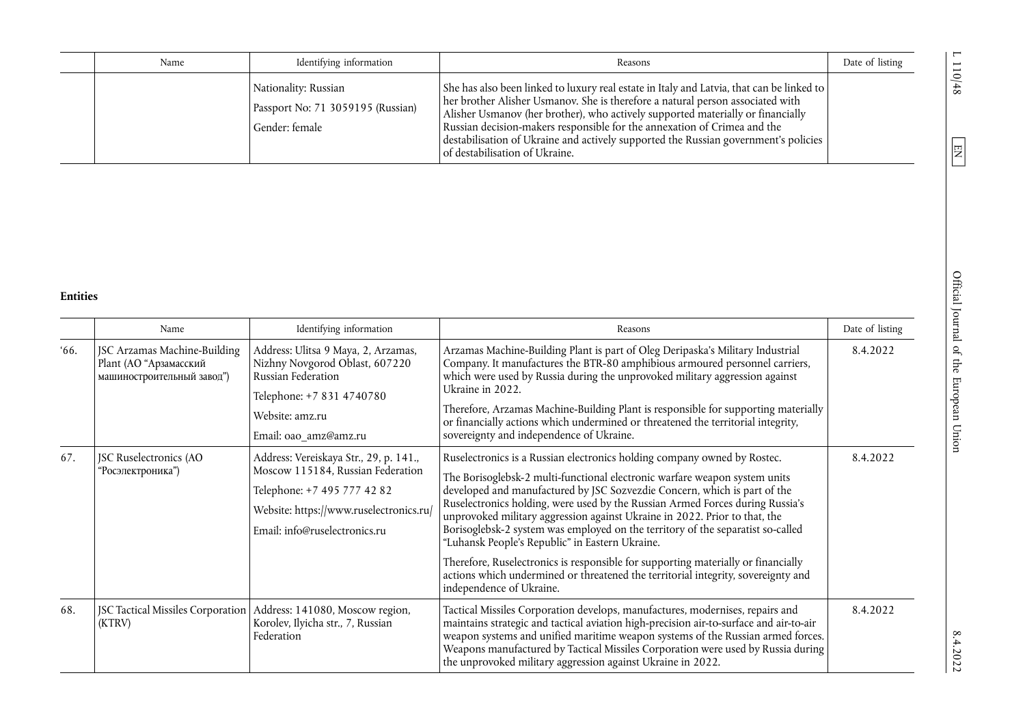| Name | Identifying information                                                     | Reasons                                                                                                                                                                                                                                                                                                                                                                                                                                                               | Date of listing |
|------|-----------------------------------------------------------------------------|-----------------------------------------------------------------------------------------------------------------------------------------------------------------------------------------------------------------------------------------------------------------------------------------------------------------------------------------------------------------------------------------------------------------------------------------------------------------------|-----------------|
|      | Nationality: Russian<br>Passport No: 71 3059195 (Russian)<br>Gender: female | She has also been linked to luxury real estate in Italy and Latvia, that can be linked to<br>her brother Alisher Usmanov. She is therefore a natural person associated with<br>Alisher Usmanov (her brother), who actively supported materially or financially<br>Russian decision-makers responsible for the annexation of Crimea and the<br>destabilisation of Ukraine and actively supported the Russian government's policies<br>l of destabilisation of Ukraine. |                 |

## **Entities**

|              | Name                                                                                 | Identifying information                                                                                                                                                                | Reasons                                                                                                                                                                                                                                                                                                                                                                                                                                                                                                                                                                                                                                                                                                                                        | Date of listing |
|--------------|--------------------------------------------------------------------------------------|----------------------------------------------------------------------------------------------------------------------------------------------------------------------------------------|------------------------------------------------------------------------------------------------------------------------------------------------------------------------------------------------------------------------------------------------------------------------------------------------------------------------------------------------------------------------------------------------------------------------------------------------------------------------------------------------------------------------------------------------------------------------------------------------------------------------------------------------------------------------------------------------------------------------------------------------|-----------------|
| <i>'</i> 66. | JSC Arzamas Machine-Building<br>Plant (АО "Арзамасский<br>машиностроительный завод") | Address: Ulitsa 9 Maya, 2, Arzamas,<br>Nizhny Novgorod Oblast, 607220<br>Russian Federation<br>Telephone: +7 831 4740780<br>Website: amz.ru<br>Email: oao_amz@amz.ru                   | Arzamas Machine-Building Plant is part of Oleg Deripaska's Military Industrial<br>Company. It manufactures the BTR-80 amphibious armoured personnel carriers,<br>which were used by Russia during the unprovoked military aggression against<br>Ukraine in 2022.<br>Therefore, Arzamas Machine-Building Plant is responsible for supporting materially<br>or financially actions which undermined or threatened the territorial integrity,<br>sovereignty and independence of Ukraine.                                                                                                                                                                                                                                                         | 8.4.2022        |
| 67.          | JSC Ruselectronics (AO<br>'Росэлектроника")                                          | Address: Vereiskaya Str., 29, p. 141.,<br>Moscow 115184, Russian Federation<br>Telephone: +7 495 777 42 82<br>Website: https://www.ruselectronics.ru/<br>Email: info@ruselectronics.ru | Ruselectronics is a Russian electronics holding company owned by Rostec.<br>The Borisoglebsk-2 multi-functional electronic warfare weapon system units<br>developed and manufactured by JSC Sozvezdie Concern, which is part of the<br>Ruselectronics holding, were used by the Russian Armed Forces during Russia's<br>unprovoked military aggression against Ukraine in 2022. Prior to that, the<br>Borisoglebsk-2 system was employed on the territory of the separatist so-called<br>"Luhansk People's Republic" in Eastern Ukraine.<br>Therefore, Ruselectronics is responsible for supporting materially or financially<br>actions which undermined or threatened the territorial integrity, sovereignty and<br>independence of Ukraine. | 8.4.2022        |
| 68.          | JSC Tactical Missiles Corporation<br>(KTRV)                                          | Address: 141080, Moscow region,<br>Korolev, Ilyicha str., 7, Russian<br>Federation                                                                                                     | Tactical Missiles Corporation develops, manufactures, modernises, repairs and<br>maintains strategic and tactical aviation high-precision air-to-surface and air-to-air<br>weapon systems and unified maritime weapon systems of the Russian armed forces.<br>Weapons manufactured by Tactical Missiles Corporation were used by Russia during<br>the unprovoked military aggression against Ukraine in 2022.                                                                                                                                                                                                                                                                                                                                  | 8.4.2022        |

E  $\frac{10(16)}{8}$  and  $\frac{10(16)}{8}$  and  $\frac{10(16)}{8}$  and  $\frac{10(16)}{8}$  complision of the European Union complision complision of the Function complision complision of the Function complision complision complision compl Official Journal of the European Union

 $\_110/48$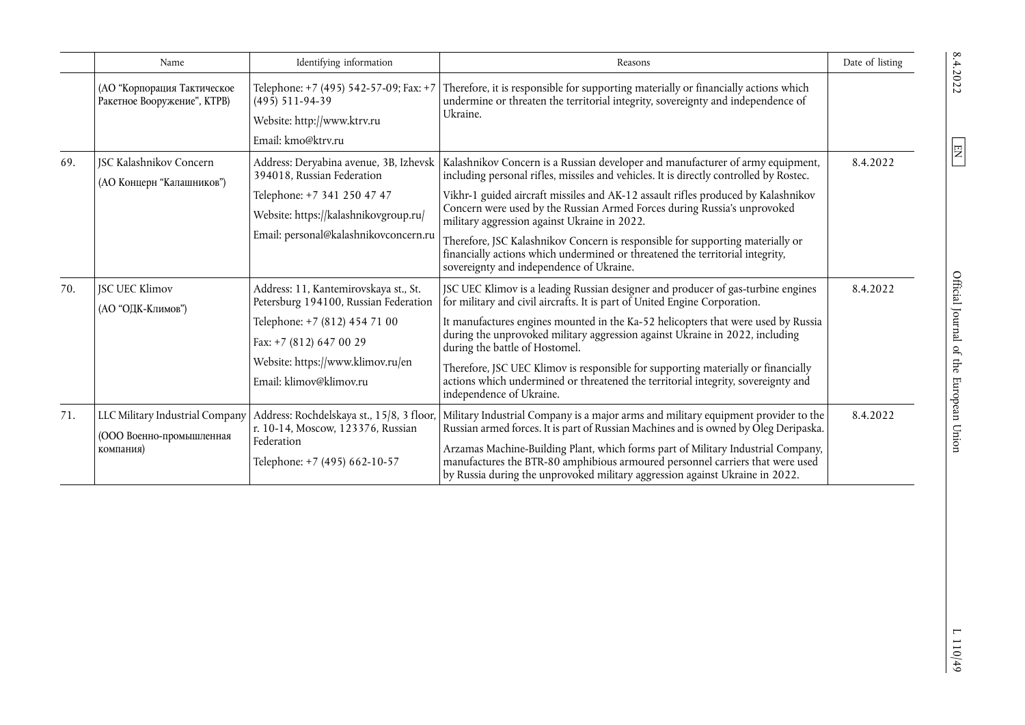|     | Name                                                                     | Identifying information                                                                                                                                                                                    | Reasons                                                                                                                                                                                                                                                                                                                                                                                                                                                                                                                                                                                                  | Date of listing |
|-----|--------------------------------------------------------------------------|------------------------------------------------------------------------------------------------------------------------------------------------------------------------------------------------------------|----------------------------------------------------------------------------------------------------------------------------------------------------------------------------------------------------------------------------------------------------------------------------------------------------------------------------------------------------------------------------------------------------------------------------------------------------------------------------------------------------------------------------------------------------------------------------------------------------------|-----------------|
|     | (АО "Корпорация Тактическое<br>Ракетное Вооружение", КТРВ)               | Telephone: +7 (495) 542-57-09; Fax: +7<br>$(495)$ 511-94-39<br>Website: http://www.ktrv.ru<br>Email: kmo@ktrv.ru                                                                                           | Therefore, it is responsible for supporting materially or financially actions which<br>undermine or threaten the territorial integrity, sovereignty and independence of<br>Ukraine.                                                                                                                                                                                                                                                                                                                                                                                                                      |                 |
| 69. | <b>JSC Kalashnikov Concern</b><br>(АО Концерн "Калашников")              | Address: Deryabina avenue, 3B, Izhevsk<br>394018, Russian Federation<br>Telephone: +7 341 250 47 47<br>Website: https://kalashnikovgroup.ru/<br>Email: personal@kalashnikovconcern.ru                      | Kalashnikov Concern is a Russian developer and manufacturer of army equipment,<br>including personal rifles, missiles and vehicles. It is directly controlled by Rostec.<br>Vikhr-1 guided aircraft missiles and AK-12 assault rifles produced by Kalashnikov<br>Concern were used by the Russian Armed Forces during Russia's unprovoked<br>military aggression against Ukraine in 2022.<br>Therefore, JSC Kalashnikov Concern is responsible for supporting materially or<br>financially actions which undermined or threatened the territorial integrity,<br>sovereignty and independence of Ukraine. | 8.4.2022        |
| 70. | <b>JSC UEC Klimov</b><br>(АО "ОДК-Климов")                               | Address: 11, Kantemirovskaya st., St.<br>Petersburg 194100, Russian Federation<br>Telephone: +7 (812) 454 71 00<br>Fax: +7 (812) 647 00 29<br>Website: https://www.klimov.ru/en<br>Email: klimov@klimov.ru | JSC UEC Klimov is a leading Russian designer and producer of gas-turbine engines<br>for military and civil aircrafts. It is part of United Engine Corporation.<br>It manufactures engines mounted in the Ka-52 helicopters that were used by Russia<br>during the unprovoked military aggression against Ukraine in 2022, including<br>during the battle of Hostomel.<br>Therefore, JSC UEC Klimov is responsible for supporting materially or financially<br>actions which undermined or threatened the territorial integrity, sovereignty and<br>independence of Ukraine.                              | 8.4.2022        |
| 71. | LLC Military Industrial Company<br>(ООО Военно-промышленная<br>компания) | Address: Rochdelskaya st., 15/8, 3 floor,<br>r. 10-14, Moscow, 123376, Russian<br>Federation<br>Telephone: +7 (495) 662-10-57                                                                              | Military Industrial Company is a major arms and military equipment provider to the<br>Russian armed forces. It is part of Russian Machines and is owned by Oleg Deripaska.<br>Arzamas Machine-Building Plant, which forms part of Military Industrial Company,<br>manufactures the BTR-80 amphibious armoured personnel carriers that were used<br>by Russia during the unprovoked military aggression against Ukraine in 2022.                                                                                                                                                                          | 8.4.2022        |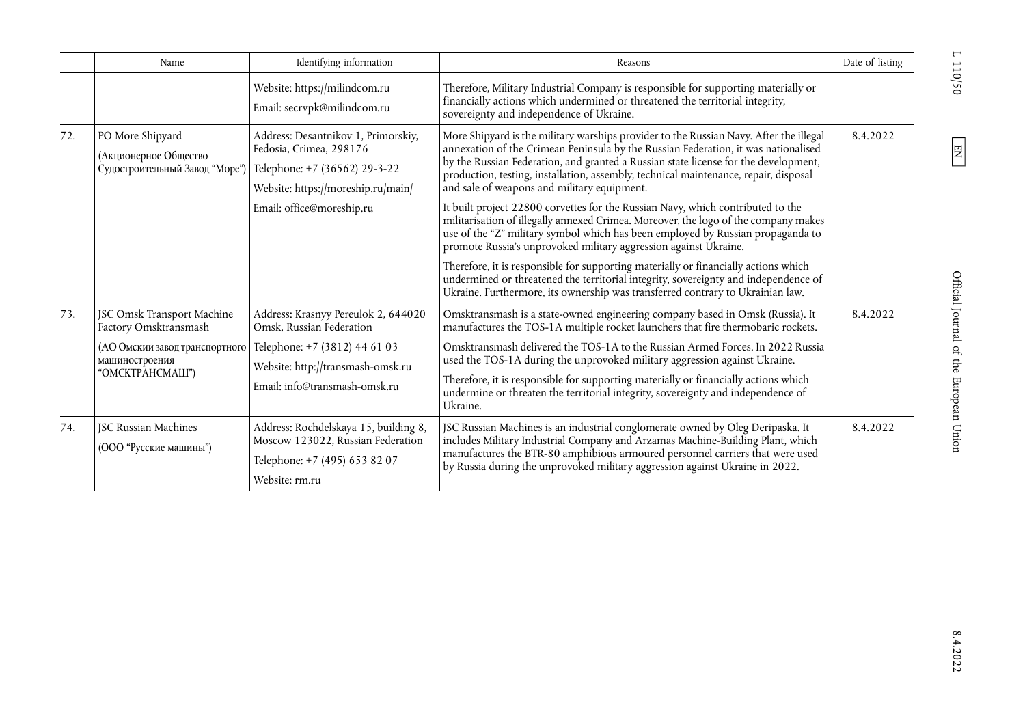|     | Name                                                                        | Identifying information                                                                                                               | Reasons                                                                                                                                                                                                                                                                                                                                                                                                    | Date of listing |
|-----|-----------------------------------------------------------------------------|---------------------------------------------------------------------------------------------------------------------------------------|------------------------------------------------------------------------------------------------------------------------------------------------------------------------------------------------------------------------------------------------------------------------------------------------------------------------------------------------------------------------------------------------------------|-----------------|
|     |                                                                             | Website: https://milindcom.ru<br>Email: secrvpk@milindcom.ru                                                                          | Therefore, Military Industrial Company is responsible for supporting materially or<br>financially actions which undermined or threatened the territorial integrity,<br>sovereignty and independence of Ukraine.                                                                                                                                                                                            |                 |
| 72. | PO More Shipyard<br>(Акционерное Общество<br>Судостроительный Завод "Море") | Address: Desantnikov 1, Primorskiy,<br>Fedosia, Crimea, 298176<br>Telephone: +7 (36562) 29-3-22<br>Website: https://moreship.ru/main/ | More Shipyard is the military warships provider to the Russian Navy. After the illegal<br>annexation of the Crimean Peninsula by the Russian Federation, it was nationalised<br>by the Russian Federation, and granted a Russian state license for the development,<br>production, testing, installation, assembly, technical maintenance, repair, disposal<br>and sale of weapons and military equipment. | 8.4.2022        |
|     |                                                                             | Email: office@moreship.ru                                                                                                             | It built project 22800 corvettes for the Russian Navy, which contributed to the<br>militarisation of illegally annexed Crimea. Moreover, the logo of the company makes<br>use of the "Z" military symbol which has been employed by Russian propaganda to<br>promote Russia's unprovoked military aggression against Ukraine.                                                                              |                 |
|     |                                                                             |                                                                                                                                       | Therefore, it is responsible for supporting materially or financially actions which<br>undermined or threatened the territorial integrity, sovereignty and independence of<br>Ukraine. Furthermore, its ownership was transferred contrary to Ukrainian law.                                                                                                                                               |                 |
| 73. | JSC Omsk Transport Machine<br>Factory Omsktransmash                         | Address: Krasnyy Pereulok 2, 644020<br>Omsk, Russian Federation                                                                       | Omsktransmash is a state-owned engineering company based in Omsk (Russia). It<br>manufactures the TOS-1A multiple rocket launchers that fire thermobaric rockets.                                                                                                                                                                                                                                          | 8.4.2022        |
|     | (АО Омский завод транспортного<br>машиностроения<br>"OMCKTPAHCMAIII")       | Telephone: +7 (3812) 44 61 03<br>Website: http://transmash-omsk.ru<br>Email: info@transmash-omsk.ru                                   | Omsktransmash delivered the TOS-1A to the Russian Armed Forces. In 2022 Russia<br>used the TOS-1A during the unprovoked military aggression against Ukraine.<br>Therefore, it is responsible for supporting materially or financially actions which<br>undermine or threaten the territorial integrity, sovereignty and independence of<br>Ukraine.                                                        |                 |
| 74. | <b>JSC Russian Machines</b><br>(ООО "Русские машины")                       | Address: Rochdelskaya 15, building 8,<br>Moscow 123022, Russian Federation<br>Telephone: +7 (495) 653 82 07<br>Website: rm.ru         | JSC Russian Machines is an industrial conglomerate owned by Oleg Deripaska. It<br>includes Military Industrial Company and Arzamas Machine-Building Plant, which<br>manufactures the BTR-80 amphibious armoured personnel carriers that were used<br>by Russia during the unprovoked military aggression against Ukraine in 2022.                                                                          | 8.4.2022        |

 $0\frac{\xi}{10}$  1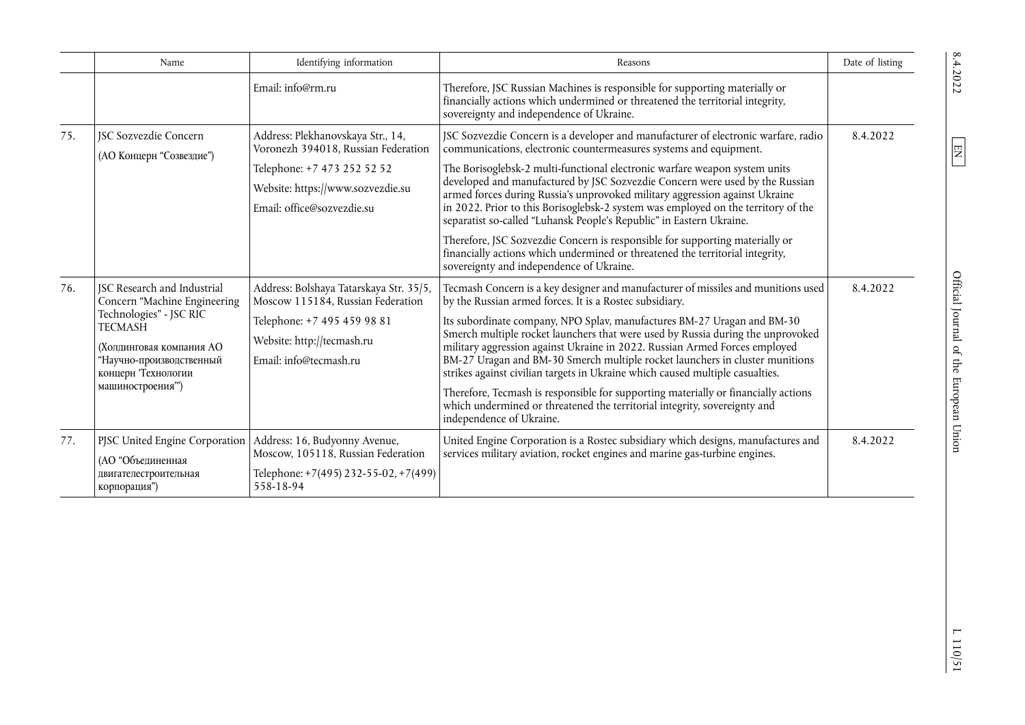|     | Name                                                                                                                                                                                                              | Identifying information                                                                                                                                             | Reasons                                                                                                                                                                                                                                                                                                                                                                                                                                                                                                                                                                                                                                                                                                                                                  | Date of listing      |
|-----|-------------------------------------------------------------------------------------------------------------------------------------------------------------------------------------------------------------------|---------------------------------------------------------------------------------------------------------------------------------------------------------------------|----------------------------------------------------------------------------------------------------------------------------------------------------------------------------------------------------------------------------------------------------------------------------------------------------------------------------------------------------------------------------------------------------------------------------------------------------------------------------------------------------------------------------------------------------------------------------------------------------------------------------------------------------------------------------------------------------------------------------------------------------------|----------------------|
|     |                                                                                                                                                                                                                   | Email: info@rm.ru                                                                                                                                                   | Therefore, JSC Russian Machines is responsible for supporting materially or<br>financially actions which undermined or threatened the territorial integrity,<br>sovereignty and independence of Ukraine.                                                                                                                                                                                                                                                                                                                                                                                                                                                                                                                                                 |                      |
| 75. | <b>ISC Sozvezdie Concern</b><br>(АО Концерн "Созвездие")                                                                                                                                                          | Address: Plekhanovskaya Str., 14,<br>Voronezh 394018, Russian Federation                                                                                            | JSC Sozvezdie Concern is a developer and manufacturer of electronic warfare, radio<br>communications, electronic countermeasures systems and equipment.                                                                                                                                                                                                                                                                                                                                                                                                                                                                                                                                                                                                  | 8.4.2022             |
|     |                                                                                                                                                                                                                   | Telephone: +7 473 252 52 52<br>Website: https://www.sozvezdie.su<br>Email: office@sozvezdie.su                                                                      | The Borisoglebsk-2 multi-functional electronic warfare weapon system units<br>developed and manufactured by JSC Sozvezdie Concern were used by the Russian<br>armed forces during Russia's unprovoked military aggression against Ukraine<br>in 2022. Prior to this Borisoglebsk-2 system was employed on the territory of the<br>separatist so-called "Luhansk People's Republic" in Eastern Ukraine.                                                                                                                                                                                                                                                                                                                                                   | 8.4.2022<br>8.4.2022 |
|     |                                                                                                                                                                                                                   |                                                                                                                                                                     | Therefore, JSC Sozvezdie Concern is responsible for supporting materially or<br>financially actions which undermined or threatened the territorial integrity,<br>sovereignty and independence of Ukraine.                                                                                                                                                                                                                                                                                                                                                                                                                                                                                                                                                |                      |
| 76. | <b>JSC Research and Industrial</b><br>Concern "Machine Engineering<br>Technologies" - JSC RIC<br><b>TECMASH</b><br>(Холпинговая компания АО<br>"Научно-производственный<br>концерн Технологии<br>машиностроения") | Address: Bolshaya Tatarskaya Str. 35/5,<br>Moscow 115184, Russian Federation<br>Telephone: +7 495 459 98 81<br>Website: http://tecmash.ru<br>Email: info@tecmash.ru | Tecmash Concern is a key designer and manufacturer of missiles and munitions used<br>by the Russian armed forces. It is a Rostec subsidiary.<br>Its subordinate company, NPO Splav, manufactures BM-27 Uragan and BM-30<br>Smerch multiple rocket launchers that were used by Russia during the unprovoked<br>military aggression against Ukraine in 2022. Russian Armed Forces employed<br>BM-27 Uragan and BM-30 Smerch multiple rocket launchers in cluster munitions<br>strikes against civilian targets in Ukraine which caused multiple casualties.<br>Therefore, Tecmash is responsible for supporting materially or financially actions<br>which undermined or threatened the territorial integrity, sovereignty and<br>independence of Ukraine. |                      |
| 77. | PJSC United Engine Corporation<br>(АО "Объединенная<br>двигателестроительная<br>корпорация")                                                                                                                      | Address: 16, Budyonny Avenue,<br>Moscow, 105118, Russian Federation<br>Telephone: +7(495) 232-55-02, +7(499)<br>558-18-94                                           | United Engine Corporation is a Rostec subsidiary which designs, manufactures and<br>services military aviation, rocket engines and marine gas-turbine engines.                                                                                                                                                                                                                                                                                                                                                                                                                                                                                                                                                                                           |                      |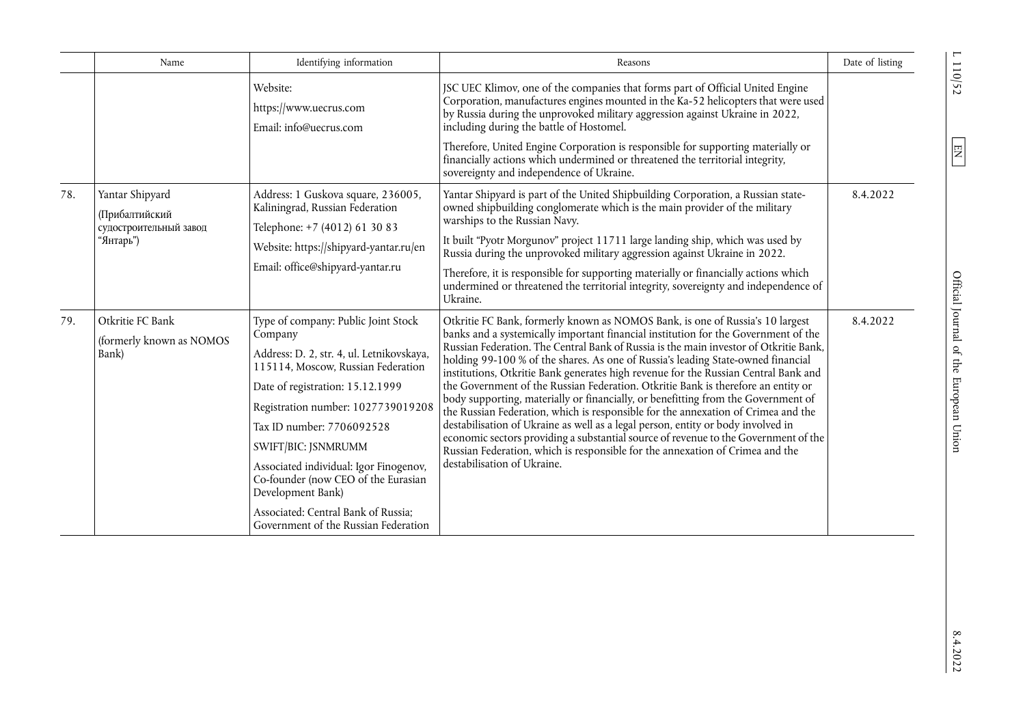|     | Name                                                                            | Identifying information                                                                                                                                                                                                                                                                                                                                                                                                                              | Reasons                                                                                                                                                                                                                                                                                                                                                                                                                                                                                                                                                                                                                                                                                                                                                                                                                                                                                                                                                                                           | Date of listing |
|-----|---------------------------------------------------------------------------------|------------------------------------------------------------------------------------------------------------------------------------------------------------------------------------------------------------------------------------------------------------------------------------------------------------------------------------------------------------------------------------------------------------------------------------------------------|---------------------------------------------------------------------------------------------------------------------------------------------------------------------------------------------------------------------------------------------------------------------------------------------------------------------------------------------------------------------------------------------------------------------------------------------------------------------------------------------------------------------------------------------------------------------------------------------------------------------------------------------------------------------------------------------------------------------------------------------------------------------------------------------------------------------------------------------------------------------------------------------------------------------------------------------------------------------------------------------------|-----------------|
|     |                                                                                 | Website:<br>https://www.uecrus.com<br>Email: info@uecrus.com                                                                                                                                                                                                                                                                                                                                                                                         | JSC UEC Klimov, one of the companies that forms part of Official United Engine<br>Corporation, manufactures engines mounted in the Ka-52 helicopters that were used<br>by Russia during the unprovoked military aggression against Ukraine in 2022,<br>including during the battle of Hostomel.                                                                                                                                                                                                                                                                                                                                                                                                                                                                                                                                                                                                                                                                                                   |                 |
|     |                                                                                 |                                                                                                                                                                                                                                                                                                                                                                                                                                                      | Therefore, United Engine Corporation is responsible for supporting materially or<br>financially actions which undermined or threatened the territorial integrity,<br>sovereignty and independence of Ukraine.                                                                                                                                                                                                                                                                                                                                                                                                                                                                                                                                                                                                                                                                                                                                                                                     |                 |
| 78. | Yantar Shipyard<br><b>(Прибалтийский</b><br>судостроительный завод<br>"Янтарь") | Address: 1 Guskova square, 236005,<br>Kaliningrad, Russian Federation<br>Telephone: +7 (4012) 61 30 83                                                                                                                                                                                                                                                                                                                                               | Yantar Shipyard is part of the United Shipbuilding Corporation, a Russian state-<br>owned shipbuilding conglomerate which is the main provider of the military<br>warships to the Russian Navy.                                                                                                                                                                                                                                                                                                                                                                                                                                                                                                                                                                                                                                                                                                                                                                                                   | 8.4.2022        |
|     |                                                                                 | Website: https://shipyard-yantar.ru/en                                                                                                                                                                                                                                                                                                                                                                                                               | It built "Pyotr Morgunov" project 11711 large landing ship, which was used by<br>Russia during the unprovoked military aggression against Ukraine in 2022.                                                                                                                                                                                                                                                                                                                                                                                                                                                                                                                                                                                                                                                                                                                                                                                                                                        |                 |
|     |                                                                                 | Email: office@shipyard-yantar.ru                                                                                                                                                                                                                                                                                                                                                                                                                     | Therefore, it is responsible for supporting materially or financially actions which<br>undermined or threatened the territorial integrity, sovereignty and independence of<br>Ukraine.                                                                                                                                                                                                                                                                                                                                                                                                                                                                                                                                                                                                                                                                                                                                                                                                            |                 |
| 79. | Otkritie FC Bank<br>(formerly known as NOMOS<br>Bank)                           | Type of company: Public Joint Stock<br>Company<br>Address: D. 2, str. 4, ul. Letnikovskaya,<br>115114, Moscow, Russian Federation<br>Date of registration: 15.12.1999<br>Registration number: 1027739019208<br>Tax ID number: 7706092528<br>SWIFT/BIC: JSNMRUMM<br>Associated individual: Igor Finogenov,<br>Co-founder (now CEO of the Eurasian<br>Development Bank)<br>Associated: Central Bank of Russia;<br>Government of the Russian Federation | Otkritie FC Bank, formerly known as NOMOS Bank, is one of Russia's 10 largest<br>banks and a systemically important financial institution for the Government of the<br>Russian Federation. The Central Bank of Russia is the main investor of Otkritie Bank,<br>holding 99-100 % of the shares. As one of Russia's leading State-owned financial<br>institutions, Otkritie Bank generates high revenue for the Russian Central Bank and<br>the Government of the Russian Federation. Otkritie Bank is therefore an entity or<br>body supporting, materially or financially, or benefitting from the Government of<br>the Russian Federation, which is responsible for the annexation of Crimea and the<br>destabilisation of Ukraine as well as a legal person, entity or body involved in<br>economic sectors providing a substantial source of revenue to the Government of the<br>Russian Federation, which is responsible for the annexation of Crimea and the<br>destabilisation of Ukraine. | 8.4.2022        |

 $L$  110/52  $\,$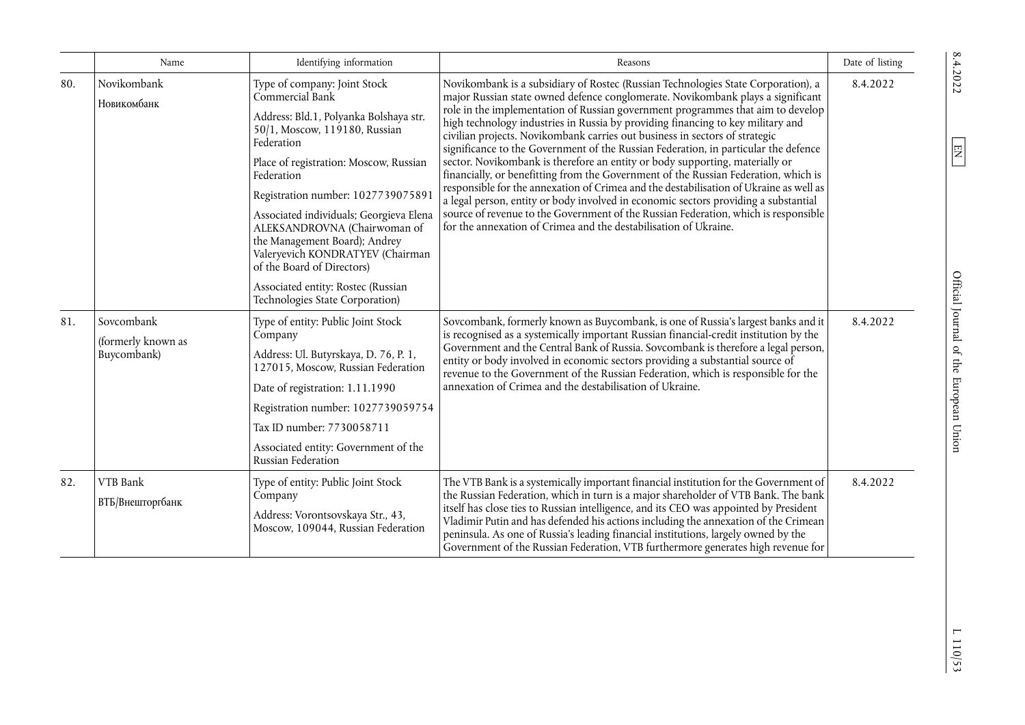|     | Name                                            | Identifying information                                                                                                                                                                                                                                                                                                                                                                                                                                                                       | Reasons                                                                                                                                                                                                                                                                                                                                                                                                                                                                                                                                                                                                                                                                                                                                                                                                                                                                                                                                                                                                                             | Date of listing |
|-----|-------------------------------------------------|-----------------------------------------------------------------------------------------------------------------------------------------------------------------------------------------------------------------------------------------------------------------------------------------------------------------------------------------------------------------------------------------------------------------------------------------------------------------------------------------------|-------------------------------------------------------------------------------------------------------------------------------------------------------------------------------------------------------------------------------------------------------------------------------------------------------------------------------------------------------------------------------------------------------------------------------------------------------------------------------------------------------------------------------------------------------------------------------------------------------------------------------------------------------------------------------------------------------------------------------------------------------------------------------------------------------------------------------------------------------------------------------------------------------------------------------------------------------------------------------------------------------------------------------------|-----------------|
| 80. | Novikombank<br>Новикомбанк                      | Type of company: Joint Stock<br>Commercial Bank<br>Address: Bld.1, Polyanka Bolshaya str.<br>50/1, Moscow, 119180, Russian<br>Federation<br>Place of registration: Moscow, Russian<br>Federation<br>Registration number: 1027739075891<br>Associated individuals; Georgieva Elena<br>ALEKSANDROVNA (Chairwoman of<br>the Management Board); Andrey<br>Valeryevich KONDRATYEV (Chairman<br>of the Board of Directors)<br>Associated entity: Rostec (Russian<br>Technologies State Corporation) | Novikombank is a subsidiary of Rostec (Russian Technologies State Corporation), a<br>major Russian state owned defence conglomerate. Novikombank plays a significant<br>role in the implementation of Russian government programmes that aim to develop<br>high technology industries in Russia by providing financing to key military and<br>civilian projects. Novikombank carries out business in sectors of strategic<br>significance to the Government of the Russian Federation, in particular the defence<br>sector. Novikombank is therefore an entity or body supporting, materially or<br>financially, or benefitting from the Government of the Russian Federation, which is<br>responsible for the annexation of Crimea and the destabilisation of Ukraine as well as<br>a legal person, entity or body involved in economic sectors providing a substantial<br>source of revenue to the Government of the Russian Federation, which is responsible<br>for the annexation of Crimea and the destabilisation of Ukraine. | 8.4.2022        |
| 81. | Sovcombank<br>(formerly known as<br>Buycombank) | Type of entity: Public Joint Stock<br>Company<br>Address: Ul. Butyrskaya, D. 76, P. 1,<br>127015, Moscow, Russian Federation<br>Date of registration: 1.11.1990<br>Registration number: 1027739059754<br>Tax ID number: 7730058711<br>Associated entity: Government of the<br>Russian Federation                                                                                                                                                                                              | Sovcombank, formerly known as Buycombank, is one of Russia's largest banks and it<br>is recognised as a systemically important Russian financial-credit institution by the<br>Government and the Central Bank of Russia. Sovcombank is therefore a legal person,<br>entity or body involved in economic sectors providing a substantial source of<br>revenue to the Government of the Russian Federation, which is responsible for the<br>annexation of Crimea and the destabilisation of Ukraine.                                                                                                                                                                                                                                                                                                                                                                                                                                                                                                                                  | 8.4.2022        |
| 82. | VTB Bank<br>ВТБ/Внешторгбанк                    | Type of entity: Public Joint Stock<br>Company<br>Address: Vorontsovskaya Str., 43,<br>Moscow, 109044, Russian Federation                                                                                                                                                                                                                                                                                                                                                                      | The VTB Bank is a systemically important financial institution for the Government of<br>the Russian Federation, which in turn is a major shareholder of VTB Bank. The bank<br>itself has close ties to Russian intelligence, and its CEO was appointed by President<br>Vladimir Putin and has defended his actions including the annexation of the Crimean<br>peninsula. As one of Russia's leading financial institutions, largely owned by the<br>Government of the Russian Federation, VTB furthermore generates high revenue for                                                                                                                                                                                                                                                                                                                                                                                                                                                                                                | 8.4.2022        |